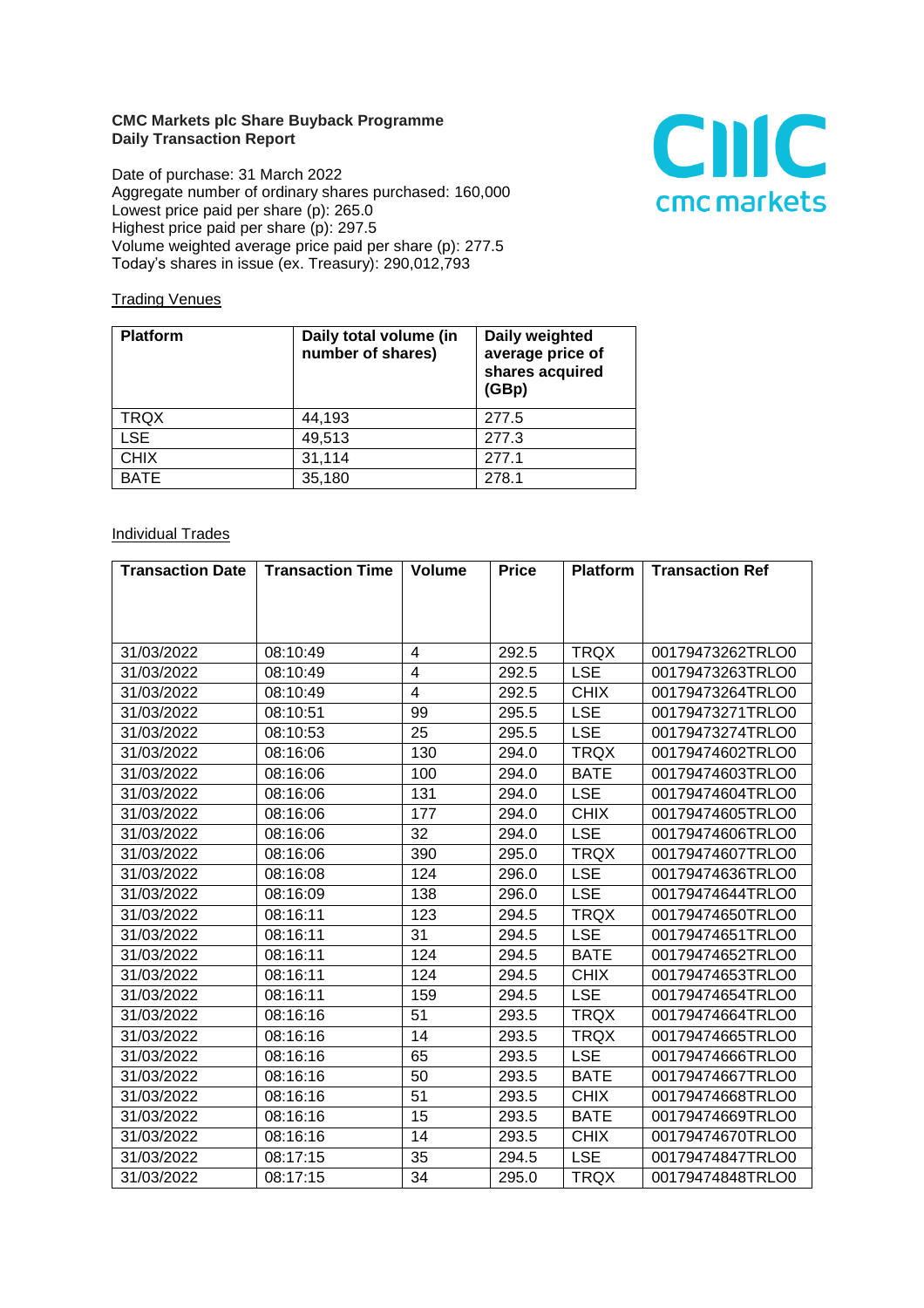## **CMC Markets plc Share Buyback Programme Daily Transaction Report**

Date of purchase: 31 March 2022 Aggregate number of ordinary shares purchased: 160,000 Lowest price paid per share (p): 265.0 Highest price paid per share (p): 297.5 Volume weighted average price paid per share (p): 277.5 Today's shares in issue (ex. Treasury): 290,012,793



## **Trading Venues**

| <b>Platform</b> | Daily total volume (in<br>number of shares) | Daily weighted<br>average price of<br>shares acquired<br>(GBp) |
|-----------------|---------------------------------------------|----------------------------------------------------------------|
| <b>TRQX</b>     | 44,193                                      | 277.5                                                          |
| LSE.            | 49,513                                      | 277.3                                                          |
| <b>CHIX</b>     | 31,114                                      | 277.1                                                          |
| <b>BATE</b>     | 35,180                                      | 278.1                                                          |

## **Individual Trades**

| <b>Transaction Date</b> | <b>Transaction Time</b> | <b>Volume</b> | <b>Price</b> | Platform    | <b>Transaction Ref</b> |
|-------------------------|-------------------------|---------------|--------------|-------------|------------------------|
|                         |                         |               |              |             |                        |
|                         |                         |               |              |             |                        |
|                         |                         |               |              |             |                        |
| 31/03/2022              | 08:10:49                | 4             | 292.5        | <b>TRQX</b> | 00179473262TRLO0       |
| 31/03/2022              | 08:10:49                | 4             | 292.5        | <b>LSE</b>  | 00179473263TRLO0       |
| 31/03/2022              | 08:10:49                | 4             | 292.5        | <b>CHIX</b> | 00179473264TRLO0       |
| 31/03/2022              | 08:10:51                | 99            | 295.5        | <b>LSE</b>  | 00179473271TRLO0       |
| 31/03/2022              | 08:10:53                | 25            | 295.5        | <b>LSE</b>  | 00179473274TRLO0       |
| 31/03/2022              | 08:16:06                | 130           | 294.0        | <b>TRQX</b> | 00179474602TRLO0       |
| 31/03/2022              | 08:16:06                | 100           | 294.0        | <b>BATE</b> | 00179474603TRLO0       |
| 31/03/2022              | 08:16:06                | 131           | 294.0        | <b>LSE</b>  | 00179474604TRLO0       |
| 31/03/2022              | 08:16:06                | 177           | 294.0        | <b>CHIX</b> | 00179474605TRLO0       |
| 31/03/2022              | 08:16:06                | 32            | 294.0        | <b>LSE</b>  | 00179474606TRLO0       |
| 31/03/2022              | 08:16:06                | 390           | 295.0        | <b>TRQX</b> | 00179474607TRLO0       |
| 31/03/2022              | 08:16:08                | 124           | 296.0        | <b>LSE</b>  | 00179474636TRLO0       |
| 31/03/2022              | 08:16:09                | 138           | 296.0        | <b>LSE</b>  | 00179474644TRLO0       |
| 31/03/2022              | 08:16:11                | 123           | 294.5        | <b>TRQX</b> | 00179474650TRLO0       |
| 31/03/2022              | 08:16:11                | 31            | 294.5        | <b>LSE</b>  | 00179474651TRLO0       |
| 31/03/2022              | 08:16:11                | 124           | 294.5        | <b>BATE</b> | 00179474652TRLO0       |
| 31/03/2022              | 08:16:11                | 124           | 294.5        | <b>CHIX</b> | 00179474653TRLO0       |
| 31/03/2022              | 08:16:11                | 159           | 294.5        | <b>LSE</b>  | 00179474654TRLO0       |
| 31/03/2022              | 08:16:16                | 51            | 293.5        | <b>TRQX</b> | 00179474664TRLO0       |
| 31/03/2022              | 08:16:16                | 14            | 293.5        | <b>TRQX</b> | 00179474665TRLO0       |
| 31/03/2022              | 08:16:16                | 65            | 293.5        | <b>LSE</b>  | 00179474666TRLO0       |
| 31/03/2022              | 08:16:16                | 50            | 293.5        | <b>BATE</b> | 00179474667TRLO0       |
| 31/03/2022              | 08:16:16                | 51            | 293.5        | <b>CHIX</b> | 00179474668TRLO0       |
| 31/03/2022              | 08:16:16                | 15            | 293.5        | <b>BATE</b> | 00179474669TRLO0       |
| 31/03/2022              | 08:16:16                | 14            | 293.5        | <b>CHIX</b> | 00179474670TRLO0       |
| 31/03/2022              | 08:17:15                | 35            | 294.5        | <b>LSE</b>  | 00179474847TRLO0       |
| 31/03/2022              | 08:17:15                | 34            | 295.0        | <b>TRQX</b> | 00179474848TRLO0       |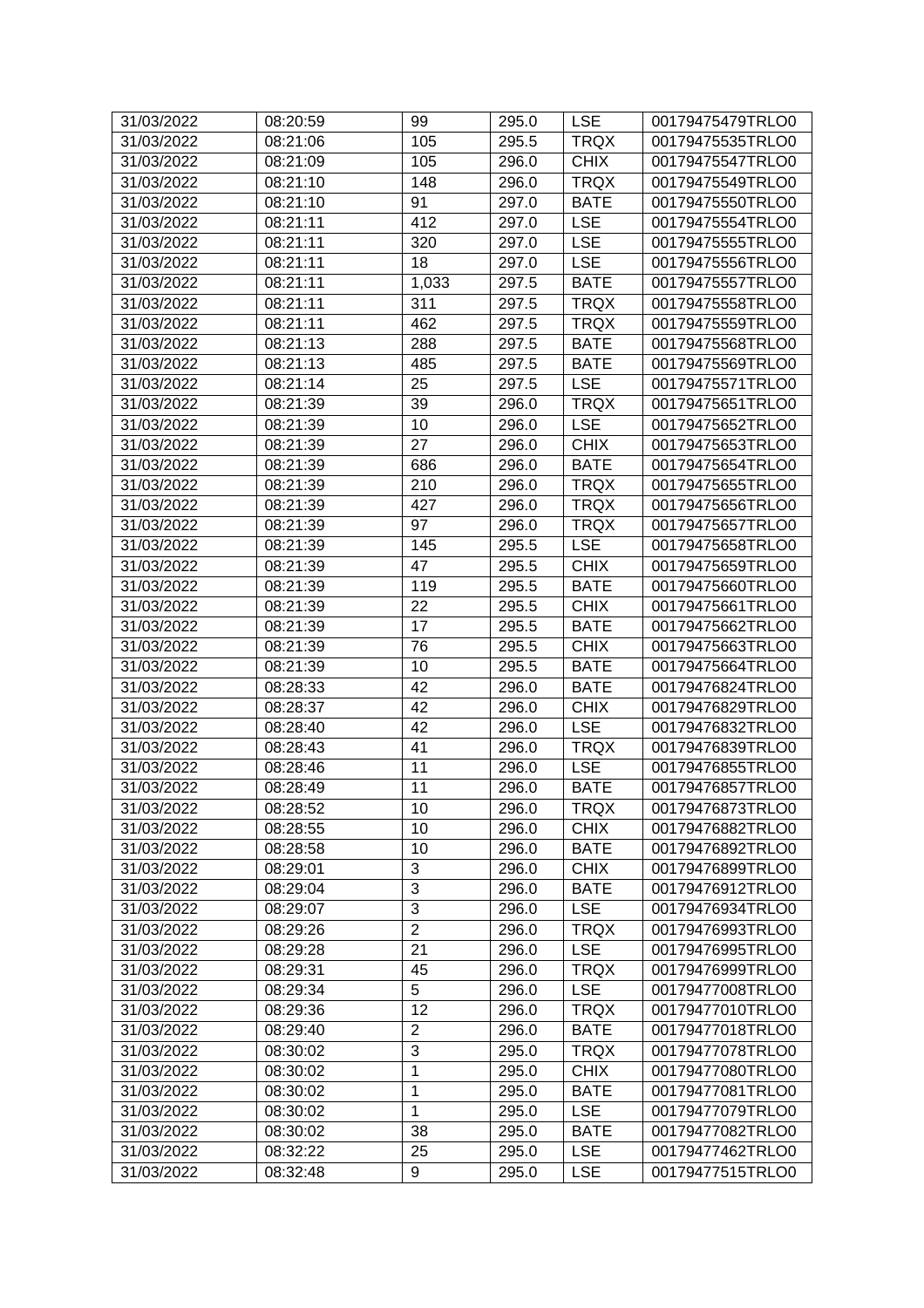| 31/03/2022 | 08:20:59 | 99             | 295.0 | <b>LSE</b>  | 00179475479TRLO0 |
|------------|----------|----------------|-------|-------------|------------------|
| 31/03/2022 | 08:21:06 | 105            | 295.5 | <b>TRQX</b> | 00179475535TRLO0 |
| 31/03/2022 | 08:21:09 | 105            | 296.0 | <b>CHIX</b> | 00179475547TRLO0 |
| 31/03/2022 | 08:21:10 | 148            | 296.0 | <b>TRQX</b> | 00179475549TRLO0 |
| 31/03/2022 | 08:21:10 | 91             | 297.0 | <b>BATE</b> | 00179475550TRLO0 |
| 31/03/2022 | 08:21:11 | 412            | 297.0 | <b>LSE</b>  | 00179475554TRLO0 |
| 31/03/2022 | 08:21:11 | 320            | 297.0 | <b>LSE</b>  | 00179475555TRLO0 |
| 31/03/2022 | 08:21:11 | 18             | 297.0 | <b>LSE</b>  | 00179475556TRLO0 |
| 31/03/2022 | 08:21:11 | 1,033          | 297.5 | <b>BATE</b> | 00179475557TRLO0 |
| 31/03/2022 | 08:21:11 | 311            | 297.5 | <b>TRQX</b> | 00179475558TRLO0 |
| 31/03/2022 | 08:21:11 | 462            | 297.5 | <b>TRQX</b> | 00179475559TRLO0 |
| 31/03/2022 | 08:21:13 | 288            | 297.5 | <b>BATE</b> | 00179475568TRLO0 |
| 31/03/2022 | 08:21:13 | 485            | 297.5 | <b>BATE</b> | 00179475569TRLO0 |
| 31/03/2022 | 08:21:14 | 25             | 297.5 | <b>LSE</b>  | 00179475571TRLO0 |
| 31/03/2022 | 08:21:39 | 39             | 296.0 | <b>TRQX</b> | 00179475651TRLO0 |
| 31/03/2022 | 08:21:39 | 10             | 296.0 | <b>LSE</b>  | 00179475652TRLO0 |
| 31/03/2022 | 08:21:39 | 27             | 296.0 | <b>CHIX</b> | 00179475653TRLO0 |
| 31/03/2022 | 08:21:39 | 686            | 296.0 | <b>BATE</b> | 00179475654TRLO0 |
| 31/03/2022 | 08:21:39 | 210            | 296.0 | <b>TRQX</b> | 00179475655TRLO0 |
| 31/03/2022 | 08:21:39 | 427            | 296.0 | <b>TRQX</b> | 00179475656TRLO0 |
| 31/03/2022 | 08:21:39 | 97             | 296.0 | <b>TRQX</b> | 00179475657TRLO0 |
| 31/03/2022 | 08:21:39 | 145            | 295.5 | <b>LSE</b>  | 00179475658TRLO0 |
| 31/03/2022 | 08:21:39 | 47             | 295.5 | <b>CHIX</b> | 00179475659TRLO0 |
| 31/03/2022 | 08:21:39 | 119            | 295.5 | <b>BATE</b> | 00179475660TRLO0 |
| 31/03/2022 | 08:21:39 | 22             | 295.5 | <b>CHIX</b> | 00179475661TRLO0 |
| 31/03/2022 | 08:21:39 | 17             | 295.5 | <b>BATE</b> | 00179475662TRLO0 |
| 31/03/2022 | 08:21:39 | 76             | 295.5 | <b>CHIX</b> | 00179475663TRLO0 |
| 31/03/2022 | 08:21:39 | 10             | 295.5 | <b>BATE</b> | 00179475664TRLO0 |
| 31/03/2022 | 08:28:33 | 42             | 296.0 | <b>BATE</b> | 00179476824TRLO0 |
| 31/03/2022 | 08:28:37 | 42             | 296.0 | <b>CHIX</b> | 00179476829TRLO0 |
| 31/03/2022 | 08:28:40 | 42             | 296.0 | <b>LSE</b>  | 00179476832TRLO0 |
| 31/03/2022 | 08:28:43 | 41             | 296.0 | <b>TRQX</b> | 00179476839TRLO0 |
| 31/03/2022 | 08:28:46 | 11             | 296.0 | <b>LSE</b>  | 00179476855TRLO0 |
| 31/03/2022 | 08:28:49 | 11             | 296.0 | <b>BATE</b> | 00179476857TRLO0 |
| 31/03/2022 | 08:28:52 | 10             | 296.0 | <b>TRQX</b> | 00179476873TRLO0 |
| 31/03/2022 | 08:28:55 | 10             | 296.0 | <b>CHIX</b> | 00179476882TRLO0 |
| 31/03/2022 | 08:28:58 | 10             | 296.0 | <b>BATE</b> | 00179476892TRLO0 |
| 31/03/2022 | 08:29:01 | 3              | 296.0 | <b>CHIX</b> | 00179476899TRLO0 |
| 31/03/2022 | 08:29:04 | 3              | 296.0 | <b>BATE</b> | 00179476912TRLO0 |
| 31/03/2022 | 08:29:07 | 3              | 296.0 | <b>LSE</b>  | 00179476934TRLO0 |
| 31/03/2022 | 08:29:26 | $\overline{2}$ | 296.0 | <b>TRQX</b> | 00179476993TRLO0 |
| 31/03/2022 | 08:29:28 | 21             | 296.0 | <b>LSE</b>  | 00179476995TRLO0 |
| 31/03/2022 | 08:29:31 | 45             | 296.0 | <b>TRQX</b> | 00179476999TRLO0 |
| 31/03/2022 | 08:29:34 | 5              | 296.0 | <b>LSE</b>  | 00179477008TRLO0 |
| 31/03/2022 | 08:29:36 | 12             | 296.0 | <b>TRQX</b> | 00179477010TRLO0 |
| 31/03/2022 | 08:29:40 | $\overline{2}$ | 296.0 | <b>BATE</b> | 00179477018TRLO0 |
| 31/03/2022 | 08:30:02 | 3              | 295.0 | <b>TRQX</b> | 00179477078TRLO0 |
| 31/03/2022 | 08:30:02 | $\mathbf 1$    | 295.0 | <b>CHIX</b> | 00179477080TRLO0 |
| 31/03/2022 | 08:30:02 | 1              | 295.0 | <b>BATE</b> | 00179477081TRLO0 |
| 31/03/2022 | 08:30:02 | 1              | 295.0 | <b>LSE</b>  | 00179477079TRLO0 |
| 31/03/2022 | 08:30:02 | 38             | 295.0 | <b>BATE</b> | 00179477082TRLO0 |
| 31/03/2022 | 08:32:22 | 25             | 295.0 | <b>LSE</b>  | 00179477462TRLO0 |
| 31/03/2022 | 08:32:48 | 9              | 295.0 | <b>LSE</b>  | 00179477515TRLO0 |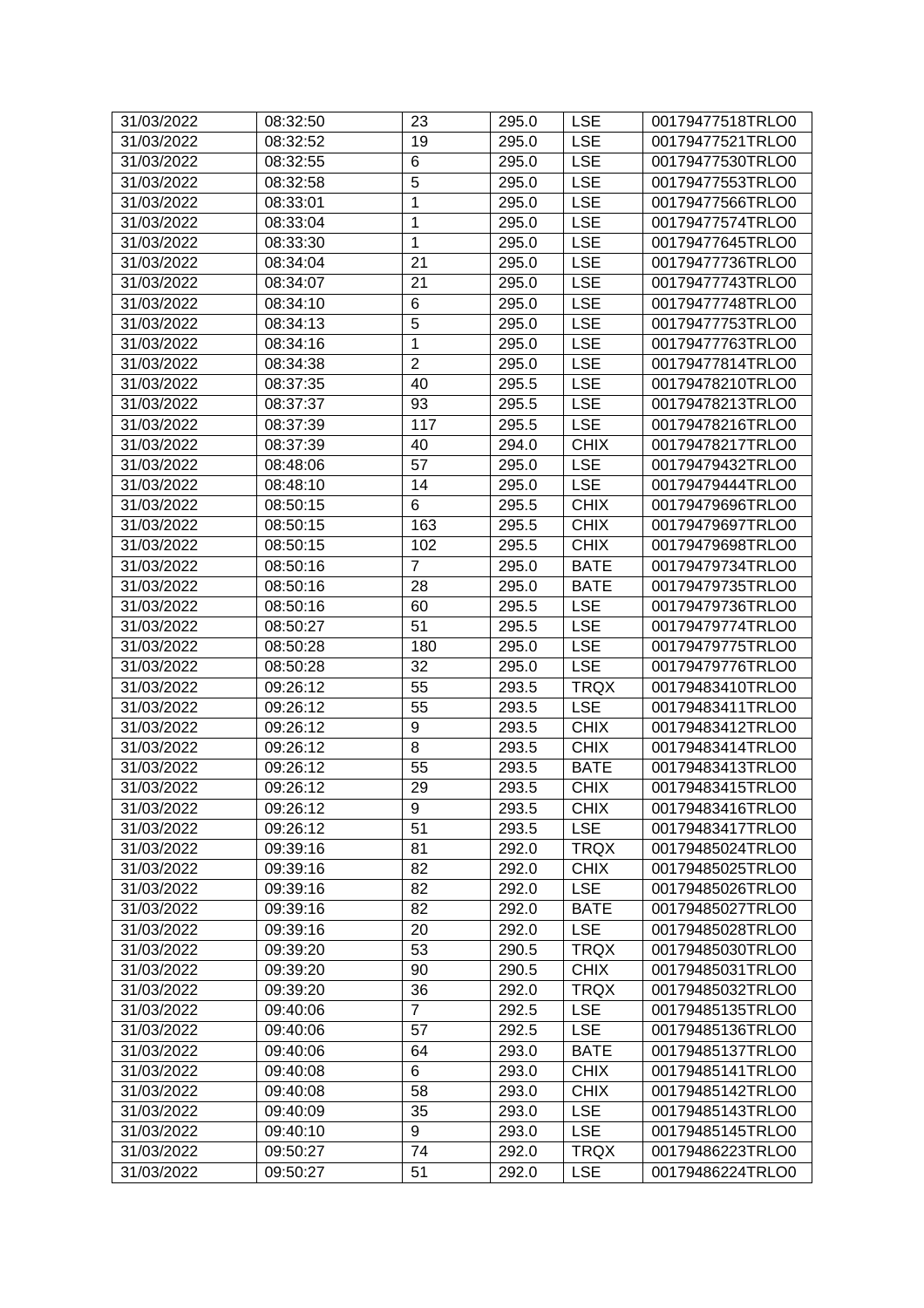| 31/03/2022 | 08:32:50 | 23             | 295.0          | <b>LSE</b>  | 00179477518TRLO0 |
|------------|----------|----------------|----------------|-------------|------------------|
| 31/03/2022 | 08:32:52 | 19             | 295.0          | <b>LSE</b>  | 00179477521TRLO0 |
| 31/03/2022 | 08:32:55 | 6              | 295.0          | <b>LSE</b>  | 00179477530TRLO0 |
| 31/03/2022 | 08:32:58 | 5              | 295.0          | <b>LSE</b>  | 00179477553TRLO0 |
| 31/03/2022 | 08:33:01 | 1              | 295.0          | <b>LSE</b>  | 00179477566TRLO0 |
| 31/03/2022 | 08:33:04 | 1              | 295.0          | <b>LSE</b>  | 00179477574TRLO0 |
| 31/03/2022 | 08:33:30 | 1              | 295.0          | <b>LSE</b>  | 00179477645TRLO0 |
| 31/03/2022 | 08:34:04 | 21             | 295.0          | <b>LSE</b>  | 00179477736TRLO0 |
| 31/03/2022 | 08:34:07 | 21             | 295.0          | <b>LSE</b>  | 00179477743TRLO0 |
| 31/03/2022 | 08:34:10 | 6              | 295.0          | <b>LSE</b>  | 00179477748TRLO0 |
| 31/03/2022 | 08:34:13 | 5              | 295.0          | <b>LSE</b>  | 00179477753TRLO0 |
| 31/03/2022 | 08:34:16 | 1              | 295.0          | <b>LSE</b>  | 00179477763TRLO0 |
| 31/03/2022 | 08:34:38 | $\mathbf 2$    | 295.0          | <b>LSE</b>  | 00179477814TRLO0 |
| 31/03/2022 | 08:37:35 | 40             | 295.5          | <b>LSE</b>  | 00179478210TRLO0 |
| 31/03/2022 | 08:37:37 | 93             | 295.5          | <b>LSE</b>  | 00179478213TRLO0 |
| 31/03/2022 | 08:37:39 | 117            | 295.5          | <b>LSE</b>  | 00179478216TRLO0 |
| 31/03/2022 | 08:37:39 | 40             | 294.0          | <b>CHIX</b> | 00179478217TRLO0 |
| 31/03/2022 | 08:48:06 | 57             | 295.0          | <b>LSE</b>  | 00179479432TRLO0 |
| 31/03/2022 | 08:48:10 | 14             | 295.0          | <b>LSE</b>  | 00179479444TRLO0 |
| 31/03/2022 | 08:50:15 | 6              | 295.5          | <b>CHIX</b> | 00179479696TRLO0 |
| 31/03/2022 | 08:50:15 | 163            | 295.5          | <b>CHIX</b> | 00179479697TRLO0 |
| 31/03/2022 | 08:50:15 | 102            | 295.5          | <b>CHIX</b> | 00179479698TRLO0 |
| 31/03/2022 | 08:50:16 | $\overline{7}$ | 295.0          | <b>BATE</b> | 00179479734TRLO0 |
| 31/03/2022 | 08:50:16 | 28             | 295.0          | <b>BATE</b> | 00179479735TRLO0 |
| 31/03/2022 | 08:50:16 | 60             | 295.5          | <b>LSE</b>  | 00179479736TRLO0 |
| 31/03/2022 | 08:50:27 | 51             | 295.5          | <b>LSE</b>  | 00179479774TRLO0 |
| 31/03/2022 | 08:50:28 | 180            | 295.0          | <b>LSE</b>  | 00179479775TRLO0 |
| 31/03/2022 | 08:50:28 | 32             | 295.0          | <b>LSE</b>  | 00179479776TRLO0 |
| 31/03/2022 | 09:26:12 | 55             | 293.5          | <b>TRQX</b> | 00179483410TRLO0 |
| 31/03/2022 | 09:26:12 | 55             | 293.5          | <b>LSE</b>  | 00179483411TRLO0 |
| 31/03/2022 | 09:26:12 | 9              | 293.5          | <b>CHIX</b> | 00179483412TRLO0 |
| 31/03/2022 | 09:26:12 | 8              | 293.5          | <b>CHIX</b> | 00179483414TRLO0 |
| 31/03/2022 | 09:26:12 | 55             | 293.5          | <b>BATE</b> | 00179483413TRLO0 |
| 31/03/2022 | 09:26:12 | 29             | 293.5          | <b>CHIX</b> | 00179483415TRLO0 |
| 31/03/2022 | 09:26:12 | 9              | 293.5          | <b>CHIX</b> | 00179483416TRLO0 |
| 31/03/2022 | 09:26:12 | 51             | 293.5          | <b>LSE</b>  | 00179483417TRLO0 |
| 31/03/2022 | 09:39:16 | 81             | 292.0          | <b>TRQX</b> | 00179485024TRLO0 |
| 31/03/2022 | 09:39:16 | 82             | 292.0          | <b>CHIX</b> | 00179485025TRLO0 |
| 31/03/2022 | 09:39:16 | 82             | 292.0          | <b>LSE</b>  | 00179485026TRLO0 |
| 31/03/2022 | 09:39:16 | 82             | 292.0          | <b>BATE</b> | 00179485027TRLO0 |
| 31/03/2022 | 09:39:16 | 20             | 292.0          | <b>LSE</b>  | 00179485028TRLO0 |
| 31/03/2022 | 09:39:20 | 53             | 290.5          | <b>TRQX</b> | 00179485030TRLO0 |
| 31/03/2022 | 09:39:20 | 90             | 290.5          | <b>CHIX</b> | 00179485031TRLO0 |
| 31/03/2022 | 09:39:20 | 36             | 292.0          | <b>TRQX</b> | 00179485032TRLO0 |
| 31/03/2022 | 09:40:06 | $\overline{7}$ | 292.5          | <b>LSE</b>  | 00179485135TRLO0 |
| 31/03/2022 | 09:40:06 | 57             | 292.5          | <b>LSE</b>  | 00179485136TRLO0 |
| 31/03/2022 | 09:40:06 | 64             |                | <b>BATE</b> | 00179485137TRLO0 |
| 31/03/2022 | 09:40:08 | 6              | 293.0<br>293.0 | <b>CHIX</b> | 00179485141TRLO0 |
| 31/03/2022 | 09:40:08 | 58             | 293.0          | <b>CHIX</b> | 00179485142TRLO0 |
| 31/03/2022 | 09:40:09 | 35             | 293.0          | <b>LSE</b>  | 00179485143TRLO0 |
| 31/03/2022 | 09:40:10 | 9              | 293.0          | <b>LSE</b>  | 00179485145TRLO0 |
| 31/03/2022 | 09:50:27 | 74             | 292.0          | <b>TRQX</b> | 00179486223TRLO0 |
|            |          |                |                |             |                  |
| 31/03/2022 | 09:50:27 | 51             | 292.0          | <b>LSE</b>  | 00179486224TRLO0 |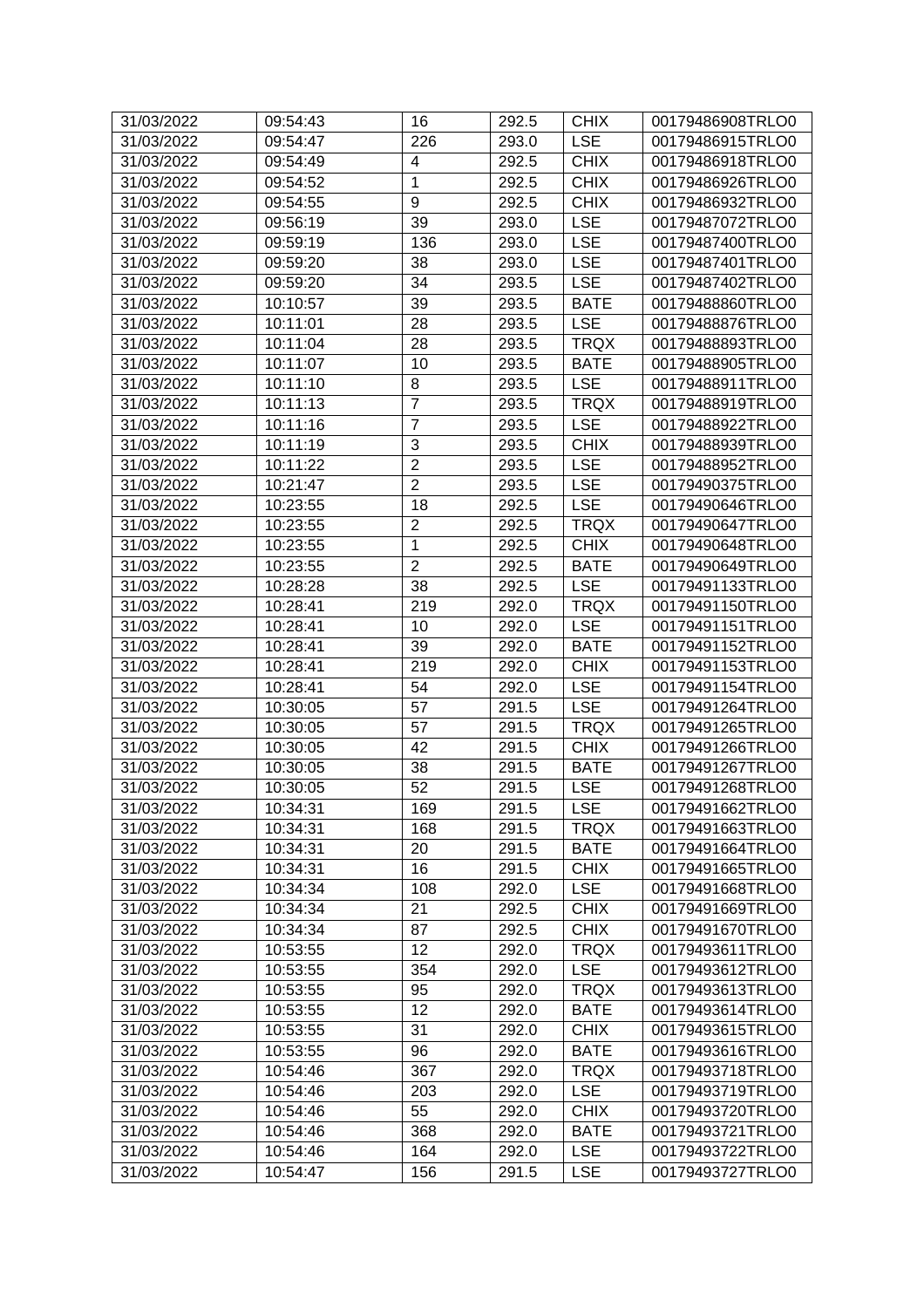| 31/03/2022 | 09:54:43 | 16              | 292.5 | <b>CHIX</b> | 00179486908TRLO0 |
|------------|----------|-----------------|-------|-------------|------------------|
| 31/03/2022 | 09:54:47 | 226             | 293.0 | <b>LSE</b>  | 00179486915TRLO0 |
| 31/03/2022 | 09:54:49 | 4               | 292.5 | <b>CHIX</b> | 00179486918TRLO0 |
| 31/03/2022 | 09:54:52 | 1               | 292.5 | <b>CHIX</b> | 00179486926TRLO0 |
| 31/03/2022 | 09:54:55 | 9               | 292.5 | <b>CHIX</b> | 00179486932TRLO0 |
| 31/03/2022 | 09:56:19 | 39              | 293.0 | <b>LSE</b>  | 00179487072TRLO0 |
| 31/03/2022 | 09:59:19 | 136             | 293.0 | <b>LSE</b>  | 00179487400TRLO0 |
| 31/03/2022 | 09:59:20 | 38              | 293.0 | <b>LSE</b>  | 00179487401TRLO0 |
| 31/03/2022 | 09:59:20 | 34              | 293.5 | <b>LSE</b>  | 00179487402TRLO0 |
| 31/03/2022 | 10:10:57 | 39              | 293.5 | <b>BATE</b> | 00179488860TRLO0 |
| 31/03/2022 | 10:11:01 | 28              | 293.5 | <b>LSE</b>  | 00179488876TRLO0 |
| 31/03/2022 | 10:11:04 | 28              | 293.5 | <b>TRQX</b> | 00179488893TRLO0 |
| 31/03/2022 | 10:11:07 | 10              | 293.5 | <b>BATE</b> | 00179488905TRLO0 |
| 31/03/2022 | 10:11:10 | 8               | 293.5 | <b>LSE</b>  | 00179488911TRLO0 |
| 31/03/2022 | 10:11:13 | $\overline{7}$  | 293.5 | <b>TRQX</b> | 00179488919TRLO0 |
| 31/03/2022 | 10:11:16 | $\overline{7}$  | 293.5 | <b>LSE</b>  | 00179488922TRLO0 |
| 31/03/2022 | 10:11:19 | 3               | 293.5 | <b>CHIX</b> | 00179488939TRLO0 |
| 31/03/2022 | 10:11:22 | $\mathbf 2$     | 293.5 | <b>LSE</b>  | 00179488952TRLO0 |
| 31/03/2022 | 10:21:47 | $\overline{2}$  | 293.5 | <b>LSE</b>  | 00179490375TRLO0 |
| 31/03/2022 | 10:23:55 | 18              | 292.5 | <b>LSE</b>  | 00179490646TRLO0 |
| 31/03/2022 | 10:23:55 | $\overline{2}$  | 292.5 | <b>TRQX</b> | 00179490647TRLO0 |
| 31/03/2022 | 10:23:55 | 1               | 292.5 | <b>CHIX</b> | 00179490648TRLO0 |
| 31/03/2022 | 10:23:55 | $\overline{2}$  | 292.5 | <b>BATE</b> | 00179490649TRLO0 |
| 31/03/2022 | 10:28:28 | 38              | 292.5 | <b>LSE</b>  | 00179491133TRLO0 |
| 31/03/2022 | 10:28:41 | 219             | 292.0 | <b>TRQX</b> | 00179491150TRLO0 |
| 31/03/2022 | 10:28:41 | 10              | 292.0 | <b>LSE</b>  | 00179491151TRLO0 |
| 31/03/2022 | 10:28:41 | 39              | 292.0 | <b>BATE</b> | 00179491152TRLO0 |
| 31/03/2022 | 10:28:41 | 219             | 292.0 | <b>CHIX</b> | 00179491153TRLO0 |
| 31/03/2022 | 10:28:41 | 54              | 292.0 | <b>LSE</b>  | 00179491154TRLO0 |
| 31/03/2022 | 10:30:05 | 57              | 291.5 | <b>LSE</b>  | 00179491264TRLO0 |
| 31/03/2022 | 10:30:05 | 57              | 291.5 | <b>TRQX</b> | 00179491265TRLO0 |
| 31/03/2022 | 10:30:05 | 42              | 291.5 | <b>CHIX</b> | 00179491266TRLO0 |
| 31/03/2022 | 10:30:05 | 38              | 291.5 | <b>BATE</b> | 00179491267TRLO0 |
| 31/03/2022 | 10:30:05 | $\overline{52}$ | 291.5 | <b>LSE</b>  | 00179491268TRLO0 |
| 31/03/2022 | 10:34:31 | 169             | 291.5 | <b>LSE</b>  | 00179491662TRLO0 |
| 31/03/2022 | 10:34:31 | 168             | 291.5 | <b>TRQX</b> | 00179491663TRLO0 |
| 31/03/2022 | 10:34:31 | 20              | 291.5 | <b>BATE</b> | 00179491664TRLO0 |
| 31/03/2022 | 10:34:31 | 16              | 291.5 | <b>CHIX</b> | 00179491665TRLO0 |
| 31/03/2022 | 10:34:34 | 108             | 292.0 | <b>LSE</b>  | 00179491668TRLO0 |
| 31/03/2022 | 10:34:34 | 21              | 292.5 | <b>CHIX</b> | 00179491669TRLO0 |
| 31/03/2022 | 10:34:34 | 87              | 292.5 | <b>CHIX</b> | 00179491670TRLO0 |
| 31/03/2022 | 10:53:55 | 12              | 292.0 | <b>TRQX</b> | 00179493611TRLO0 |
| 31/03/2022 | 10:53:55 | 354             | 292.0 | <b>LSE</b>  | 00179493612TRLO0 |
| 31/03/2022 | 10:53:55 | 95              | 292.0 | <b>TRQX</b> | 00179493613TRLO0 |
| 31/03/2022 | 10:53:55 | 12              | 292.0 | <b>BATE</b> | 00179493614TRLO0 |
| 31/03/2022 | 10:53:55 | 31              | 292.0 | <b>CHIX</b> | 00179493615TRLO0 |
| 31/03/2022 | 10:53:55 | 96              | 292.0 | <b>BATE</b> | 00179493616TRLO0 |
| 31/03/2022 | 10:54:46 | 367             | 292.0 | <b>TRQX</b> | 00179493718TRLO0 |
| 31/03/2022 | 10:54:46 | 203             | 292.0 | <b>LSE</b>  | 00179493719TRLO0 |
| 31/03/2022 | 10:54:46 | 55              | 292.0 | <b>CHIX</b> | 00179493720TRLO0 |
| 31/03/2022 | 10:54:46 | 368             | 292.0 | <b>BATE</b> | 00179493721TRLO0 |
| 31/03/2022 | 10:54:46 | 164             | 292.0 | <b>LSE</b>  | 00179493722TRLO0 |
| 31/03/2022 | 10:54:47 | 156             | 291.5 | <b>LSE</b>  | 00179493727TRLO0 |
|            |          |                 |       |             |                  |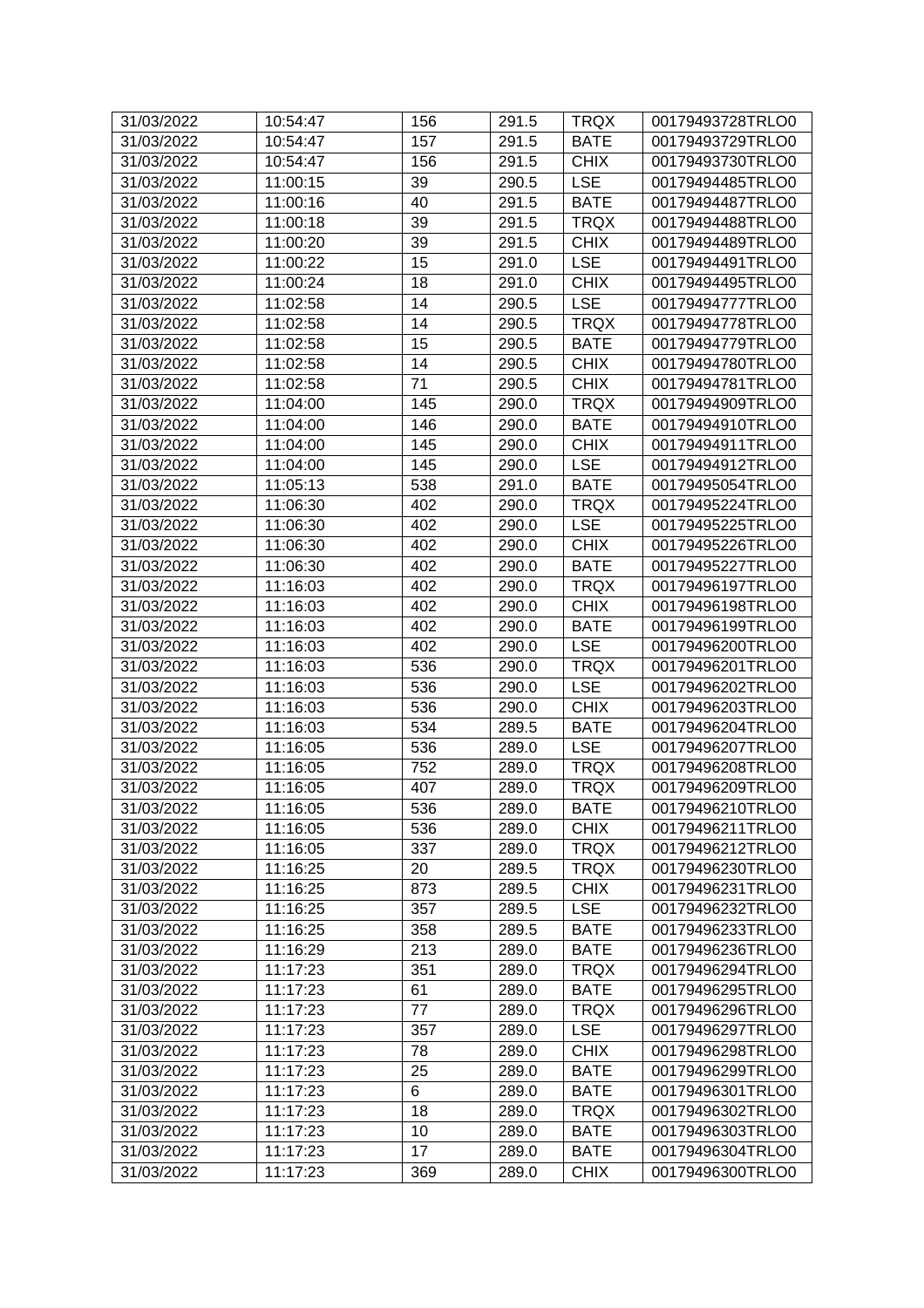| 31/03/2022 | 10:54:47 | 156 | 291.5 | <b>TRQX</b> | 00179493728TRLO0 |
|------------|----------|-----|-------|-------------|------------------|
| 31/03/2022 | 10:54:47 | 157 | 291.5 | <b>BATE</b> | 00179493729TRLO0 |
| 31/03/2022 | 10:54:47 | 156 | 291.5 | <b>CHIX</b> | 00179493730TRLO0 |
| 31/03/2022 | 11:00:15 | 39  | 290.5 | <b>LSE</b>  | 00179494485TRLO0 |
| 31/03/2022 | 11:00:16 | 40  | 291.5 | <b>BATE</b> | 00179494487TRLO0 |
| 31/03/2022 | 11:00:18 | 39  | 291.5 | <b>TRQX</b> | 00179494488TRLO0 |
| 31/03/2022 | 11:00:20 | 39  | 291.5 | <b>CHIX</b> | 00179494489TRLO0 |
| 31/03/2022 | 11:00:22 | 15  | 291.0 | <b>LSE</b>  | 00179494491TRLO0 |
| 31/03/2022 | 11:00:24 | 18  | 291.0 | <b>CHIX</b> | 00179494495TRLO0 |
| 31/03/2022 | 11:02:58 | 14  | 290.5 | <b>LSE</b>  | 00179494777TRLO0 |
| 31/03/2022 | 11:02:58 | 14  | 290.5 | <b>TRQX</b> | 00179494778TRLO0 |
| 31/03/2022 | 11:02:58 | 15  | 290.5 | <b>BATE</b> | 00179494779TRLO0 |
| 31/03/2022 | 11:02:58 | 14  | 290.5 | <b>CHIX</b> | 00179494780TRLO0 |
| 31/03/2022 | 11:02:58 | 71  | 290.5 | <b>CHIX</b> | 00179494781TRLO0 |
| 31/03/2022 | 11:04:00 | 145 | 290.0 | <b>TRQX</b> | 00179494909TRLO0 |
| 31/03/2022 | 11:04:00 | 146 | 290.0 | <b>BATE</b> | 00179494910TRLO0 |
| 31/03/2022 | 11:04:00 | 145 | 290.0 | <b>CHIX</b> | 00179494911TRLO0 |
| 31/03/2022 | 11:04:00 | 145 | 290.0 | <b>LSE</b>  | 00179494912TRLO0 |
| 31/03/2022 | 11:05:13 | 538 | 291.0 | <b>BATE</b> | 00179495054TRLO0 |
| 31/03/2022 | 11:06:30 | 402 | 290.0 | <b>TRQX</b> | 00179495224TRLO0 |
| 31/03/2022 | 11:06:30 | 402 | 290.0 | <b>LSE</b>  | 00179495225TRLO0 |
| 31/03/2022 | 11:06:30 | 402 | 290.0 | <b>CHIX</b> | 00179495226TRLO0 |
| 31/03/2022 | 11:06:30 | 402 | 290.0 | <b>BATE</b> | 00179495227TRLO0 |
| 31/03/2022 | 11:16:03 | 402 | 290.0 | <b>TRQX</b> | 00179496197TRLO0 |
| 31/03/2022 | 11:16:03 | 402 | 290.0 | <b>CHIX</b> | 00179496198TRLO0 |
| 31/03/2022 | 11:16:03 | 402 | 290.0 | <b>BATE</b> | 00179496199TRLO0 |
| 31/03/2022 | 11:16:03 | 402 | 290.0 | <b>LSE</b>  | 00179496200TRLO0 |
| 31/03/2022 | 11:16:03 | 536 | 290.0 | <b>TRQX</b> | 00179496201TRLO0 |
| 31/03/2022 | 11:16:03 | 536 | 290.0 | <b>LSE</b>  | 00179496202TRLO0 |
| 31/03/2022 | 11:16:03 | 536 | 290.0 | <b>CHIX</b> | 00179496203TRLO0 |
| 31/03/2022 | 11:16:03 | 534 | 289.5 | <b>BATE</b> | 00179496204TRLO0 |
| 31/03/2022 | 11:16:05 | 536 | 289.0 | <b>LSE</b>  | 00179496207TRLO0 |
| 31/03/2022 | 11:16:05 | 752 | 289.0 | <b>TRQX</b> | 00179496208TRLO0 |
| 31/03/2022 | 11:16:05 | 407 | 289.0 | <b>TRQX</b> | 00179496209TRLO0 |
| 31/03/2022 | 11:16:05 | 536 | 289.0 | <b>BATE</b> | 00179496210TRLO0 |
| 31/03/2022 | 11:16:05 | 536 | 289.0 | <b>CHIX</b> | 00179496211TRLO0 |
| 31/03/2022 | 11:16:05 | 337 | 289.0 | <b>TRQX</b> | 00179496212TRLO0 |
| 31/03/2022 | 11:16:25 | 20  | 289.5 | <b>TRQX</b> | 00179496230TRLO0 |
| 31/03/2022 | 11:16:25 | 873 | 289.5 | <b>CHIX</b> | 00179496231TRLO0 |
| 31/03/2022 | 11:16:25 | 357 | 289.5 | <b>LSE</b>  | 00179496232TRLO0 |
| 31/03/2022 | 11:16:25 | 358 | 289.5 | <b>BATE</b> | 00179496233TRLO0 |
| 31/03/2022 | 11:16:29 | 213 | 289.0 | <b>BATE</b> | 00179496236TRLO0 |
| 31/03/2022 | 11:17:23 | 351 | 289.0 | <b>TRQX</b> | 00179496294TRLO0 |
| 31/03/2022 | 11:17:23 | 61  | 289.0 | <b>BATE</b> | 00179496295TRLO0 |
| 31/03/2022 | 11:17:23 | 77  | 289.0 | <b>TRQX</b> | 00179496296TRLO0 |
| 31/03/2022 | 11:17:23 | 357 | 289.0 | <b>LSE</b>  | 00179496297TRLO0 |
| 31/03/2022 | 11:17:23 | 78  | 289.0 | <b>CHIX</b> | 00179496298TRLO0 |
| 31/03/2022 | 11:17:23 | 25  | 289.0 | <b>BATE</b> | 00179496299TRLO0 |
| 31/03/2022 | 11:17:23 | 6   | 289.0 | <b>BATE</b> | 00179496301TRLO0 |
| 31/03/2022 | 11:17:23 | 18  | 289.0 | <b>TRQX</b> | 00179496302TRLO0 |
| 31/03/2022 | 11:17:23 | 10  | 289.0 | <b>BATE</b> | 00179496303TRLO0 |
| 31/03/2022 | 11:17:23 | 17  | 289.0 | <b>BATE</b> | 00179496304TRLO0 |
| 31/03/2022 | 11:17:23 | 369 | 289.0 | <b>CHIX</b> | 00179496300TRLO0 |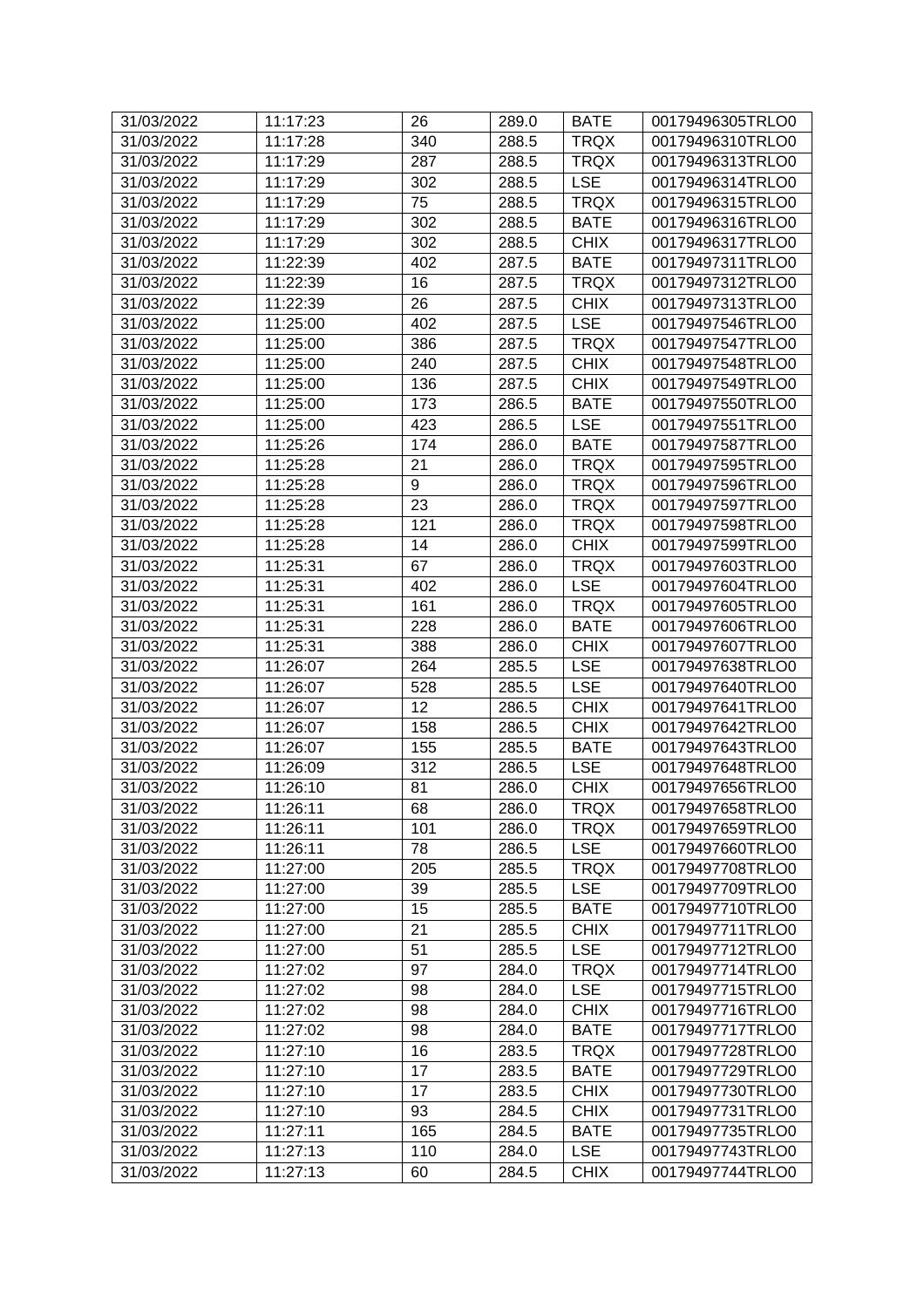| 31/03/2022 | 11:17:23 | 26  | 289.0 | <b>BATE</b> | 00179496305TRLO0 |
|------------|----------|-----|-------|-------------|------------------|
| 31/03/2022 | 11:17:28 | 340 | 288.5 | <b>TRQX</b> | 00179496310TRLO0 |
| 31/03/2022 | 11:17:29 | 287 | 288.5 | <b>TRQX</b> | 00179496313TRLO0 |
| 31/03/2022 | 11:17:29 | 302 | 288.5 | <b>LSE</b>  | 00179496314TRLO0 |
| 31/03/2022 | 11:17:29 | 75  | 288.5 | <b>TRQX</b> | 00179496315TRLO0 |
| 31/03/2022 | 11:17:29 | 302 | 288.5 | <b>BATE</b> | 00179496316TRLO0 |
| 31/03/2022 | 11:17:29 | 302 | 288.5 | <b>CHIX</b> | 00179496317TRLO0 |
| 31/03/2022 | 11:22:39 | 402 | 287.5 | <b>BATE</b> | 00179497311TRLO0 |
| 31/03/2022 | 11:22:39 | 16  | 287.5 | <b>TRQX</b> | 00179497312TRLO0 |
| 31/03/2022 | 11:22:39 | 26  | 287.5 | <b>CHIX</b> | 00179497313TRLO0 |
| 31/03/2022 | 11:25:00 | 402 | 287.5 | <b>LSE</b>  | 00179497546TRLO0 |
| 31/03/2022 | 11:25:00 | 386 | 287.5 | <b>TRQX</b> | 00179497547TRLO0 |
| 31/03/2022 | 11:25:00 | 240 | 287.5 | <b>CHIX</b> | 00179497548TRLO0 |
| 31/03/2022 | 11:25:00 | 136 | 287.5 | <b>CHIX</b> | 00179497549TRLO0 |
| 31/03/2022 | 11:25:00 | 173 | 286.5 | <b>BATE</b> | 00179497550TRLO0 |
| 31/03/2022 | 11:25:00 | 423 | 286.5 | <b>LSE</b>  | 00179497551TRLO0 |
| 31/03/2022 | 11:25:26 | 174 | 286.0 | <b>BATE</b> | 00179497587TRLO0 |
| 31/03/2022 | 11:25:28 | 21  | 286.0 | <b>TRQX</b> | 00179497595TRLO0 |
| 31/03/2022 | 11:25:28 | 9   | 286.0 | <b>TRQX</b> | 00179497596TRLO0 |
| 31/03/2022 | 11:25:28 | 23  | 286.0 | <b>TRQX</b> | 00179497597TRLO0 |
| 31/03/2022 | 11:25:28 | 121 | 286.0 | <b>TRQX</b> | 00179497598TRLO0 |
| 31/03/2022 | 11:25:28 | 14  | 286.0 | <b>CHIX</b> | 00179497599TRLO0 |
| 31/03/2022 | 11:25:31 | 67  | 286.0 | <b>TRQX</b> | 00179497603TRLO0 |
| 31/03/2022 | 11:25:31 | 402 | 286.0 | <b>LSE</b>  | 00179497604TRLO0 |
| 31/03/2022 | 11:25:31 | 161 | 286.0 | <b>TRQX</b> | 00179497605TRLO0 |
| 31/03/2022 | 11:25:31 | 228 | 286.0 | <b>BATE</b> | 00179497606TRLO0 |
| 31/03/2022 | 11:25:31 | 388 | 286.0 | <b>CHIX</b> | 00179497607TRLO0 |
| 31/03/2022 | 11:26:07 | 264 | 285.5 | <b>LSE</b>  | 00179497638TRLO0 |
| 31/03/2022 | 11:26:07 | 528 | 285.5 | <b>LSE</b>  | 00179497640TRLO0 |
| 31/03/2022 | 11:26:07 | 12  | 286.5 | <b>CHIX</b> | 00179497641TRLO0 |
| 31/03/2022 | 11:26:07 | 158 | 286.5 | <b>CHIX</b> | 00179497642TRLO0 |
| 31/03/2022 | 11:26:07 | 155 | 285.5 | <b>BATE</b> | 00179497643TRLO0 |
| 31/03/2022 | 11:26:09 | 312 | 286.5 | <b>LSE</b>  | 00179497648TRLO0 |
| 31/03/2022 | 11:26:10 | 81  | 286.0 | <b>CHIX</b> | 00179497656TRLO0 |
| 31/03/2022 | 11:26:11 | 68  | 286.0 | <b>TRQX</b> | 00179497658TRLO0 |
| 31/03/2022 | 11:26:11 | 101 | 286.0 | <b>TRQX</b> | 00179497659TRLO0 |
| 31/03/2022 | 11:26:11 | 78  | 286.5 | <b>LSE</b>  | 00179497660TRLO0 |
| 31/03/2022 | 11:27:00 | 205 | 285.5 | <b>TRQX</b> | 00179497708TRLO0 |
| 31/03/2022 | 11:27:00 | 39  | 285.5 | <b>LSE</b>  | 00179497709TRLO0 |
| 31/03/2022 | 11:27:00 | 15  | 285.5 | <b>BATE</b> | 00179497710TRLO0 |
| 31/03/2022 | 11:27:00 | 21  | 285.5 | <b>CHIX</b> | 00179497711TRLO0 |
| 31/03/2022 | 11:27:00 | 51  | 285.5 | <b>LSE</b>  | 00179497712TRLO0 |
| 31/03/2022 | 11:27:02 | 97  | 284.0 | <b>TRQX</b> | 00179497714TRLO0 |
| 31/03/2022 | 11:27:02 | 98  | 284.0 | <b>LSE</b>  | 00179497715TRLO0 |
| 31/03/2022 | 11:27:02 | 98  | 284.0 | <b>CHIX</b> | 00179497716TRLO0 |
| 31/03/2022 | 11:27:02 | 98  | 284.0 | <b>BATE</b> | 00179497717TRLO0 |
| 31/03/2022 | 11:27:10 | 16  | 283.5 | <b>TRQX</b> | 00179497728TRLO0 |
| 31/03/2022 | 11:27:10 | 17  | 283.5 | <b>BATE</b> | 00179497729TRLO0 |
| 31/03/2022 | 11:27:10 | 17  | 283.5 | <b>CHIX</b> | 00179497730TRLO0 |
| 31/03/2022 | 11:27:10 | 93  | 284.5 | <b>CHIX</b> | 00179497731TRLO0 |
| 31/03/2022 | 11:27:11 | 165 | 284.5 | <b>BATE</b> | 00179497735TRLO0 |
| 31/03/2022 | 11:27:13 | 110 | 284.0 | <b>LSE</b>  | 00179497743TRLO0 |
| 31/03/2022 | 11:27:13 | 60  | 284.5 | <b>CHIX</b> | 00179497744TRLO0 |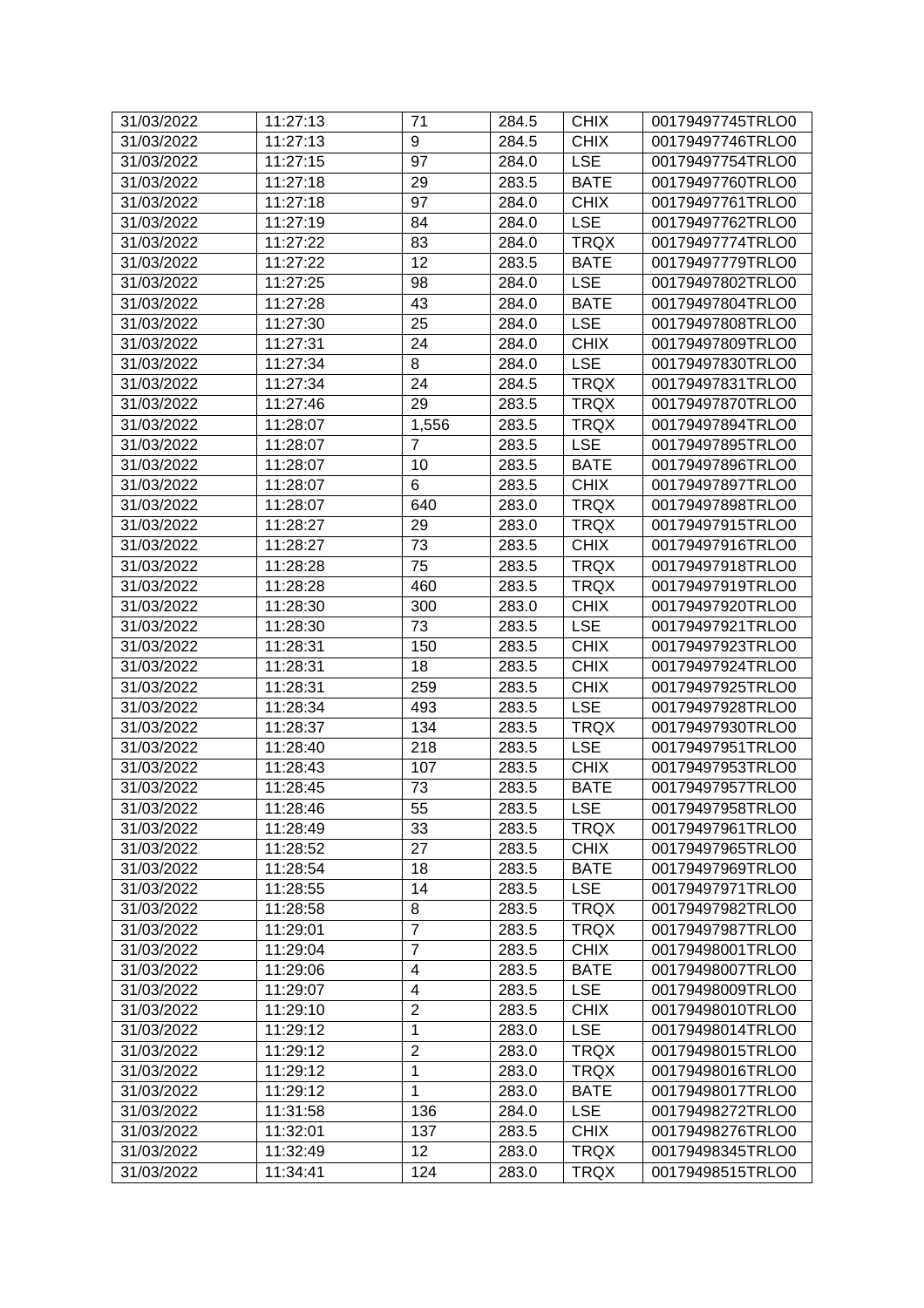| 31/03/2022 | 11:27:13 | 71                 | 284.5 | <b>CHIX</b> | 00179497745TRLO0 |
|------------|----------|--------------------|-------|-------------|------------------|
| 31/03/2022 | 11:27:13 | 9                  | 284.5 | <b>CHIX</b> | 00179497746TRLO0 |
| 31/03/2022 | 11:27:15 | 97                 | 284.0 | <b>LSE</b>  | 00179497754TRLO0 |
| 31/03/2022 | 11:27:18 | 29                 | 283.5 | <b>BATE</b> | 00179497760TRLO0 |
| 31/03/2022 | 11:27:18 | 97                 | 284.0 | <b>CHIX</b> | 00179497761TRLO0 |
| 31/03/2022 | 11:27:19 | 84                 | 284.0 | <b>LSE</b>  | 00179497762TRLO0 |
| 31/03/2022 | 11:27:22 | 83                 | 284.0 | <b>TRQX</b> | 00179497774TRLO0 |
| 31/03/2022 | 11:27:22 | 12                 | 283.5 | <b>BATE</b> | 00179497779TRLO0 |
| 31/03/2022 | 11:27:25 | 98                 | 284.0 | <b>LSE</b>  | 00179497802TRLO0 |
| 31/03/2022 | 11:27:28 | 43                 | 284.0 | <b>BATE</b> | 00179497804TRLO0 |
| 31/03/2022 | 11:27:30 | 25                 | 284.0 | <b>LSE</b>  | 00179497808TRLO0 |
| 31/03/2022 | 11:27:31 | 24                 | 284.0 | <b>CHIX</b> | 00179497809TRLO0 |
| 31/03/2022 | 11:27:34 | 8                  | 284.0 | <b>LSE</b>  | 00179497830TRLO0 |
| 31/03/2022 | 11:27:34 | 24                 | 284.5 | <b>TRQX</b> | 00179497831TRLO0 |
| 31/03/2022 | 11:27:46 | 29                 | 283.5 | <b>TRQX</b> | 00179497870TRLO0 |
| 31/03/2022 | 11:28:07 | $\overline{1,556}$ | 283.5 | <b>TRQX</b> | 00179497894TRLO0 |
| 31/03/2022 | 11:28:07 | $\overline{7}$     | 283.5 | <b>LSE</b>  | 00179497895TRLO0 |
| 31/03/2022 | 11:28:07 | 10                 | 283.5 | <b>BATE</b> | 00179497896TRLO0 |
| 31/03/2022 | 11:28:07 | 6                  | 283.5 | <b>CHIX</b> | 00179497897TRLO0 |
| 31/03/2022 | 11:28:07 | 640                | 283.0 | <b>TRQX</b> | 00179497898TRLO0 |
| 31/03/2022 | 11:28:27 | 29                 | 283.0 | <b>TRQX</b> | 00179497915TRLO0 |
| 31/03/2022 | 11:28:27 | 73                 | 283.5 | <b>CHIX</b> | 00179497916TRLO0 |
| 31/03/2022 | 11:28:28 | 75                 | 283.5 | <b>TRQX</b> | 00179497918TRLO0 |
| 31/03/2022 | 11:28:28 | 460                | 283.5 | <b>TRQX</b> | 00179497919TRLO0 |
| 31/03/2022 | 11:28:30 | 300                | 283.0 | <b>CHIX</b> | 00179497920TRLO0 |
| 31/03/2022 | 11:28:30 | 73                 | 283.5 | <b>LSE</b>  | 00179497921TRLO0 |
| 31/03/2022 | 11:28:31 | 150                | 283.5 | <b>CHIX</b> | 00179497923TRLO0 |
| 31/03/2022 | 11:28:31 | 18                 | 283.5 | <b>CHIX</b> | 00179497924TRLO0 |
| 31/03/2022 | 11:28:31 | 259                | 283.5 | <b>CHIX</b> | 00179497925TRLO0 |
| 31/03/2022 | 11:28:34 | 493                | 283.5 | <b>LSE</b>  | 00179497928TRLO0 |
| 31/03/2022 | 11:28:37 | 134                | 283.5 | <b>TRQX</b> | 00179497930TRLO0 |
| 31/03/2022 | 11:28:40 | 218                | 283.5 | <b>LSE</b>  | 00179497951TRLO0 |
| 31/03/2022 | 11:28:43 | 107                | 283.5 | <b>CHIX</b> | 00179497953TRLO0 |
| 31/03/2022 | 11:28:45 | 73                 | 283.5 | <b>BATE</b> | 00179497957TRLO0 |
| 31/03/2022 | 11:28:46 | 55                 | 283.5 | LSE         | 00179497958TRLO0 |
| 31/03/2022 | 11:28:49 | 33                 | 283.5 | <b>TRQX</b> | 00179497961TRLO0 |
| 31/03/2022 | 11:28:52 | 27                 | 283.5 | <b>CHIX</b> | 00179497965TRLO0 |
| 31/03/2022 | 11:28:54 | 18                 | 283.5 | <b>BATE</b> | 00179497969TRLO0 |
| 31/03/2022 | 11:28:55 | 14                 | 283.5 | <b>LSE</b>  | 00179497971TRLO0 |
| 31/03/2022 | 11:28:58 | 8                  | 283.5 | <b>TRQX</b> | 00179497982TRLO0 |
| 31/03/2022 | 11:29:01 | $\overline{7}$     | 283.5 | <b>TRQX</b> | 00179497987TRLO0 |
| 31/03/2022 | 11:29:04 | $\overline{7}$     | 283.5 | <b>CHIX</b> | 00179498001TRLO0 |
| 31/03/2022 | 11:29:06 | 4                  | 283.5 | <b>BATE</b> | 00179498007TRLO0 |
| 31/03/2022 | 11:29:07 | 4                  | 283.5 | <b>LSE</b>  | 00179498009TRLO0 |
| 31/03/2022 | 11:29:10 | $\overline{2}$     | 283.5 | <b>CHIX</b> | 00179498010TRLO0 |
| 31/03/2022 | 11:29:12 | 1                  | 283.0 | <b>LSE</b>  | 00179498014TRLO0 |
| 31/03/2022 | 11:29:12 | $\mathbf{2}$       | 283.0 | <b>TRQX</b> | 00179498015TRLO0 |
| 31/03/2022 | 11:29:12 | 1                  | 283.0 | <b>TRQX</b> | 00179498016TRLO0 |
| 31/03/2022 | 11:29:12 | 1                  | 283.0 | <b>BATE</b> | 00179498017TRLO0 |
| 31/03/2022 | 11:31:58 | 136                | 284.0 | <b>LSE</b>  | 00179498272TRLO0 |
| 31/03/2022 | 11:32:01 | 137                | 283.5 | <b>CHIX</b> | 00179498276TRLO0 |
| 31/03/2022 | 11:32:49 | 12                 | 283.0 | <b>TRQX</b> | 00179498345TRLO0 |
| 31/03/2022 | 11:34:41 | 124                | 283.0 | <b>TRQX</b> | 00179498515TRLO0 |
|            |          |                    |       |             |                  |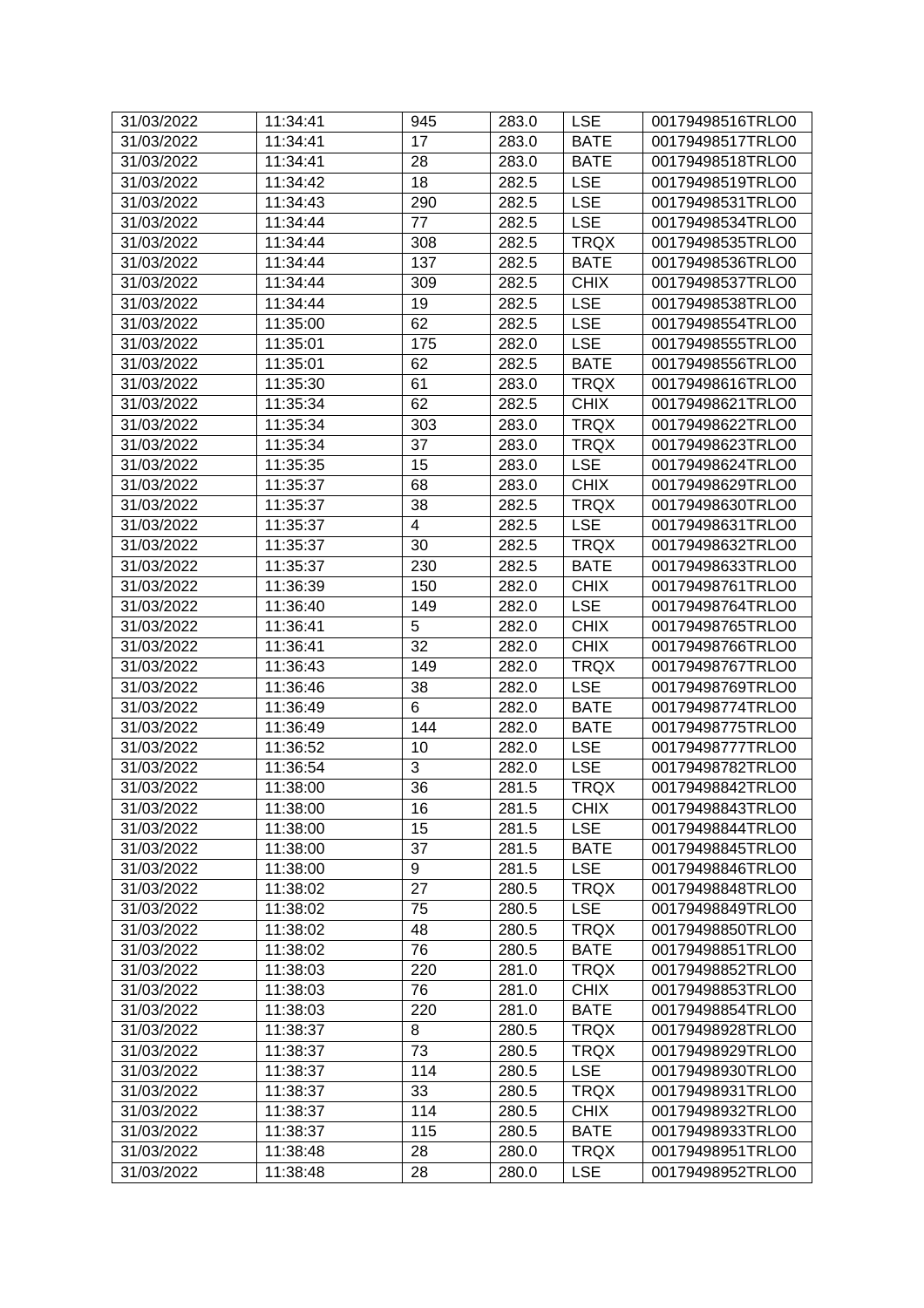| 31/03/2022 | 11:34:41 | 945                     | 283.0 | <b>LSE</b>  | 00179498516TRLO0 |
|------------|----------|-------------------------|-------|-------------|------------------|
| 31/03/2022 | 11:34:41 | 17                      | 283.0 | <b>BATE</b> | 00179498517TRLO0 |
| 31/03/2022 | 11:34:41 | 28                      | 283.0 | <b>BATE</b> | 00179498518TRLO0 |
| 31/03/2022 | 11:34:42 | 18                      | 282.5 | <b>LSE</b>  | 00179498519TRLO0 |
| 31/03/2022 | 11:34:43 | 290                     | 282.5 | <b>LSE</b>  | 00179498531TRLO0 |
| 31/03/2022 | 11:34:44 | 77                      | 282.5 | <b>LSE</b>  | 00179498534TRLO0 |
| 31/03/2022 | 11:34:44 | 308                     | 282.5 | <b>TRQX</b> | 00179498535TRLO0 |
| 31/03/2022 | 11:34:44 | 137                     | 282.5 | <b>BATE</b> | 00179498536TRLO0 |
| 31/03/2022 | 11:34:44 | 309                     | 282.5 | <b>CHIX</b> | 00179498537TRLO0 |
| 31/03/2022 | 11:34:44 | 19                      | 282.5 | <b>LSE</b>  | 00179498538TRLO0 |
| 31/03/2022 | 11:35:00 | 62                      | 282.5 | <b>LSE</b>  | 00179498554TRLO0 |
| 31/03/2022 | 11:35:01 | 175                     | 282.0 | <b>LSE</b>  | 00179498555TRLO0 |
| 31/03/2022 | 11:35:01 | 62                      | 282.5 | <b>BATE</b> | 00179498556TRLO0 |
| 31/03/2022 | 11:35:30 | 61                      | 283.0 | <b>TRQX</b> | 00179498616TRLO0 |
| 31/03/2022 | 11:35:34 | 62                      | 282.5 | <b>CHIX</b> | 00179498621TRLO0 |
| 31/03/2022 | 11:35:34 | 303                     | 283.0 | <b>TRQX</b> | 00179498622TRLO0 |
| 31/03/2022 | 11:35:34 | 37                      | 283.0 | <b>TRQX</b> | 00179498623TRLO0 |
| 31/03/2022 | 11:35:35 | 15                      | 283.0 | <b>LSE</b>  | 00179498624TRLO0 |
| 31/03/2022 | 11:35:37 | 68                      | 283.0 | <b>CHIX</b> | 00179498629TRLO0 |
| 31/03/2022 | 11:35:37 | 38                      | 282.5 | <b>TRQX</b> | 00179498630TRLO0 |
| 31/03/2022 | 11:35:37 | $\overline{\mathbf{4}}$ | 282.5 | <b>LSE</b>  | 00179498631TRLO0 |
| 31/03/2022 | 11:35:37 | 30                      | 282.5 | <b>TRQX</b> | 00179498632TRLO0 |
| 31/03/2022 | 11:35:37 | 230                     | 282.5 | <b>BATE</b> | 00179498633TRLO0 |
| 31/03/2022 | 11:36:39 | 150                     | 282.0 | <b>CHIX</b> | 00179498761TRLO0 |
| 31/03/2022 | 11:36:40 | 149                     | 282.0 | <b>LSE</b>  | 00179498764TRLO0 |
| 31/03/2022 | 11:36:41 | 5                       | 282.0 | <b>CHIX</b> | 00179498765TRLO0 |
| 31/03/2022 | 11:36:41 | 32                      | 282.0 | <b>CHIX</b> | 00179498766TRLO0 |
| 31/03/2022 | 11:36:43 | 149                     | 282.0 | <b>TRQX</b> | 00179498767TRLO0 |
| 31/03/2022 | 11:36:46 | 38                      | 282.0 | <b>LSE</b>  | 00179498769TRLO0 |
| 31/03/2022 | 11:36:49 | 6                       | 282.0 | <b>BATE</b> | 00179498774TRLO0 |
| 31/03/2022 | 11:36:49 | 144                     | 282.0 | <b>BATE</b> | 00179498775TRLO0 |
| 31/03/2022 | 11:36:52 | 10                      | 282.0 | <b>LSE</b>  | 00179498777TRLO0 |
| 31/03/2022 | 11:36:54 | 3                       | 282.0 | <b>LSE</b>  | 00179498782TRLO0 |
| 31/03/2022 | 11:38:00 | 36                      | 281.5 | <b>TRQX</b> | 00179498842TRLO0 |
| 31/03/2022 | 11:38:00 | 16                      | 281.5 | <b>CHIX</b> | 00179498843TRLO0 |
| 31/03/2022 | 11:38:00 | 15                      | 281.5 | <b>LSE</b>  | 00179498844TRLO0 |
| 31/03/2022 | 11:38:00 | 37                      | 281.5 | <b>BATE</b> | 00179498845TRLO0 |
| 31/03/2022 | 11:38:00 | 9                       | 281.5 | <b>LSE</b>  | 00179498846TRLO0 |
| 31/03/2022 | 11:38:02 | 27                      | 280.5 | <b>TRQX</b> | 00179498848TRLO0 |
| 31/03/2022 | 11:38:02 | 75                      | 280.5 | <b>LSE</b>  | 00179498849TRLO0 |
| 31/03/2022 | 11:38:02 | 48                      | 280.5 | <b>TRQX</b> | 00179498850TRLO0 |
| 31/03/2022 | 11:38:02 | 76                      | 280.5 | <b>BATE</b> | 00179498851TRLO0 |
| 31/03/2022 | 11:38:03 | 220                     | 281.0 | <b>TRQX</b> | 00179498852TRLO0 |
| 31/03/2022 | 11:38:03 | 76                      | 281.0 | <b>CHIX</b> | 00179498853TRLO0 |
| 31/03/2022 | 11:38:03 | 220                     | 281.0 | <b>BATE</b> | 00179498854TRLO0 |
| 31/03/2022 | 11:38:37 | 8                       | 280.5 | <b>TRQX</b> | 00179498928TRLO0 |
| 31/03/2022 | 11:38:37 | 73                      | 280.5 | <b>TRQX</b> | 00179498929TRLO0 |
| 31/03/2022 | 11:38:37 | 114                     | 280.5 | <b>LSE</b>  | 00179498930TRLO0 |
| 31/03/2022 | 11:38:37 | 33                      | 280.5 | <b>TRQX</b> | 00179498931TRLO0 |
| 31/03/2022 | 11:38:37 | 114                     | 280.5 | <b>CHIX</b> | 00179498932TRLO0 |
| 31/03/2022 | 11:38:37 | 115                     | 280.5 | <b>BATE</b> | 00179498933TRLO0 |
| 31/03/2022 | 11:38:48 | 28                      | 280.0 | <b>TRQX</b> | 00179498951TRLO0 |
| 31/03/2022 | 11:38:48 | 28                      | 280.0 | <b>LSE</b>  | 00179498952TRLO0 |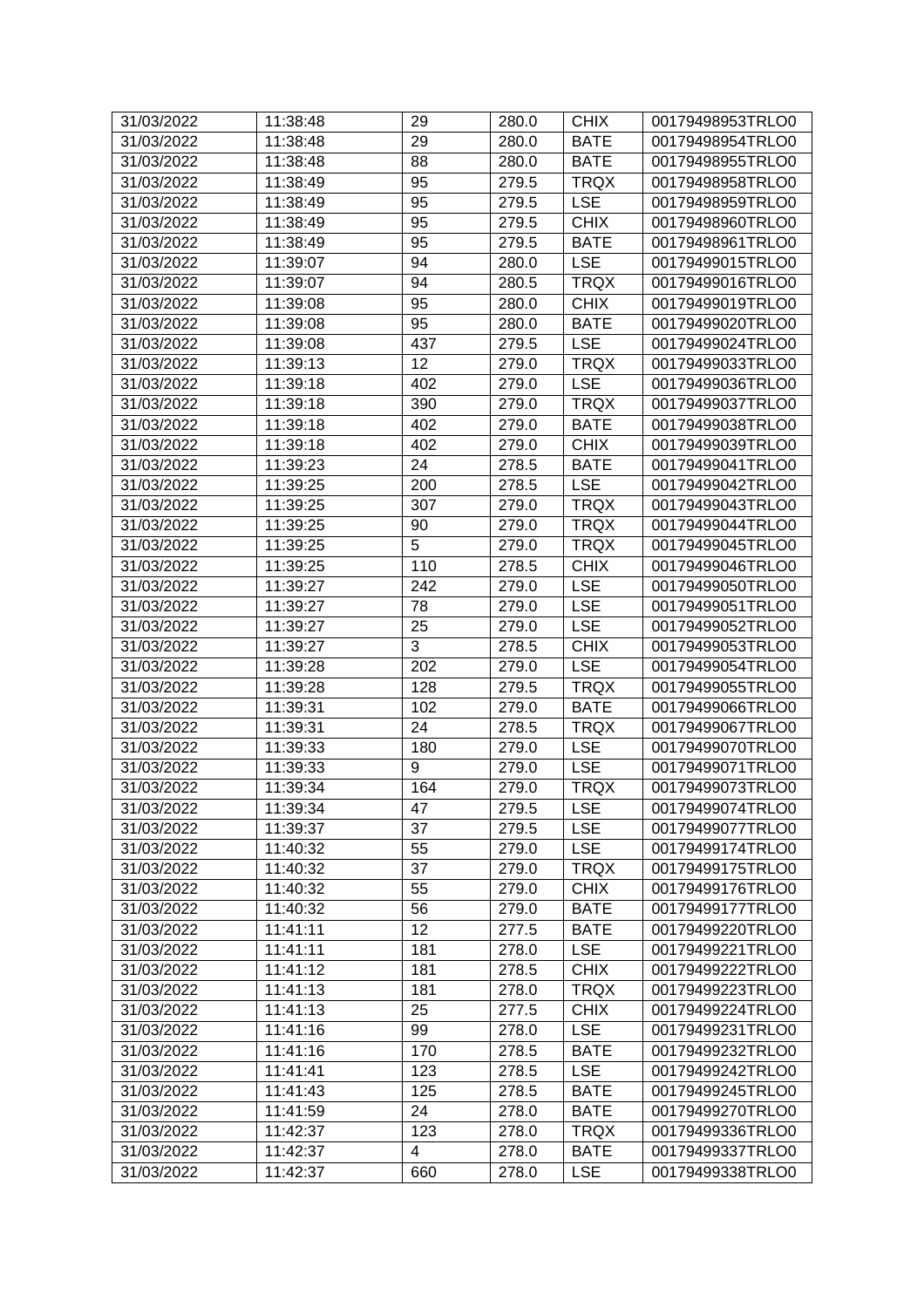| 31/03/2022 | 11:38:48 | 29  | 280.0 | <b>CHIX</b> | 00179498953TRLO0 |
|------------|----------|-----|-------|-------------|------------------|
| 31/03/2022 | 11:38:48 | 29  | 280.0 | <b>BATE</b> | 00179498954TRLO0 |
| 31/03/2022 | 11:38:48 | 88  | 280.0 | <b>BATE</b> | 00179498955TRLO0 |
| 31/03/2022 | 11:38:49 | 95  | 279.5 | <b>TRQX</b> | 00179498958TRLO0 |
| 31/03/2022 | 11:38:49 | 95  | 279.5 | <b>LSE</b>  | 00179498959TRLO0 |
| 31/03/2022 | 11:38:49 | 95  | 279.5 | <b>CHIX</b> | 00179498960TRLO0 |
| 31/03/2022 | 11:38:49 | 95  | 279.5 | <b>BATE</b> | 00179498961TRLO0 |
| 31/03/2022 | 11:39:07 | 94  | 280.0 | <b>LSE</b>  | 00179499015TRLO0 |
| 31/03/2022 | 11:39:07 | 94  | 280.5 | <b>TRQX</b> | 00179499016TRLO0 |
| 31/03/2022 | 11:39:08 | 95  | 280.0 | <b>CHIX</b> | 00179499019TRLO0 |
| 31/03/2022 | 11:39:08 | 95  | 280.0 | <b>BATE</b> | 00179499020TRLO0 |
| 31/03/2022 | 11:39:08 | 437 | 279.5 | <b>LSE</b>  | 00179499024TRLO0 |
| 31/03/2022 | 11:39:13 | 12  | 279.0 | <b>TRQX</b> | 00179499033TRLO0 |
| 31/03/2022 | 11:39:18 | 402 | 279.0 | <b>LSE</b>  | 00179499036TRLO0 |
| 31/03/2022 | 11:39:18 | 390 | 279.0 | <b>TRQX</b> | 00179499037TRLO0 |
| 31/03/2022 | 11:39:18 | 402 | 279.0 | <b>BATE</b> | 00179499038TRLO0 |
| 31/03/2022 | 11:39:18 | 402 | 279.0 | <b>CHIX</b> | 00179499039TRLO0 |
| 31/03/2022 | 11:39:23 | 24  | 278.5 | <b>BATE</b> | 00179499041TRLO0 |
| 31/03/2022 | 11:39:25 | 200 | 278.5 | <b>LSE</b>  | 00179499042TRLO0 |
| 31/03/2022 | 11:39:25 | 307 | 279.0 | <b>TRQX</b> | 00179499043TRLO0 |
| 31/03/2022 | 11:39:25 | 90  | 279.0 | <b>TRQX</b> | 00179499044TRLO0 |
| 31/03/2022 | 11:39:25 | 5   | 279.0 | <b>TRQX</b> | 00179499045TRLO0 |
| 31/03/2022 | 11:39:25 | 110 | 278.5 | <b>CHIX</b> | 00179499046TRLO0 |
| 31/03/2022 | 11:39:27 | 242 | 279.0 | <b>LSE</b>  | 00179499050TRLO0 |
| 31/03/2022 | 11:39:27 | 78  | 279.0 | <b>LSE</b>  | 00179499051TRLO0 |
| 31/03/2022 | 11:39:27 | 25  | 279.0 | <b>LSE</b>  | 00179499052TRLO0 |
| 31/03/2022 | 11:39:27 | 3   | 278.5 | <b>CHIX</b> | 00179499053TRLO0 |
| 31/03/2022 | 11:39:28 | 202 | 279.0 | <b>LSE</b>  | 00179499054TRLO0 |
| 31/03/2022 | 11:39:28 | 128 | 279.5 | <b>TRQX</b> | 00179499055TRLO0 |
| 31/03/2022 | 11:39:31 | 102 | 279.0 | <b>BATE</b> | 00179499066TRLO0 |
| 31/03/2022 | 11:39:31 | 24  | 278.5 | <b>TRQX</b> | 00179499067TRLO0 |
| 31/03/2022 | 11:39:33 | 180 | 279.0 | <b>LSE</b>  | 00179499070TRLO0 |
| 31/03/2022 | 11:39:33 | 9   | 279.0 | <b>LSE</b>  | 00179499071TRLO0 |
| 31/03/2022 | 11:39:34 | 164 | 279.0 | <b>TRQX</b> | 00179499073TRLO0 |
| 31/03/2022 | 11:39:34 | 47  | 279.5 | <b>LSE</b>  | 00179499074TRLO0 |
| 31/03/2022 | 11:39:37 | 37  | 279.5 | <b>LSE</b>  | 00179499077TRLO0 |
| 31/03/2022 | 11:40:32 | 55  | 279.0 | <b>LSE</b>  | 00179499174TRLO0 |
| 31/03/2022 | 11:40:32 | 37  | 279.0 | <b>TRQX</b> | 00179499175TRLO0 |
| 31/03/2022 | 11:40:32 | 55  | 279.0 | <b>CHIX</b> | 00179499176TRLO0 |
| 31/03/2022 | 11:40:32 | 56  | 279.0 | <b>BATE</b> | 00179499177TRLO0 |
| 31/03/2022 | 11:41:11 | 12  | 277.5 | <b>BATE</b> | 00179499220TRLO0 |
| 31/03/2022 | 11:41:11 | 181 | 278.0 | <b>LSE</b>  | 00179499221TRLO0 |
| 31/03/2022 | 11:41:12 | 181 | 278.5 | <b>CHIX</b> | 00179499222TRLO0 |
| 31/03/2022 | 11:41:13 | 181 | 278.0 | <b>TRQX</b> | 00179499223TRLO0 |
| 31/03/2022 | 11:41:13 | 25  | 277.5 | <b>CHIX</b> | 00179499224TRLO0 |
| 31/03/2022 | 11:41:16 | 99  | 278.0 | <b>LSE</b>  | 00179499231TRLO0 |
| 31/03/2022 | 11:41:16 | 170 | 278.5 | <b>BATE</b> | 00179499232TRLO0 |
| 31/03/2022 | 11:41:41 | 123 | 278.5 | <b>LSE</b>  | 00179499242TRLO0 |
| 31/03/2022 | 11:41:43 | 125 | 278.5 | <b>BATE</b> | 00179499245TRLO0 |
| 31/03/2022 | 11:41:59 | 24  | 278.0 | <b>BATE</b> | 00179499270TRLO0 |
| 31/03/2022 | 11:42:37 | 123 | 278.0 | <b>TRQX</b> | 00179499336TRLO0 |
| 31/03/2022 | 11:42:37 | 4   | 278.0 | <b>BATE</b> | 00179499337TRLO0 |
| 31/03/2022 | 11:42:37 | 660 | 278.0 | <b>LSE</b>  | 00179499338TRLO0 |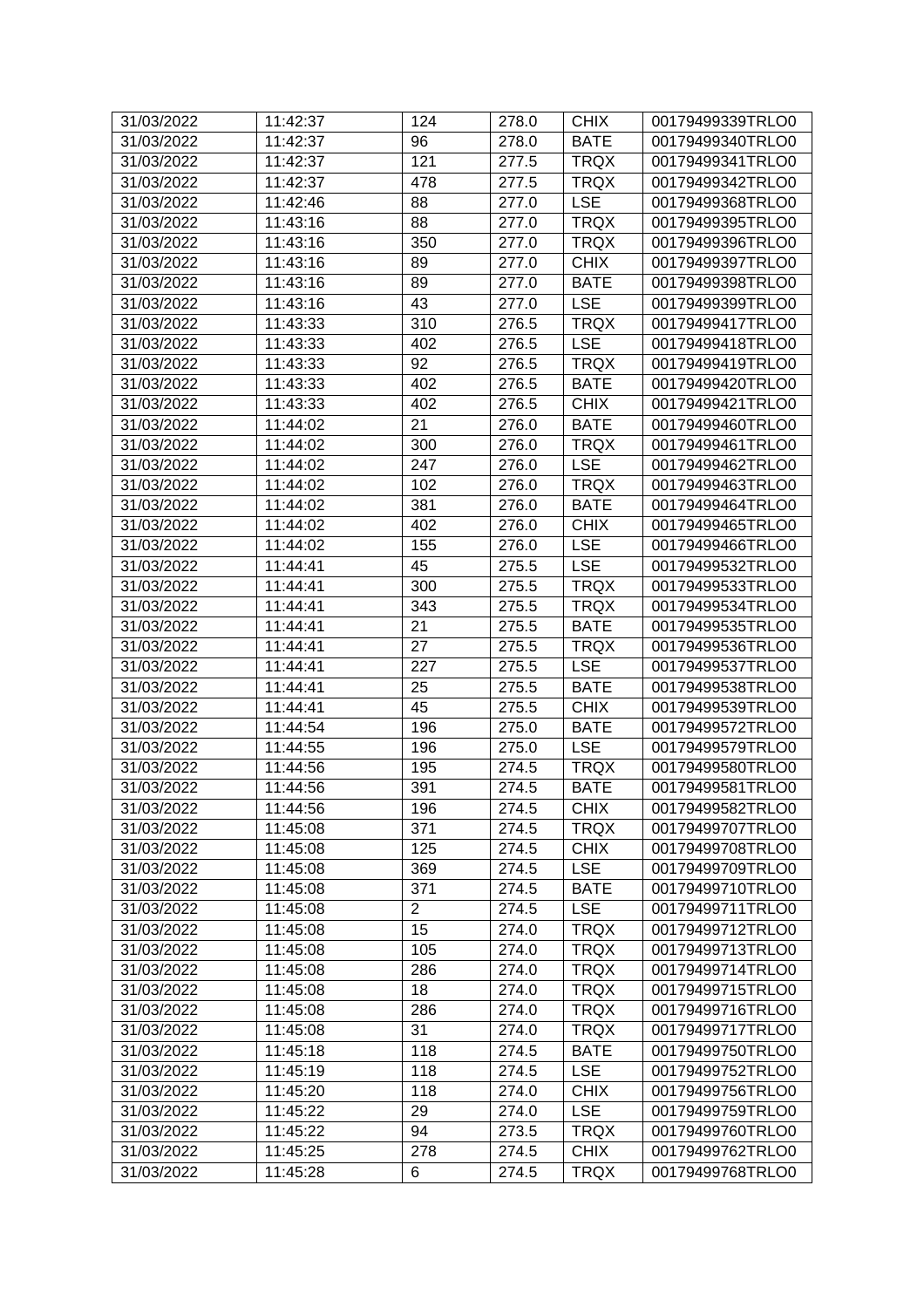| 31/03/2022 | 11:42:37 | 124            | 278.0 | <b>CHIX</b> | 00179499339TRLO0 |
|------------|----------|----------------|-------|-------------|------------------|
| 31/03/2022 | 11:42:37 | 96             | 278.0 | <b>BATE</b> | 00179499340TRLO0 |
| 31/03/2022 | 11:42:37 | 121            | 277.5 | <b>TRQX</b> | 00179499341TRLO0 |
| 31/03/2022 | 11:42:37 | 478            | 277.5 | <b>TRQX</b> | 00179499342TRLO0 |
| 31/03/2022 | 11:42:46 | 88             | 277.0 | <b>LSE</b>  | 00179499368TRLO0 |
| 31/03/2022 | 11:43:16 | 88             | 277.0 | <b>TRQX</b> | 00179499395TRLO0 |
| 31/03/2022 | 11:43:16 | 350            | 277.0 | <b>TRQX</b> | 00179499396TRLO0 |
| 31/03/2022 | 11:43:16 | 89             | 277.0 | <b>CHIX</b> | 00179499397TRLO0 |
| 31/03/2022 | 11:43:16 | 89             | 277.0 | <b>BATE</b> | 00179499398TRLO0 |
| 31/03/2022 | 11:43:16 | 43             | 277.0 | <b>LSE</b>  | 00179499399TRLO0 |
| 31/03/2022 | 11:43:33 | 310            | 276.5 | <b>TRQX</b> | 00179499417TRLO0 |
| 31/03/2022 | 11:43:33 | 402            | 276.5 | <b>LSE</b>  | 00179499418TRLO0 |
| 31/03/2022 | 11:43:33 | 92             | 276.5 | <b>TRQX</b> | 00179499419TRLO0 |
| 31/03/2022 | 11:43:33 | 402            | 276.5 | <b>BATE</b> | 00179499420TRLO0 |
| 31/03/2022 | 11:43:33 | 402            | 276.5 | <b>CHIX</b> | 00179499421TRLO0 |
| 31/03/2022 | 11:44:02 | 21             | 276.0 | <b>BATE</b> | 00179499460TRLO0 |
| 31/03/2022 | 11:44:02 | 300            | 276.0 | <b>TRQX</b> | 00179499461TRLO0 |
| 31/03/2022 | 11:44:02 | 247            | 276.0 | <b>LSE</b>  | 00179499462TRLO0 |
| 31/03/2022 | 11:44:02 | 102            | 276.0 | <b>TRQX</b> | 00179499463TRLO0 |
| 31/03/2022 | 11:44:02 | 381            | 276.0 | <b>BATE</b> | 00179499464TRLO0 |
| 31/03/2022 | 11:44:02 | 402            | 276.0 | <b>CHIX</b> | 00179499465TRLO0 |
| 31/03/2022 | 11:44:02 | 155            | 276.0 | <b>LSE</b>  | 00179499466TRLO0 |
|            |          | 45             |       | <b>LSE</b>  |                  |
| 31/03/2022 | 11:44:41 |                | 275.5 |             | 00179499532TRLO0 |
| 31/03/2022 | 11:44:41 | 300            | 275.5 | <b>TRQX</b> | 00179499533TRLO0 |
| 31/03/2022 | 11:44:41 | 343            | 275.5 | <b>TRQX</b> | 00179499534TRLO0 |
| 31/03/2022 | 11:44:41 | 21             | 275.5 | <b>BATE</b> | 00179499535TRLO0 |
| 31/03/2022 | 11:44:41 | 27             | 275.5 | <b>TRQX</b> | 00179499536TRLO0 |
| 31/03/2022 | 11:44:41 | 227            | 275.5 | <b>LSE</b>  | 00179499537TRLO0 |
| 31/03/2022 | 11:44:41 | 25             | 275.5 | <b>BATE</b> | 00179499538TRLO0 |
| 31/03/2022 | 11:44:41 | 45             | 275.5 | <b>CHIX</b> | 00179499539TRLO0 |
| 31/03/2022 | 11:44:54 | 196            | 275.0 | <b>BATE</b> | 00179499572TRLO0 |
| 31/03/2022 | 11:44:55 | 196            | 275.0 | <b>LSE</b>  | 00179499579TRLO0 |
| 31/03/2022 | 11:44:56 | 195            | 274.5 | <b>TRQX</b> | 00179499580TRLO0 |
| 31/03/2022 | 11:44:56 | 391            | 274.5 | <b>BATE</b> | 00179499581TRLO0 |
| 31/03/2022 | 11:44:56 | 196            | 274.5 | <b>CHIX</b> | 00179499582TRLO0 |
| 31/03/2022 | 11:45:08 | 371            | 274.5 | <b>TRQX</b> | 00179499707TRLO0 |
| 31/03/2022 | 11:45:08 | 125            | 274.5 | <b>CHIX</b> | 00179499708TRLO0 |
| 31/03/2022 | 11:45:08 | 369            | 274.5 | <b>LSE</b>  | 00179499709TRLO0 |
| 31/03/2022 | 11:45:08 | 371            | 274.5 | <b>BATE</b> | 00179499710TRLO0 |
| 31/03/2022 | 11:45:08 | $\overline{2}$ | 274.5 | <b>LSE</b>  | 00179499711TRLO0 |
| 31/03/2022 | 11:45:08 | 15             | 274.0 | <b>TRQX</b> | 00179499712TRLO0 |
| 31/03/2022 | 11:45:08 | 105            | 274.0 | <b>TRQX</b> | 00179499713TRLO0 |
| 31/03/2022 | 11:45:08 | 286            | 274.0 | <b>TRQX</b> | 00179499714TRLO0 |
| 31/03/2022 | 11:45:08 | 18             | 274.0 | <b>TRQX</b> | 00179499715TRLO0 |
| 31/03/2022 | 11:45:08 | 286            | 274.0 | <b>TRQX</b> | 00179499716TRLO0 |
| 31/03/2022 | 11:45:08 | 31             | 274.0 | <b>TRQX</b> | 00179499717TRLO0 |
| 31/03/2022 | 11:45:18 | 118            | 274.5 | <b>BATE</b> | 00179499750TRLO0 |
| 31/03/2022 | 11:45:19 | 118            | 274.5 | <b>LSE</b>  | 00179499752TRLO0 |
| 31/03/2022 | 11:45:20 | 118            | 274.0 | <b>CHIX</b> | 00179499756TRLO0 |
| 31/03/2022 | 11:45:22 | 29             | 274.0 | <b>LSE</b>  | 00179499759TRLO0 |
| 31/03/2022 | 11:45:22 | 94             | 273.5 | <b>TRQX</b> | 00179499760TRLO0 |
| 31/03/2022 | 11:45:25 | 278            | 274.5 | <b>CHIX</b> | 00179499762TRLO0 |
| 31/03/2022 | 11:45:28 | 6              | 274.5 | <b>TRQX</b> | 00179499768TRLO0 |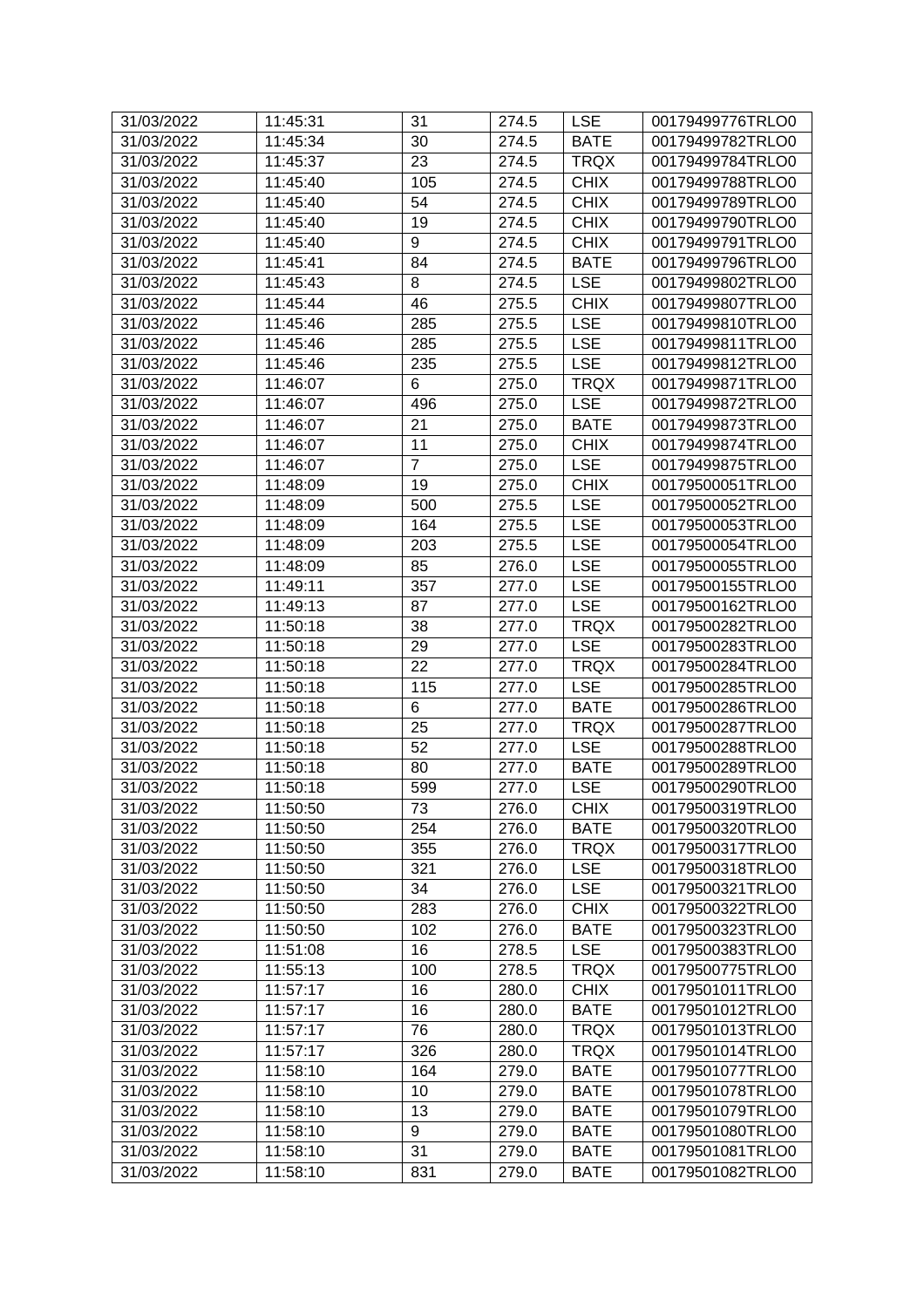| 11:45:34<br><b>BATE</b><br>31/03/2022<br>30<br>274.5<br>00179499782TRLO0<br>31/03/2022<br>11:45:37<br>23<br>274.5<br><b>TRQX</b><br>00179499784TRLO0<br>105<br><b>CHIX</b><br>31/03/2022<br>11:45:40<br>274.5<br>00179499788TRLO0<br>31/03/2022<br>11:45:40<br>54<br>274.5<br><b>CHIX</b><br>00179499789TRLO0<br>19<br>274.5<br><b>CHIX</b><br>31/03/2022<br>11:45:40<br>00179499790TRLO0<br><b>CHIX</b><br>31/03/2022<br>11:45:40<br>9<br>274.5<br>00179499791TRLO0<br>31/03/2022<br><b>BATE</b><br>11:45:41<br>84<br>274.5<br>00179499796TRLO0<br>8<br><b>LSE</b><br>31/03/2022<br>11:45:43<br>274.5<br>00179499802TRLO0<br>46<br><b>CHIX</b><br>31/03/2022<br>11:45:44<br>275.5<br>00179499807TRLO0<br>285<br><b>LSE</b><br>31/03/2022<br>11:45:46<br>275.5<br>00179499810TRLO0<br><b>LSE</b><br>11:45:46<br>285<br>31/03/2022<br>275.5<br>00179499811TRLO0<br>235<br><b>LSE</b><br>31/03/2022<br>11:45:46<br>275.5<br>00179499812TRLO0<br><b>TRQX</b><br>31/03/2022<br>11:46:07<br>275.0<br>00179499871TRLO0<br>6<br><b>LSE</b><br>31/03/2022<br>496<br>275.0<br>00179499872TRLO0<br>11:46:07<br>21<br><b>BATE</b><br>31/03/2022<br>11:46:07<br>275.0<br>00179499873TRLO0<br>11<br><b>CHIX</b><br>31/03/2022<br>11:46:07<br>275.0<br>00179499874TRLO0<br>$\overline{7}$<br><b>LSE</b><br>31/03/2022<br>11:46:07<br>275.0<br>00179499875TRLO0<br><b>CHIX</b><br>31/03/2022<br>11:48:09<br>19<br>275.0<br>00179500051TRLO0<br>31/03/2022<br>500<br>275.5<br><b>LSE</b><br>00179500052TRLO0<br>11:48:09<br><b>LSE</b><br>31/03/2022<br>164<br>275.5<br>00179500053TRLO0<br>11:48:09<br><b>LSE</b><br>203<br>31/03/2022<br>11:48:09<br>275.5<br>00179500054TRLO0<br>85<br><b>LSE</b><br>276.0<br>31/03/2022<br>11:48:09<br>00179500055TRLO0<br>357<br><b>LSE</b><br>31/03/2022<br>11:49:11<br>277.0<br>00179500155TRLO0<br><b>LSE</b><br>31/03/2022<br>11:49:13<br>87<br>277.0<br>00179500162TRLO0<br>31/03/2022<br>11:50:18<br><b>TRQX</b><br>00179500282TRLO0<br>38<br>277.0<br><b>LSE</b><br>31/03/2022<br>11:50:18<br>29<br>277.0<br>00179500283TRLO0<br>22<br><b>TRQX</b><br>31/03/2022<br>11:50:18<br>277.0<br>00179500284TRLO0<br>115<br><b>LSE</b><br>31/03/2022<br>11:50:18<br>277.0<br>00179500285TRLO0<br><b>BATE</b><br>31/03/2022<br>11:50:18<br>6<br>277.0<br>00179500286TRLO0<br>31/03/2022<br>25<br><b>TRQX</b><br>11:50:18<br>277.0<br>00179500287TRLO0<br>31/03/2022<br>11:50:18<br>52<br><b>LSE</b><br>00179500288TRLO0<br>277.0<br>80<br>31/03/2022<br>11:50:18<br>277.0<br><b>BATE</b><br>00179500289TRLO0<br><b>LSE</b><br>31/03/2022<br>599<br>277.0<br>11:50:18<br>00179500290TRLO0<br>$\overline{73}$<br>31/03/2022<br>11:50:50<br>276.0<br><b>CHIX</b><br>00179500319TRLO0<br>254<br><b>BATE</b><br>31/03/2022<br>11:50:50<br>276.0<br>00179500320TRLO0<br>31/03/2022<br>355<br>11:50:50<br>276.0<br><b>TRQX</b><br>00179500317TRLO0<br>31/03/2022<br>321<br>276.0<br><b>LSE</b><br>11:50:50<br>00179500318TRLO0<br><b>LSE</b><br>31/03/2022<br>34<br>276.0<br>00179500321TRLO0<br>11:50:50<br>283<br><b>CHIX</b><br>31/03/2022<br>11:50:50<br>276.0<br>00179500322TRLO0<br>31/03/2022<br>11:50:50<br>102<br>276.0<br><b>BATE</b><br>00179500323TRLO0<br>16<br><b>LSE</b><br>31/03/2022<br>11:51:08<br>278.5<br>00179500383TRLO0<br><b>TRQX</b><br>31/03/2022<br>11:55:13<br>100<br>278.5<br>00179500775TRLO0<br>31/03/2022<br>11:57:17<br>280.0<br><b>CHIX</b><br>16<br>00179501011TRLO0<br>16<br>280.0<br><b>BATE</b><br>31/03/2022<br>11:57:17<br>00179501012TRLO0<br>76<br>31/03/2022<br>11:57:17<br><b>TRQX</b><br>00179501013TRLO0<br>280.0<br>326<br><b>TRQX</b><br>31/03/2022<br>11:57:17<br>280.0<br>00179501014TRLO0<br><b>BATE</b><br>31/03/2022<br>11:58:10<br>164<br>279.0<br>00179501077TRLO0<br>31/03/2022<br>11:58:10<br>10<br><b>BATE</b><br>00179501078TRLO0<br>279.0<br>31/03/2022<br>11:58:10<br>13<br>279.0<br><b>BATE</b><br>00179501079TRLO0<br>9<br>279.0<br><b>BATE</b><br>31/03/2022<br>11:58:10<br>00179501080TRLO0<br>31<br>31/03/2022<br>11:58:10<br>279.0<br><b>BATE</b><br>00179501081TRLO0<br>31/03/2022<br>11:58:10<br>831<br>279.0<br><b>BATE</b><br>00179501082TRLO0 | 31/03/2022 | 11:45:31 | 31 | 274.5 | <b>LSE</b> | 00179499776TRLO0 |
|-----------------------------------------------------------------------------------------------------------------------------------------------------------------------------------------------------------------------------------------------------------------------------------------------------------------------------------------------------------------------------------------------------------------------------------------------------------------------------------------------------------------------------------------------------------------------------------------------------------------------------------------------------------------------------------------------------------------------------------------------------------------------------------------------------------------------------------------------------------------------------------------------------------------------------------------------------------------------------------------------------------------------------------------------------------------------------------------------------------------------------------------------------------------------------------------------------------------------------------------------------------------------------------------------------------------------------------------------------------------------------------------------------------------------------------------------------------------------------------------------------------------------------------------------------------------------------------------------------------------------------------------------------------------------------------------------------------------------------------------------------------------------------------------------------------------------------------------------------------------------------------------------------------------------------------------------------------------------------------------------------------------------------------------------------------------------------------------------------------------------------------------------------------------------------------------------------------------------------------------------------------------------------------------------------------------------------------------------------------------------------------------------------------------------------------------------------------------------------------------------------------------------------------------------------------------------------------------------------------------------------------------------------------------------------------------------------------------------------------------------------------------------------------------------------------------------------------------------------------------------------------------------------------------------------------------------------------------------------------------------------------------------------------------------------------------------------------------------------------------------------------------------------------------------------------------------------------------------------------------------------------------------------------------------------------------------------------------------------------------------------------------------------------------------------------------------------------------------------------------------------------------------------------------------------------------------------------------------------------------------------------------------------------------------------------------------------------------------------------------------------------------------------------------------------------------------------------------------------------------------------------------------------------------------------------------------------------------------------------------------------------------------------------------------------------------------------------------------------------------------------------|------------|----------|----|-------|------------|------------------|
|                                                                                                                                                                                                                                                                                                                                                                                                                                                                                                                                                                                                                                                                                                                                                                                                                                                                                                                                                                                                                                                                                                                                                                                                                                                                                                                                                                                                                                                                                                                                                                                                                                                                                                                                                                                                                                                                                                                                                                                                                                                                                                                                                                                                                                                                                                                                                                                                                                                                                                                                                                                                                                                                                                                                                                                                                                                                                                                                                                                                                                                                                                                                                                                                                                                                                                                                                                                                                                                                                                                                                                                                                                                                                                                                                                                                                                                                                                                                                                                                                                                                                                                                   |            |          |    |       |            |                  |
|                                                                                                                                                                                                                                                                                                                                                                                                                                                                                                                                                                                                                                                                                                                                                                                                                                                                                                                                                                                                                                                                                                                                                                                                                                                                                                                                                                                                                                                                                                                                                                                                                                                                                                                                                                                                                                                                                                                                                                                                                                                                                                                                                                                                                                                                                                                                                                                                                                                                                                                                                                                                                                                                                                                                                                                                                                                                                                                                                                                                                                                                                                                                                                                                                                                                                                                                                                                                                                                                                                                                                                                                                                                                                                                                                                                                                                                                                                                                                                                                                                                                                                                                   |            |          |    |       |            |                  |
|                                                                                                                                                                                                                                                                                                                                                                                                                                                                                                                                                                                                                                                                                                                                                                                                                                                                                                                                                                                                                                                                                                                                                                                                                                                                                                                                                                                                                                                                                                                                                                                                                                                                                                                                                                                                                                                                                                                                                                                                                                                                                                                                                                                                                                                                                                                                                                                                                                                                                                                                                                                                                                                                                                                                                                                                                                                                                                                                                                                                                                                                                                                                                                                                                                                                                                                                                                                                                                                                                                                                                                                                                                                                                                                                                                                                                                                                                                                                                                                                                                                                                                                                   |            |          |    |       |            |                  |
|                                                                                                                                                                                                                                                                                                                                                                                                                                                                                                                                                                                                                                                                                                                                                                                                                                                                                                                                                                                                                                                                                                                                                                                                                                                                                                                                                                                                                                                                                                                                                                                                                                                                                                                                                                                                                                                                                                                                                                                                                                                                                                                                                                                                                                                                                                                                                                                                                                                                                                                                                                                                                                                                                                                                                                                                                                                                                                                                                                                                                                                                                                                                                                                                                                                                                                                                                                                                                                                                                                                                                                                                                                                                                                                                                                                                                                                                                                                                                                                                                                                                                                                                   |            |          |    |       |            |                  |
|                                                                                                                                                                                                                                                                                                                                                                                                                                                                                                                                                                                                                                                                                                                                                                                                                                                                                                                                                                                                                                                                                                                                                                                                                                                                                                                                                                                                                                                                                                                                                                                                                                                                                                                                                                                                                                                                                                                                                                                                                                                                                                                                                                                                                                                                                                                                                                                                                                                                                                                                                                                                                                                                                                                                                                                                                                                                                                                                                                                                                                                                                                                                                                                                                                                                                                                                                                                                                                                                                                                                                                                                                                                                                                                                                                                                                                                                                                                                                                                                                                                                                                                                   |            |          |    |       |            |                  |
|                                                                                                                                                                                                                                                                                                                                                                                                                                                                                                                                                                                                                                                                                                                                                                                                                                                                                                                                                                                                                                                                                                                                                                                                                                                                                                                                                                                                                                                                                                                                                                                                                                                                                                                                                                                                                                                                                                                                                                                                                                                                                                                                                                                                                                                                                                                                                                                                                                                                                                                                                                                                                                                                                                                                                                                                                                                                                                                                                                                                                                                                                                                                                                                                                                                                                                                                                                                                                                                                                                                                                                                                                                                                                                                                                                                                                                                                                                                                                                                                                                                                                                                                   |            |          |    |       |            |                  |
|                                                                                                                                                                                                                                                                                                                                                                                                                                                                                                                                                                                                                                                                                                                                                                                                                                                                                                                                                                                                                                                                                                                                                                                                                                                                                                                                                                                                                                                                                                                                                                                                                                                                                                                                                                                                                                                                                                                                                                                                                                                                                                                                                                                                                                                                                                                                                                                                                                                                                                                                                                                                                                                                                                                                                                                                                                                                                                                                                                                                                                                                                                                                                                                                                                                                                                                                                                                                                                                                                                                                                                                                                                                                                                                                                                                                                                                                                                                                                                                                                                                                                                                                   |            |          |    |       |            |                  |
|                                                                                                                                                                                                                                                                                                                                                                                                                                                                                                                                                                                                                                                                                                                                                                                                                                                                                                                                                                                                                                                                                                                                                                                                                                                                                                                                                                                                                                                                                                                                                                                                                                                                                                                                                                                                                                                                                                                                                                                                                                                                                                                                                                                                                                                                                                                                                                                                                                                                                                                                                                                                                                                                                                                                                                                                                                                                                                                                                                                                                                                                                                                                                                                                                                                                                                                                                                                                                                                                                                                                                                                                                                                                                                                                                                                                                                                                                                                                                                                                                                                                                                                                   |            |          |    |       |            |                  |
|                                                                                                                                                                                                                                                                                                                                                                                                                                                                                                                                                                                                                                                                                                                                                                                                                                                                                                                                                                                                                                                                                                                                                                                                                                                                                                                                                                                                                                                                                                                                                                                                                                                                                                                                                                                                                                                                                                                                                                                                                                                                                                                                                                                                                                                                                                                                                                                                                                                                                                                                                                                                                                                                                                                                                                                                                                                                                                                                                                                                                                                                                                                                                                                                                                                                                                                                                                                                                                                                                                                                                                                                                                                                                                                                                                                                                                                                                                                                                                                                                                                                                                                                   |            |          |    |       |            |                  |
|                                                                                                                                                                                                                                                                                                                                                                                                                                                                                                                                                                                                                                                                                                                                                                                                                                                                                                                                                                                                                                                                                                                                                                                                                                                                                                                                                                                                                                                                                                                                                                                                                                                                                                                                                                                                                                                                                                                                                                                                                                                                                                                                                                                                                                                                                                                                                                                                                                                                                                                                                                                                                                                                                                                                                                                                                                                                                                                                                                                                                                                                                                                                                                                                                                                                                                                                                                                                                                                                                                                                                                                                                                                                                                                                                                                                                                                                                                                                                                                                                                                                                                                                   |            |          |    |       |            |                  |
|                                                                                                                                                                                                                                                                                                                                                                                                                                                                                                                                                                                                                                                                                                                                                                                                                                                                                                                                                                                                                                                                                                                                                                                                                                                                                                                                                                                                                                                                                                                                                                                                                                                                                                                                                                                                                                                                                                                                                                                                                                                                                                                                                                                                                                                                                                                                                                                                                                                                                                                                                                                                                                                                                                                                                                                                                                                                                                                                                                                                                                                                                                                                                                                                                                                                                                                                                                                                                                                                                                                                                                                                                                                                                                                                                                                                                                                                                                                                                                                                                                                                                                                                   |            |          |    |       |            |                  |
|                                                                                                                                                                                                                                                                                                                                                                                                                                                                                                                                                                                                                                                                                                                                                                                                                                                                                                                                                                                                                                                                                                                                                                                                                                                                                                                                                                                                                                                                                                                                                                                                                                                                                                                                                                                                                                                                                                                                                                                                                                                                                                                                                                                                                                                                                                                                                                                                                                                                                                                                                                                                                                                                                                                                                                                                                                                                                                                                                                                                                                                                                                                                                                                                                                                                                                                                                                                                                                                                                                                                                                                                                                                                                                                                                                                                                                                                                                                                                                                                                                                                                                                                   |            |          |    |       |            |                  |
|                                                                                                                                                                                                                                                                                                                                                                                                                                                                                                                                                                                                                                                                                                                                                                                                                                                                                                                                                                                                                                                                                                                                                                                                                                                                                                                                                                                                                                                                                                                                                                                                                                                                                                                                                                                                                                                                                                                                                                                                                                                                                                                                                                                                                                                                                                                                                                                                                                                                                                                                                                                                                                                                                                                                                                                                                                                                                                                                                                                                                                                                                                                                                                                                                                                                                                                                                                                                                                                                                                                                                                                                                                                                                                                                                                                                                                                                                                                                                                                                                                                                                                                                   |            |          |    |       |            |                  |
|                                                                                                                                                                                                                                                                                                                                                                                                                                                                                                                                                                                                                                                                                                                                                                                                                                                                                                                                                                                                                                                                                                                                                                                                                                                                                                                                                                                                                                                                                                                                                                                                                                                                                                                                                                                                                                                                                                                                                                                                                                                                                                                                                                                                                                                                                                                                                                                                                                                                                                                                                                                                                                                                                                                                                                                                                                                                                                                                                                                                                                                                                                                                                                                                                                                                                                                                                                                                                                                                                                                                                                                                                                                                                                                                                                                                                                                                                                                                                                                                                                                                                                                                   |            |          |    |       |            |                  |
|                                                                                                                                                                                                                                                                                                                                                                                                                                                                                                                                                                                                                                                                                                                                                                                                                                                                                                                                                                                                                                                                                                                                                                                                                                                                                                                                                                                                                                                                                                                                                                                                                                                                                                                                                                                                                                                                                                                                                                                                                                                                                                                                                                                                                                                                                                                                                                                                                                                                                                                                                                                                                                                                                                                                                                                                                                                                                                                                                                                                                                                                                                                                                                                                                                                                                                                                                                                                                                                                                                                                                                                                                                                                                                                                                                                                                                                                                                                                                                                                                                                                                                                                   |            |          |    |       |            |                  |
|                                                                                                                                                                                                                                                                                                                                                                                                                                                                                                                                                                                                                                                                                                                                                                                                                                                                                                                                                                                                                                                                                                                                                                                                                                                                                                                                                                                                                                                                                                                                                                                                                                                                                                                                                                                                                                                                                                                                                                                                                                                                                                                                                                                                                                                                                                                                                                                                                                                                                                                                                                                                                                                                                                                                                                                                                                                                                                                                                                                                                                                                                                                                                                                                                                                                                                                                                                                                                                                                                                                                                                                                                                                                                                                                                                                                                                                                                                                                                                                                                                                                                                                                   |            |          |    |       |            |                  |
|                                                                                                                                                                                                                                                                                                                                                                                                                                                                                                                                                                                                                                                                                                                                                                                                                                                                                                                                                                                                                                                                                                                                                                                                                                                                                                                                                                                                                                                                                                                                                                                                                                                                                                                                                                                                                                                                                                                                                                                                                                                                                                                                                                                                                                                                                                                                                                                                                                                                                                                                                                                                                                                                                                                                                                                                                                                                                                                                                                                                                                                                                                                                                                                                                                                                                                                                                                                                                                                                                                                                                                                                                                                                                                                                                                                                                                                                                                                                                                                                                                                                                                                                   |            |          |    |       |            |                  |
|                                                                                                                                                                                                                                                                                                                                                                                                                                                                                                                                                                                                                                                                                                                                                                                                                                                                                                                                                                                                                                                                                                                                                                                                                                                                                                                                                                                                                                                                                                                                                                                                                                                                                                                                                                                                                                                                                                                                                                                                                                                                                                                                                                                                                                                                                                                                                                                                                                                                                                                                                                                                                                                                                                                                                                                                                                                                                                                                                                                                                                                                                                                                                                                                                                                                                                                                                                                                                                                                                                                                                                                                                                                                                                                                                                                                                                                                                                                                                                                                                                                                                                                                   |            |          |    |       |            |                  |
|                                                                                                                                                                                                                                                                                                                                                                                                                                                                                                                                                                                                                                                                                                                                                                                                                                                                                                                                                                                                                                                                                                                                                                                                                                                                                                                                                                                                                                                                                                                                                                                                                                                                                                                                                                                                                                                                                                                                                                                                                                                                                                                                                                                                                                                                                                                                                                                                                                                                                                                                                                                                                                                                                                                                                                                                                                                                                                                                                                                                                                                                                                                                                                                                                                                                                                                                                                                                                                                                                                                                                                                                                                                                                                                                                                                                                                                                                                                                                                                                                                                                                                                                   |            |          |    |       |            |                  |
|                                                                                                                                                                                                                                                                                                                                                                                                                                                                                                                                                                                                                                                                                                                                                                                                                                                                                                                                                                                                                                                                                                                                                                                                                                                                                                                                                                                                                                                                                                                                                                                                                                                                                                                                                                                                                                                                                                                                                                                                                                                                                                                                                                                                                                                                                                                                                                                                                                                                                                                                                                                                                                                                                                                                                                                                                                                                                                                                                                                                                                                                                                                                                                                                                                                                                                                                                                                                                                                                                                                                                                                                                                                                                                                                                                                                                                                                                                                                                                                                                                                                                                                                   |            |          |    |       |            |                  |
|                                                                                                                                                                                                                                                                                                                                                                                                                                                                                                                                                                                                                                                                                                                                                                                                                                                                                                                                                                                                                                                                                                                                                                                                                                                                                                                                                                                                                                                                                                                                                                                                                                                                                                                                                                                                                                                                                                                                                                                                                                                                                                                                                                                                                                                                                                                                                                                                                                                                                                                                                                                                                                                                                                                                                                                                                                                                                                                                                                                                                                                                                                                                                                                                                                                                                                                                                                                                                                                                                                                                                                                                                                                                                                                                                                                                                                                                                                                                                                                                                                                                                                                                   |            |          |    |       |            |                  |
|                                                                                                                                                                                                                                                                                                                                                                                                                                                                                                                                                                                                                                                                                                                                                                                                                                                                                                                                                                                                                                                                                                                                                                                                                                                                                                                                                                                                                                                                                                                                                                                                                                                                                                                                                                                                                                                                                                                                                                                                                                                                                                                                                                                                                                                                                                                                                                                                                                                                                                                                                                                                                                                                                                                                                                                                                                                                                                                                                                                                                                                                                                                                                                                                                                                                                                                                                                                                                                                                                                                                                                                                                                                                                                                                                                                                                                                                                                                                                                                                                                                                                                                                   |            |          |    |       |            |                  |
|                                                                                                                                                                                                                                                                                                                                                                                                                                                                                                                                                                                                                                                                                                                                                                                                                                                                                                                                                                                                                                                                                                                                                                                                                                                                                                                                                                                                                                                                                                                                                                                                                                                                                                                                                                                                                                                                                                                                                                                                                                                                                                                                                                                                                                                                                                                                                                                                                                                                                                                                                                                                                                                                                                                                                                                                                                                                                                                                                                                                                                                                                                                                                                                                                                                                                                                                                                                                                                                                                                                                                                                                                                                                                                                                                                                                                                                                                                                                                                                                                                                                                                                                   |            |          |    |       |            |                  |
|                                                                                                                                                                                                                                                                                                                                                                                                                                                                                                                                                                                                                                                                                                                                                                                                                                                                                                                                                                                                                                                                                                                                                                                                                                                                                                                                                                                                                                                                                                                                                                                                                                                                                                                                                                                                                                                                                                                                                                                                                                                                                                                                                                                                                                                                                                                                                                                                                                                                                                                                                                                                                                                                                                                                                                                                                                                                                                                                                                                                                                                                                                                                                                                                                                                                                                                                                                                                                                                                                                                                                                                                                                                                                                                                                                                                                                                                                                                                                                                                                                                                                                                                   |            |          |    |       |            |                  |
|                                                                                                                                                                                                                                                                                                                                                                                                                                                                                                                                                                                                                                                                                                                                                                                                                                                                                                                                                                                                                                                                                                                                                                                                                                                                                                                                                                                                                                                                                                                                                                                                                                                                                                                                                                                                                                                                                                                                                                                                                                                                                                                                                                                                                                                                                                                                                                                                                                                                                                                                                                                                                                                                                                                                                                                                                                                                                                                                                                                                                                                                                                                                                                                                                                                                                                                                                                                                                                                                                                                                                                                                                                                                                                                                                                                                                                                                                                                                                                                                                                                                                                                                   |            |          |    |       |            |                  |
|                                                                                                                                                                                                                                                                                                                                                                                                                                                                                                                                                                                                                                                                                                                                                                                                                                                                                                                                                                                                                                                                                                                                                                                                                                                                                                                                                                                                                                                                                                                                                                                                                                                                                                                                                                                                                                                                                                                                                                                                                                                                                                                                                                                                                                                                                                                                                                                                                                                                                                                                                                                                                                                                                                                                                                                                                                                                                                                                                                                                                                                                                                                                                                                                                                                                                                                                                                                                                                                                                                                                                                                                                                                                                                                                                                                                                                                                                                                                                                                                                                                                                                                                   |            |          |    |       |            |                  |
|                                                                                                                                                                                                                                                                                                                                                                                                                                                                                                                                                                                                                                                                                                                                                                                                                                                                                                                                                                                                                                                                                                                                                                                                                                                                                                                                                                                                                                                                                                                                                                                                                                                                                                                                                                                                                                                                                                                                                                                                                                                                                                                                                                                                                                                                                                                                                                                                                                                                                                                                                                                                                                                                                                                                                                                                                                                                                                                                                                                                                                                                                                                                                                                                                                                                                                                                                                                                                                                                                                                                                                                                                                                                                                                                                                                                                                                                                                                                                                                                                                                                                                                                   |            |          |    |       |            |                  |
|                                                                                                                                                                                                                                                                                                                                                                                                                                                                                                                                                                                                                                                                                                                                                                                                                                                                                                                                                                                                                                                                                                                                                                                                                                                                                                                                                                                                                                                                                                                                                                                                                                                                                                                                                                                                                                                                                                                                                                                                                                                                                                                                                                                                                                                                                                                                                                                                                                                                                                                                                                                                                                                                                                                                                                                                                                                                                                                                                                                                                                                                                                                                                                                                                                                                                                                                                                                                                                                                                                                                                                                                                                                                                                                                                                                                                                                                                                                                                                                                                                                                                                                                   |            |          |    |       |            |                  |
|                                                                                                                                                                                                                                                                                                                                                                                                                                                                                                                                                                                                                                                                                                                                                                                                                                                                                                                                                                                                                                                                                                                                                                                                                                                                                                                                                                                                                                                                                                                                                                                                                                                                                                                                                                                                                                                                                                                                                                                                                                                                                                                                                                                                                                                                                                                                                                                                                                                                                                                                                                                                                                                                                                                                                                                                                                                                                                                                                                                                                                                                                                                                                                                                                                                                                                                                                                                                                                                                                                                                                                                                                                                                                                                                                                                                                                                                                                                                                                                                                                                                                                                                   |            |          |    |       |            |                  |
|                                                                                                                                                                                                                                                                                                                                                                                                                                                                                                                                                                                                                                                                                                                                                                                                                                                                                                                                                                                                                                                                                                                                                                                                                                                                                                                                                                                                                                                                                                                                                                                                                                                                                                                                                                                                                                                                                                                                                                                                                                                                                                                                                                                                                                                                                                                                                                                                                                                                                                                                                                                                                                                                                                                                                                                                                                                                                                                                                                                                                                                                                                                                                                                                                                                                                                                                                                                                                                                                                                                                                                                                                                                                                                                                                                                                                                                                                                                                                                                                                                                                                                                                   |            |          |    |       |            |                  |
|                                                                                                                                                                                                                                                                                                                                                                                                                                                                                                                                                                                                                                                                                                                                                                                                                                                                                                                                                                                                                                                                                                                                                                                                                                                                                                                                                                                                                                                                                                                                                                                                                                                                                                                                                                                                                                                                                                                                                                                                                                                                                                                                                                                                                                                                                                                                                                                                                                                                                                                                                                                                                                                                                                                                                                                                                                                                                                                                                                                                                                                                                                                                                                                                                                                                                                                                                                                                                                                                                                                                                                                                                                                                                                                                                                                                                                                                                                                                                                                                                                                                                                                                   |            |          |    |       |            |                  |
|                                                                                                                                                                                                                                                                                                                                                                                                                                                                                                                                                                                                                                                                                                                                                                                                                                                                                                                                                                                                                                                                                                                                                                                                                                                                                                                                                                                                                                                                                                                                                                                                                                                                                                                                                                                                                                                                                                                                                                                                                                                                                                                                                                                                                                                                                                                                                                                                                                                                                                                                                                                                                                                                                                                                                                                                                                                                                                                                                                                                                                                                                                                                                                                                                                                                                                                                                                                                                                                                                                                                                                                                                                                                                                                                                                                                                                                                                                                                                                                                                                                                                                                                   |            |          |    |       |            |                  |
|                                                                                                                                                                                                                                                                                                                                                                                                                                                                                                                                                                                                                                                                                                                                                                                                                                                                                                                                                                                                                                                                                                                                                                                                                                                                                                                                                                                                                                                                                                                                                                                                                                                                                                                                                                                                                                                                                                                                                                                                                                                                                                                                                                                                                                                                                                                                                                                                                                                                                                                                                                                                                                                                                                                                                                                                                                                                                                                                                                                                                                                                                                                                                                                                                                                                                                                                                                                                                                                                                                                                                                                                                                                                                                                                                                                                                                                                                                                                                                                                                                                                                                                                   |            |          |    |       |            |                  |
|                                                                                                                                                                                                                                                                                                                                                                                                                                                                                                                                                                                                                                                                                                                                                                                                                                                                                                                                                                                                                                                                                                                                                                                                                                                                                                                                                                                                                                                                                                                                                                                                                                                                                                                                                                                                                                                                                                                                                                                                                                                                                                                                                                                                                                                                                                                                                                                                                                                                                                                                                                                                                                                                                                                                                                                                                                                                                                                                                                                                                                                                                                                                                                                                                                                                                                                                                                                                                                                                                                                                                                                                                                                                                                                                                                                                                                                                                                                                                                                                                                                                                                                                   |            |          |    |       |            |                  |
|                                                                                                                                                                                                                                                                                                                                                                                                                                                                                                                                                                                                                                                                                                                                                                                                                                                                                                                                                                                                                                                                                                                                                                                                                                                                                                                                                                                                                                                                                                                                                                                                                                                                                                                                                                                                                                                                                                                                                                                                                                                                                                                                                                                                                                                                                                                                                                                                                                                                                                                                                                                                                                                                                                                                                                                                                                                                                                                                                                                                                                                                                                                                                                                                                                                                                                                                                                                                                                                                                                                                                                                                                                                                                                                                                                                                                                                                                                                                                                                                                                                                                                                                   |            |          |    |       |            |                  |
|                                                                                                                                                                                                                                                                                                                                                                                                                                                                                                                                                                                                                                                                                                                                                                                                                                                                                                                                                                                                                                                                                                                                                                                                                                                                                                                                                                                                                                                                                                                                                                                                                                                                                                                                                                                                                                                                                                                                                                                                                                                                                                                                                                                                                                                                                                                                                                                                                                                                                                                                                                                                                                                                                                                                                                                                                                                                                                                                                                                                                                                                                                                                                                                                                                                                                                                                                                                                                                                                                                                                                                                                                                                                                                                                                                                                                                                                                                                                                                                                                                                                                                                                   |            |          |    |       |            |                  |
|                                                                                                                                                                                                                                                                                                                                                                                                                                                                                                                                                                                                                                                                                                                                                                                                                                                                                                                                                                                                                                                                                                                                                                                                                                                                                                                                                                                                                                                                                                                                                                                                                                                                                                                                                                                                                                                                                                                                                                                                                                                                                                                                                                                                                                                                                                                                                                                                                                                                                                                                                                                                                                                                                                                                                                                                                                                                                                                                                                                                                                                                                                                                                                                                                                                                                                                                                                                                                                                                                                                                                                                                                                                                                                                                                                                                                                                                                                                                                                                                                                                                                                                                   |            |          |    |       |            |                  |
|                                                                                                                                                                                                                                                                                                                                                                                                                                                                                                                                                                                                                                                                                                                                                                                                                                                                                                                                                                                                                                                                                                                                                                                                                                                                                                                                                                                                                                                                                                                                                                                                                                                                                                                                                                                                                                                                                                                                                                                                                                                                                                                                                                                                                                                                                                                                                                                                                                                                                                                                                                                                                                                                                                                                                                                                                                                                                                                                                                                                                                                                                                                                                                                                                                                                                                                                                                                                                                                                                                                                                                                                                                                                                                                                                                                                                                                                                                                                                                                                                                                                                                                                   |            |          |    |       |            |                  |
|                                                                                                                                                                                                                                                                                                                                                                                                                                                                                                                                                                                                                                                                                                                                                                                                                                                                                                                                                                                                                                                                                                                                                                                                                                                                                                                                                                                                                                                                                                                                                                                                                                                                                                                                                                                                                                                                                                                                                                                                                                                                                                                                                                                                                                                                                                                                                                                                                                                                                                                                                                                                                                                                                                                                                                                                                                                                                                                                                                                                                                                                                                                                                                                                                                                                                                                                                                                                                                                                                                                                                                                                                                                                                                                                                                                                                                                                                                                                                                                                                                                                                                                                   |            |          |    |       |            |                  |
|                                                                                                                                                                                                                                                                                                                                                                                                                                                                                                                                                                                                                                                                                                                                                                                                                                                                                                                                                                                                                                                                                                                                                                                                                                                                                                                                                                                                                                                                                                                                                                                                                                                                                                                                                                                                                                                                                                                                                                                                                                                                                                                                                                                                                                                                                                                                                                                                                                                                                                                                                                                                                                                                                                                                                                                                                                                                                                                                                                                                                                                                                                                                                                                                                                                                                                                                                                                                                                                                                                                                                                                                                                                                                                                                                                                                                                                                                                                                                                                                                                                                                                                                   |            |          |    |       |            |                  |
|                                                                                                                                                                                                                                                                                                                                                                                                                                                                                                                                                                                                                                                                                                                                                                                                                                                                                                                                                                                                                                                                                                                                                                                                                                                                                                                                                                                                                                                                                                                                                                                                                                                                                                                                                                                                                                                                                                                                                                                                                                                                                                                                                                                                                                                                                                                                                                                                                                                                                                                                                                                                                                                                                                                                                                                                                                                                                                                                                                                                                                                                                                                                                                                                                                                                                                                                                                                                                                                                                                                                                                                                                                                                                                                                                                                                                                                                                                                                                                                                                                                                                                                                   |            |          |    |       |            |                  |
|                                                                                                                                                                                                                                                                                                                                                                                                                                                                                                                                                                                                                                                                                                                                                                                                                                                                                                                                                                                                                                                                                                                                                                                                                                                                                                                                                                                                                                                                                                                                                                                                                                                                                                                                                                                                                                                                                                                                                                                                                                                                                                                                                                                                                                                                                                                                                                                                                                                                                                                                                                                                                                                                                                                                                                                                                                                                                                                                                                                                                                                                                                                                                                                                                                                                                                                                                                                                                                                                                                                                                                                                                                                                                                                                                                                                                                                                                                                                                                                                                                                                                                                                   |            |          |    |       |            |                  |
|                                                                                                                                                                                                                                                                                                                                                                                                                                                                                                                                                                                                                                                                                                                                                                                                                                                                                                                                                                                                                                                                                                                                                                                                                                                                                                                                                                                                                                                                                                                                                                                                                                                                                                                                                                                                                                                                                                                                                                                                                                                                                                                                                                                                                                                                                                                                                                                                                                                                                                                                                                                                                                                                                                                                                                                                                                                                                                                                                                                                                                                                                                                                                                                                                                                                                                                                                                                                                                                                                                                                                                                                                                                                                                                                                                                                                                                                                                                                                                                                                                                                                                                                   |            |          |    |       |            |                  |
|                                                                                                                                                                                                                                                                                                                                                                                                                                                                                                                                                                                                                                                                                                                                                                                                                                                                                                                                                                                                                                                                                                                                                                                                                                                                                                                                                                                                                                                                                                                                                                                                                                                                                                                                                                                                                                                                                                                                                                                                                                                                                                                                                                                                                                                                                                                                                                                                                                                                                                                                                                                                                                                                                                                                                                                                                                                                                                                                                                                                                                                                                                                                                                                                                                                                                                                                                                                                                                                                                                                                                                                                                                                                                                                                                                                                                                                                                                                                                                                                                                                                                                                                   |            |          |    |       |            |                  |
|                                                                                                                                                                                                                                                                                                                                                                                                                                                                                                                                                                                                                                                                                                                                                                                                                                                                                                                                                                                                                                                                                                                                                                                                                                                                                                                                                                                                                                                                                                                                                                                                                                                                                                                                                                                                                                                                                                                                                                                                                                                                                                                                                                                                                                                                                                                                                                                                                                                                                                                                                                                                                                                                                                                                                                                                                                                                                                                                                                                                                                                                                                                                                                                                                                                                                                                                                                                                                                                                                                                                                                                                                                                                                                                                                                                                                                                                                                                                                                                                                                                                                                                                   |            |          |    |       |            |                  |
|                                                                                                                                                                                                                                                                                                                                                                                                                                                                                                                                                                                                                                                                                                                                                                                                                                                                                                                                                                                                                                                                                                                                                                                                                                                                                                                                                                                                                                                                                                                                                                                                                                                                                                                                                                                                                                                                                                                                                                                                                                                                                                                                                                                                                                                                                                                                                                                                                                                                                                                                                                                                                                                                                                                                                                                                                                                                                                                                                                                                                                                                                                                                                                                                                                                                                                                                                                                                                                                                                                                                                                                                                                                                                                                                                                                                                                                                                                                                                                                                                                                                                                                                   |            |          |    |       |            |                  |
|                                                                                                                                                                                                                                                                                                                                                                                                                                                                                                                                                                                                                                                                                                                                                                                                                                                                                                                                                                                                                                                                                                                                                                                                                                                                                                                                                                                                                                                                                                                                                                                                                                                                                                                                                                                                                                                                                                                                                                                                                                                                                                                                                                                                                                                                                                                                                                                                                                                                                                                                                                                                                                                                                                                                                                                                                                                                                                                                                                                                                                                                                                                                                                                                                                                                                                                                                                                                                                                                                                                                                                                                                                                                                                                                                                                                                                                                                                                                                                                                                                                                                                                                   |            |          |    |       |            |                  |
|                                                                                                                                                                                                                                                                                                                                                                                                                                                                                                                                                                                                                                                                                                                                                                                                                                                                                                                                                                                                                                                                                                                                                                                                                                                                                                                                                                                                                                                                                                                                                                                                                                                                                                                                                                                                                                                                                                                                                                                                                                                                                                                                                                                                                                                                                                                                                                                                                                                                                                                                                                                                                                                                                                                                                                                                                                                                                                                                                                                                                                                                                                                                                                                                                                                                                                                                                                                                                                                                                                                                                                                                                                                                                                                                                                                                                                                                                                                                                                                                                                                                                                                                   |            |          |    |       |            |                  |
|                                                                                                                                                                                                                                                                                                                                                                                                                                                                                                                                                                                                                                                                                                                                                                                                                                                                                                                                                                                                                                                                                                                                                                                                                                                                                                                                                                                                                                                                                                                                                                                                                                                                                                                                                                                                                                                                                                                                                                                                                                                                                                                                                                                                                                                                                                                                                                                                                                                                                                                                                                                                                                                                                                                                                                                                                                                                                                                                                                                                                                                                                                                                                                                                                                                                                                                                                                                                                                                                                                                                                                                                                                                                                                                                                                                                                                                                                                                                                                                                                                                                                                                                   |            |          |    |       |            |                  |
|                                                                                                                                                                                                                                                                                                                                                                                                                                                                                                                                                                                                                                                                                                                                                                                                                                                                                                                                                                                                                                                                                                                                                                                                                                                                                                                                                                                                                                                                                                                                                                                                                                                                                                                                                                                                                                                                                                                                                                                                                                                                                                                                                                                                                                                                                                                                                                                                                                                                                                                                                                                                                                                                                                                                                                                                                                                                                                                                                                                                                                                                                                                                                                                                                                                                                                                                                                                                                                                                                                                                                                                                                                                                                                                                                                                                                                                                                                                                                                                                                                                                                                                                   |            |          |    |       |            |                  |
|                                                                                                                                                                                                                                                                                                                                                                                                                                                                                                                                                                                                                                                                                                                                                                                                                                                                                                                                                                                                                                                                                                                                                                                                                                                                                                                                                                                                                                                                                                                                                                                                                                                                                                                                                                                                                                                                                                                                                                                                                                                                                                                                                                                                                                                                                                                                                                                                                                                                                                                                                                                                                                                                                                                                                                                                                                                                                                                                                                                                                                                                                                                                                                                                                                                                                                                                                                                                                                                                                                                                                                                                                                                                                                                                                                                                                                                                                                                                                                                                                                                                                                                                   |            |          |    |       |            |                  |
|                                                                                                                                                                                                                                                                                                                                                                                                                                                                                                                                                                                                                                                                                                                                                                                                                                                                                                                                                                                                                                                                                                                                                                                                                                                                                                                                                                                                                                                                                                                                                                                                                                                                                                                                                                                                                                                                                                                                                                                                                                                                                                                                                                                                                                                                                                                                                                                                                                                                                                                                                                                                                                                                                                                                                                                                                                                                                                                                                                                                                                                                                                                                                                                                                                                                                                                                                                                                                                                                                                                                                                                                                                                                                                                                                                                                                                                                                                                                                                                                                                                                                                                                   |            |          |    |       |            |                  |
|                                                                                                                                                                                                                                                                                                                                                                                                                                                                                                                                                                                                                                                                                                                                                                                                                                                                                                                                                                                                                                                                                                                                                                                                                                                                                                                                                                                                                                                                                                                                                                                                                                                                                                                                                                                                                                                                                                                                                                                                                                                                                                                                                                                                                                                                                                                                                                                                                                                                                                                                                                                                                                                                                                                                                                                                                                                                                                                                                                                                                                                                                                                                                                                                                                                                                                                                                                                                                                                                                                                                                                                                                                                                                                                                                                                                                                                                                                                                                                                                                                                                                                                                   |            |          |    |       |            |                  |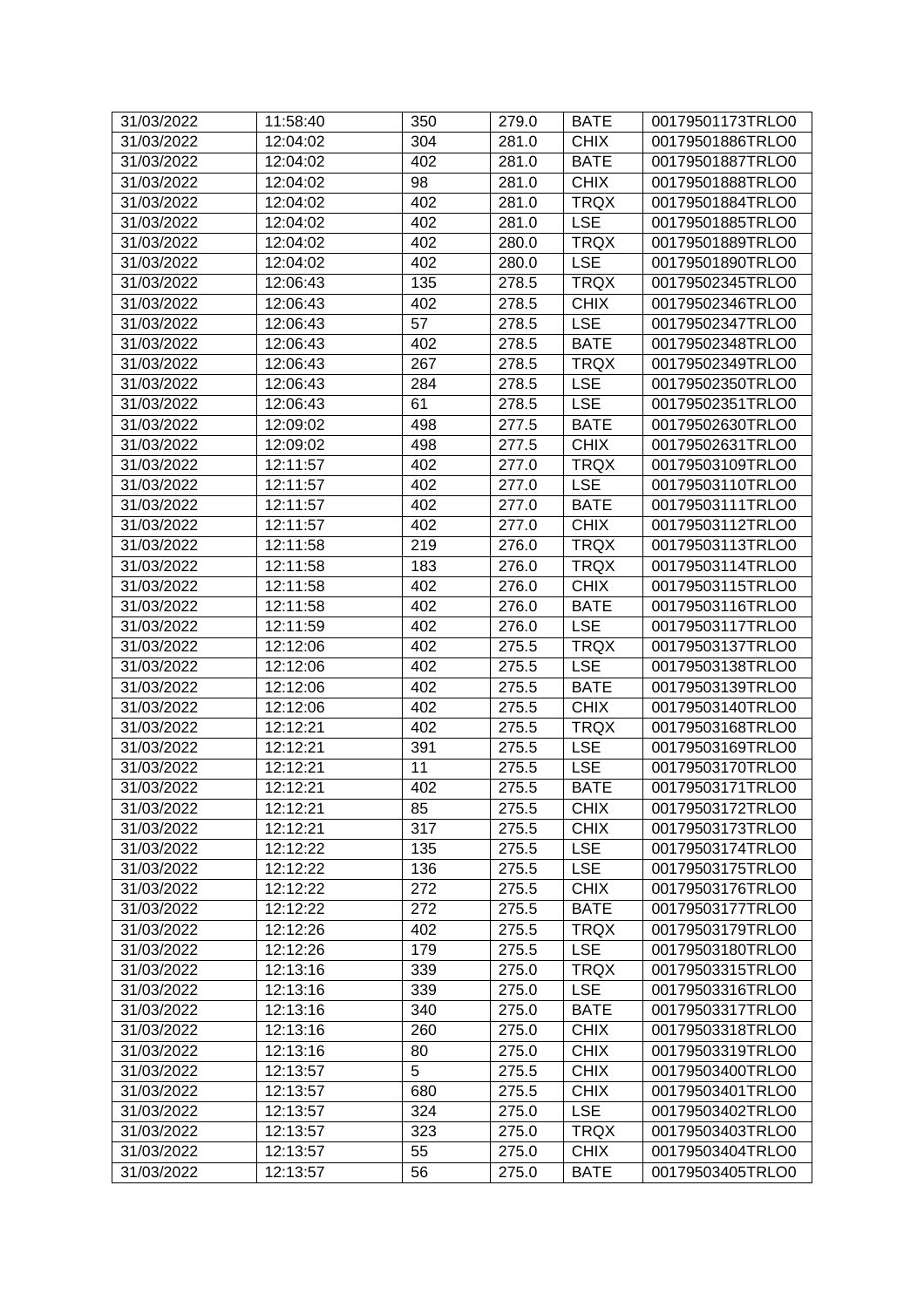| 31/03/2022 | 11:58:40 | 350 | 279.0 | <b>BATE</b> | 00179501173TRLO0 |
|------------|----------|-----|-------|-------------|------------------|
| 31/03/2022 | 12:04:02 | 304 | 281.0 | <b>CHIX</b> | 00179501886TRLO0 |
| 31/03/2022 | 12:04:02 | 402 | 281.0 | <b>BATE</b> | 00179501887TRLO0 |
| 31/03/2022 | 12:04:02 | 98  | 281.0 | <b>CHIX</b> | 00179501888TRLO0 |
| 31/03/2022 | 12:04:02 | 402 | 281.0 | <b>TRQX</b> | 00179501884TRLO0 |
| 31/03/2022 | 12:04:02 | 402 | 281.0 | <b>LSE</b>  | 00179501885TRLO0 |
| 31/03/2022 | 12:04:02 | 402 | 280.0 | <b>TRQX</b> | 00179501889TRLO0 |
| 31/03/2022 | 12:04:02 | 402 | 280.0 | <b>LSE</b>  | 00179501890TRLO0 |
| 31/03/2022 | 12:06:43 | 135 | 278.5 | <b>TRQX</b> | 00179502345TRLO0 |
| 31/03/2022 | 12:06:43 | 402 | 278.5 | <b>CHIX</b> | 00179502346TRLO0 |
| 31/03/2022 | 12:06:43 | 57  | 278.5 | <b>LSE</b>  | 00179502347TRLO0 |
| 31/03/2022 | 12:06:43 | 402 | 278.5 | <b>BATE</b> | 00179502348TRLO0 |
| 31/03/2022 | 12:06:43 | 267 | 278.5 | <b>TRQX</b> | 00179502349TRLO0 |
| 31/03/2022 | 12:06:43 | 284 | 278.5 | <b>LSE</b>  | 00179502350TRLO0 |
| 31/03/2022 | 12:06:43 | 61  | 278.5 | <b>LSE</b>  | 00179502351TRLO0 |
| 31/03/2022 | 12:09:02 | 498 | 277.5 | <b>BATE</b> | 00179502630TRLO0 |
| 31/03/2022 | 12:09:02 | 498 | 277.5 | <b>CHIX</b> | 00179502631TRLO0 |
| 31/03/2022 | 12:11:57 | 402 | 277.0 | <b>TRQX</b> | 00179503109TRLO0 |
| 31/03/2022 | 12:11:57 | 402 | 277.0 | <b>LSE</b>  | 00179503110TRLO0 |
| 31/03/2022 | 12:11:57 | 402 | 277.0 | <b>BATE</b> | 00179503111TRLO0 |
| 31/03/2022 | 12:11:57 | 402 | 277.0 | <b>CHIX</b> | 00179503112TRLO0 |
| 31/03/2022 | 12:11:58 | 219 | 276.0 | <b>TRQX</b> | 00179503113TRLO0 |
| 31/03/2022 | 12:11:58 | 183 | 276.0 | <b>TRQX</b> | 00179503114TRLO0 |
| 31/03/2022 | 12:11:58 | 402 | 276.0 | <b>CHIX</b> | 00179503115TRLO0 |
| 31/03/2022 | 12:11:58 | 402 | 276.0 | <b>BATE</b> | 00179503116TRLO0 |
| 31/03/2022 | 12:11:59 | 402 | 276.0 | <b>LSE</b>  | 00179503117TRLO0 |
| 31/03/2022 | 12:12:06 | 402 | 275.5 | <b>TRQX</b> | 00179503137TRLO0 |
| 31/03/2022 | 12:12:06 | 402 | 275.5 | <b>LSE</b>  | 00179503138TRLO0 |
| 31/03/2022 | 12:12:06 | 402 | 275.5 | <b>BATE</b> | 00179503139TRLO0 |
| 31/03/2022 | 12:12:06 | 402 | 275.5 | <b>CHIX</b> | 00179503140TRLO0 |
| 31/03/2022 | 12:12:21 | 402 | 275.5 | <b>TRQX</b> | 00179503168TRLO0 |
| 31/03/2022 | 12:12:21 | 391 | 275.5 | <b>LSE</b>  | 00179503169TRLO0 |
| 31/03/2022 | 12:12:21 | 11  | 275.5 | <b>LSE</b>  | 00179503170TRLO0 |
| 31/03/2022 | 12:12:21 | 402 | 275.5 | <b>BATE</b> | 00179503171TRLO0 |
| 31/03/2022 | 12:12:21 | 85  | 275.5 | <b>CHIX</b> | 00179503172TRLO0 |
| 31/03/2022 | 12:12:21 | 317 | 275.5 | <b>CHIX</b> | 00179503173TRLO0 |
| 31/03/2022 | 12:12:22 | 135 | 275.5 | <b>LSE</b>  | 00179503174TRLO0 |
| 31/03/2022 | 12:12:22 | 136 | 275.5 | <b>LSE</b>  | 00179503175TRLO0 |
| 31/03/2022 | 12:12:22 | 272 | 275.5 | <b>CHIX</b> | 00179503176TRLO0 |
| 31/03/2022 | 12:12:22 | 272 | 275.5 | <b>BATE</b> | 00179503177TRLO0 |
| 31/03/2022 | 12:12:26 | 402 | 275.5 | <b>TRQX</b> | 00179503179TRLO0 |
| 31/03/2022 | 12:12:26 | 179 | 275.5 | <b>LSE</b>  | 00179503180TRLO0 |
| 31/03/2022 | 12:13:16 | 339 | 275.0 | <b>TRQX</b> | 00179503315TRLO0 |
| 31/03/2022 | 12:13:16 | 339 | 275.0 | <b>LSE</b>  | 00179503316TRLO0 |
| 31/03/2022 | 12:13:16 | 340 | 275.0 | <b>BATE</b> | 00179503317TRLO0 |
| 31/03/2022 | 12:13:16 | 260 | 275.0 | <b>CHIX</b> | 00179503318TRLO0 |
| 31/03/2022 | 12:13:16 | 80  | 275.0 | <b>CHIX</b> | 00179503319TRLO0 |
| 31/03/2022 | 12:13:57 | 5   | 275.5 | <b>CHIX</b> | 00179503400TRLO0 |
| 31/03/2022 | 12:13:57 | 680 | 275.5 | <b>CHIX</b> | 00179503401TRLO0 |
| 31/03/2022 | 12:13:57 | 324 | 275.0 | <b>LSE</b>  | 00179503402TRLO0 |
| 31/03/2022 | 12:13:57 | 323 | 275.0 | <b>TRQX</b> | 00179503403TRLO0 |
| 31/03/2022 | 12:13:57 | 55  | 275.0 | <b>CHIX</b> | 00179503404TRLO0 |
| 31/03/2022 | 12:13:57 | 56  | 275.0 | <b>BATE</b> | 00179503405TRLO0 |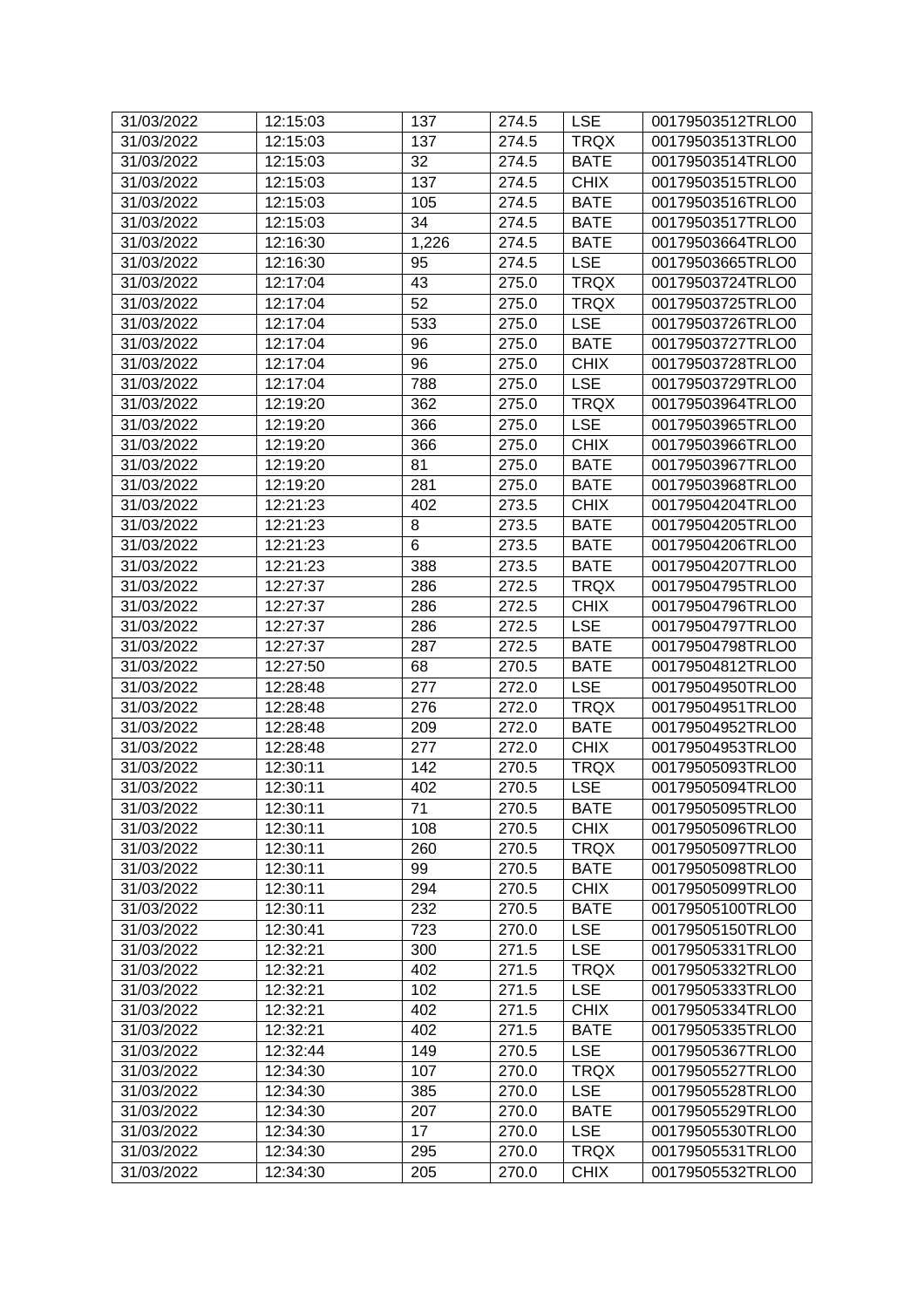| 31/03/2022 | 12:15:03 | 137             | 274.5 | <b>LSE</b>  | 00179503512TRLO0 |
|------------|----------|-----------------|-------|-------------|------------------|
| 31/03/2022 | 12:15:03 | 137             | 274.5 | <b>TRQX</b> | 00179503513TRLO0 |
| 31/03/2022 | 12:15:03 | 32              | 274.5 | <b>BATE</b> | 00179503514TRLO0 |
| 31/03/2022 | 12:15:03 | 137             | 274.5 | <b>CHIX</b> | 00179503515TRLO0 |
| 31/03/2022 | 12:15:03 | 105             | 274.5 | <b>BATE</b> | 00179503516TRLO0 |
| 31/03/2022 | 12:15:03 | 34              | 274.5 | <b>BATE</b> | 00179503517TRLO0 |
| 31/03/2022 | 12:16:30 | 1,226           | 274.5 | <b>BATE</b> | 00179503664TRLO0 |
| 31/03/2022 | 12:16:30 | 95              | 274.5 | <b>LSE</b>  | 00179503665TRLO0 |
| 31/03/2022 | 12:17:04 | 43              | 275.0 | <b>TRQX</b> | 00179503724TRLO0 |
| 31/03/2022 | 12:17:04 | $\overline{52}$ | 275.0 | <b>TRQX</b> | 00179503725TRLO0 |
| 31/03/2022 | 12:17:04 | 533             | 275.0 | <b>LSE</b>  | 00179503726TRLO0 |
| 31/03/2022 | 12:17:04 | 96              | 275.0 | <b>BATE</b> | 00179503727TRLO0 |
| 31/03/2022 | 12:17:04 | 96              | 275.0 | <b>CHIX</b> | 00179503728TRLO0 |
| 31/03/2022 | 12:17:04 | 788             | 275.0 | <b>LSE</b>  | 00179503729TRLO0 |
| 31/03/2022 | 12:19:20 | 362             | 275.0 | <b>TRQX</b> | 00179503964TRLO0 |
| 31/03/2022 | 12:19:20 | 366             | 275.0 | <b>LSE</b>  | 00179503965TRLO0 |
| 31/03/2022 | 12:19:20 | 366             | 275.0 | <b>CHIX</b> | 00179503966TRLO0 |
| 31/03/2022 | 12:19:20 | 81              | 275.0 | <b>BATE</b> | 00179503967TRLO0 |
| 31/03/2022 | 12:19:20 | 281             | 275.0 | <b>BATE</b> | 00179503968TRLO0 |
| 31/03/2022 | 12:21:23 | 402             | 273.5 | <b>CHIX</b> | 00179504204TRLO0 |
| 31/03/2022 | 12:21:23 | 8               | 273.5 | <b>BATE</b> | 00179504205TRLO0 |
| 31/03/2022 | 12:21:23 | 6               | 273.5 | <b>BATE</b> | 00179504206TRLO0 |
| 31/03/2022 | 12:21:23 | 388             | 273.5 | <b>BATE</b> | 00179504207TRLO0 |
| 31/03/2022 | 12:27:37 | 286             | 272.5 | <b>TRQX</b> | 00179504795TRLO0 |
| 31/03/2022 | 12:27:37 | 286             | 272.5 | <b>CHIX</b> | 00179504796TRLO0 |
| 31/03/2022 | 12:27:37 | 286             | 272.5 | <b>LSE</b>  | 00179504797TRLO0 |
| 31/03/2022 | 12:27:37 | 287             | 272.5 | <b>BATE</b> | 00179504798TRLO0 |
| 31/03/2022 | 12:27:50 | 68              | 270.5 | <b>BATE</b> | 00179504812TRLO0 |
| 31/03/2022 | 12:28:48 | 277             | 272.0 | <b>LSE</b>  | 00179504950TRLO0 |
| 31/03/2022 | 12:28:48 | 276             | 272.0 | <b>TRQX</b> | 00179504951TRLO0 |
| 31/03/2022 | 12:28:48 | 209             | 272.0 | <b>BATE</b> | 00179504952TRLO0 |
| 31/03/2022 | 12:28:48 | 277             | 272.0 | <b>CHIX</b> | 00179504953TRLO0 |
| 31/03/2022 | 12:30:11 | 142             | 270.5 | <b>TRQX</b> | 00179505093TRLO0 |
| 31/03/2022 | 12:30:11 | 402             | 270.5 | <b>LSE</b>  | 00179505094TRLO0 |
| 31/03/2022 | 12:30:11 | $\overline{71}$ | 270.5 | <b>BATE</b> | 00179505095TRLO0 |
| 31/03/2022 | 12:30:11 | 108             | 270.5 | <b>CHIX</b> | 00179505096TRLO0 |
| 31/03/2022 | 12:30:11 | 260             | 270.5 | <b>TRQX</b> | 00179505097TRLO0 |
| 31/03/2022 | 12:30:11 | 99              | 270.5 | <b>BATE</b> | 00179505098TRLO0 |
| 31/03/2022 | 12:30:11 | 294             | 270.5 | <b>CHIX</b> | 00179505099TRLO0 |
| 31/03/2022 | 12:30:11 | 232             | 270.5 | <b>BATE</b> | 00179505100TRLO0 |
| 31/03/2022 | 12:30:41 | 723             | 270.0 | <b>LSE</b>  | 00179505150TRLO0 |
| 31/03/2022 | 12:32:21 | 300             | 271.5 | <b>LSE</b>  | 00179505331TRLO0 |
| 31/03/2022 | 12:32:21 | 402             | 271.5 | <b>TRQX</b> | 00179505332TRLO0 |
| 31/03/2022 | 12:32:21 | 102             | 271.5 | <b>LSE</b>  | 00179505333TRLO0 |
| 31/03/2022 | 12:32:21 | 402             | 271.5 | <b>CHIX</b> | 00179505334TRLO0 |
| 31/03/2022 | 12:32:21 | 402             | 271.5 | <b>BATE</b> | 00179505335TRLO0 |
| 31/03/2022 | 12:32:44 | 149             | 270.5 | <b>LSE</b>  | 00179505367TRLO0 |
| 31/03/2022 | 12:34:30 | 107             | 270.0 | <b>TRQX</b> | 00179505527TRLO0 |
| 31/03/2022 | 12:34:30 | 385             | 270.0 | <b>LSE</b>  | 00179505528TRLO0 |
| 31/03/2022 | 12:34:30 | 207             | 270.0 | <b>BATE</b> | 00179505529TRLO0 |
| 31/03/2022 | 12:34:30 | 17              | 270.0 | <b>LSE</b>  | 00179505530TRLO0 |
| 31/03/2022 | 12:34:30 | 295             | 270.0 | <b>TRQX</b> | 00179505531TRLO0 |
| 31/03/2022 | 12:34:30 | 205             | 270.0 | <b>CHIX</b> | 00179505532TRLO0 |
|            |          |                 |       |             |                  |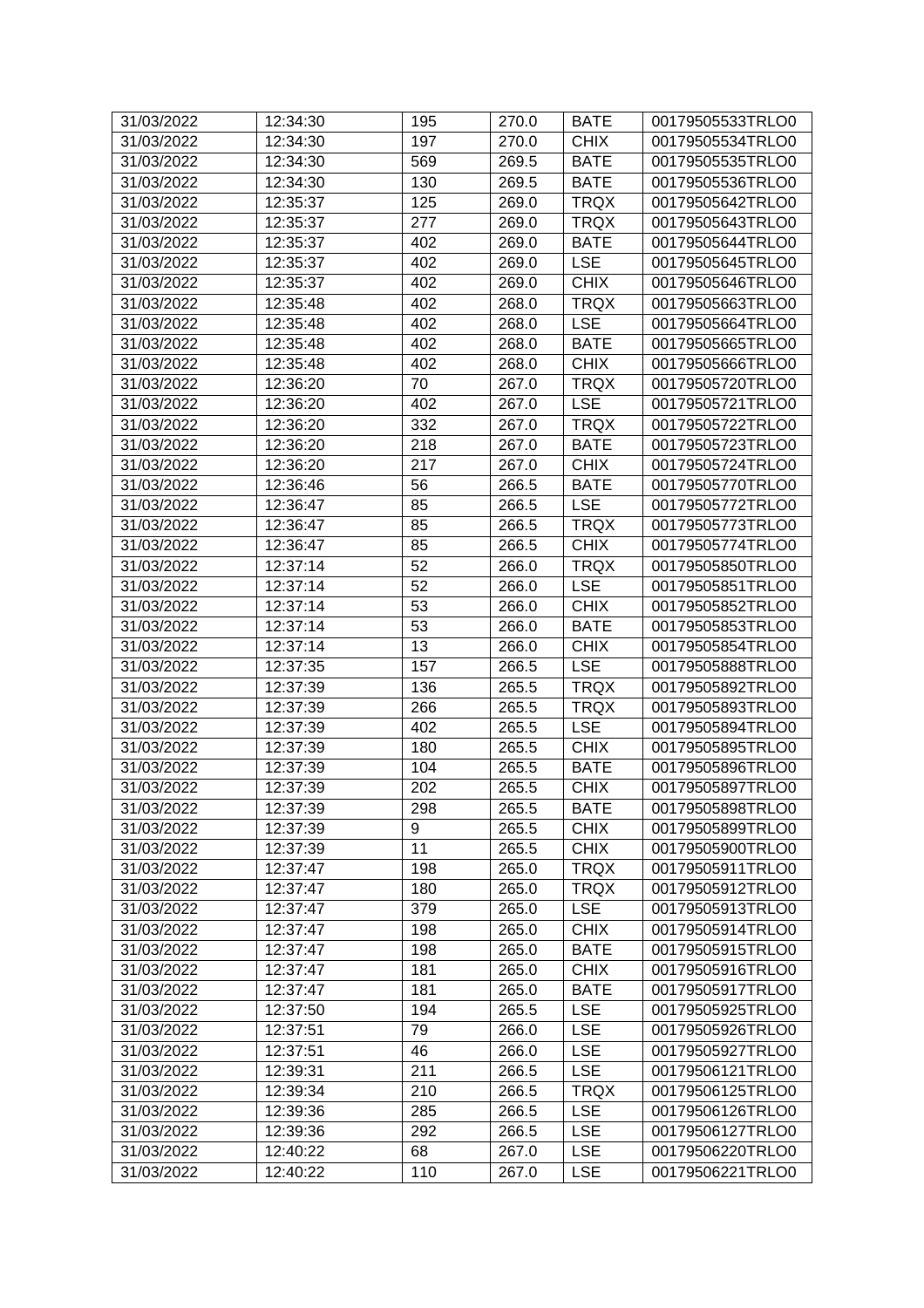| 31/03/2022 | 12:34:30 | 195 | 270.0 | <b>BATE</b> | 00179505533TRLO0 |
|------------|----------|-----|-------|-------------|------------------|
| 31/03/2022 | 12:34:30 | 197 | 270.0 | <b>CHIX</b> | 00179505534TRLO0 |
| 31/03/2022 | 12:34:30 | 569 | 269.5 | <b>BATE</b> | 00179505535TRLO0 |
| 31/03/2022 | 12:34:30 | 130 | 269.5 | <b>BATE</b> | 00179505536TRLO0 |
| 31/03/2022 | 12:35:37 | 125 | 269.0 | <b>TRQX</b> | 00179505642TRLO0 |
| 31/03/2022 | 12:35:37 | 277 | 269.0 | <b>TRQX</b> | 00179505643TRLO0 |
| 31/03/2022 | 12:35:37 | 402 | 269.0 | <b>BATE</b> | 00179505644TRLO0 |
| 31/03/2022 | 12:35:37 | 402 | 269.0 | <b>LSE</b>  | 00179505645TRLO0 |
| 31/03/2022 | 12:35:37 | 402 | 269.0 | <b>CHIX</b> | 00179505646TRLO0 |
| 31/03/2022 | 12:35:48 | 402 | 268.0 | <b>TRQX</b> | 00179505663TRLO0 |
| 31/03/2022 | 12:35:48 | 402 | 268.0 | <b>LSE</b>  | 00179505664TRLO0 |
| 31/03/2022 | 12:35:48 | 402 | 268.0 | <b>BATE</b> | 00179505665TRLO0 |
| 31/03/2022 | 12:35:48 | 402 | 268.0 | <b>CHIX</b> | 00179505666TRLO0 |
| 31/03/2022 | 12:36:20 | 70  | 267.0 | <b>TRQX</b> | 00179505720TRLO0 |
| 31/03/2022 | 12:36:20 | 402 | 267.0 | <b>LSE</b>  | 00179505721TRLO0 |
| 31/03/2022 | 12:36:20 | 332 | 267.0 | <b>TRQX</b> | 00179505722TRLO0 |
| 31/03/2022 | 12:36:20 | 218 | 267.0 | <b>BATE</b> | 00179505723TRLO0 |
| 31/03/2022 | 12:36:20 | 217 | 267.0 | <b>CHIX</b> | 00179505724TRLO0 |
| 31/03/2022 | 12:36:46 | 56  | 266.5 | <b>BATE</b> | 00179505770TRLO0 |
| 31/03/2022 | 12:36:47 | 85  | 266.5 | <b>LSE</b>  | 00179505772TRLO0 |
| 31/03/2022 | 12:36:47 | 85  | 266.5 | <b>TRQX</b> | 00179505773TRLO0 |
| 31/03/2022 | 12:36:47 | 85  | 266.5 | <b>CHIX</b> | 00179505774TRLO0 |
| 31/03/2022 | 12:37:14 | 52  | 266.0 | <b>TRQX</b> | 00179505850TRLO0 |
| 31/03/2022 | 12:37:14 | 52  | 266.0 | <b>LSE</b>  | 00179505851TRLO0 |
| 31/03/2022 | 12:37:14 | 53  | 266.0 | <b>CHIX</b> | 00179505852TRLO0 |
| 31/03/2022 | 12:37:14 | 53  | 266.0 | <b>BATE</b> | 00179505853TRLO0 |
| 31/03/2022 | 12:37:14 | 13  | 266.0 | <b>CHIX</b> | 00179505854TRLO0 |
| 31/03/2022 | 12:37:35 | 157 | 266.5 | <b>LSE</b>  | 00179505888TRLO0 |
| 31/03/2022 | 12:37:39 | 136 | 265.5 | <b>TRQX</b> | 00179505892TRLO0 |
| 31/03/2022 | 12:37:39 | 266 | 265.5 | <b>TRQX</b> | 00179505893TRLO0 |
| 31/03/2022 | 12:37:39 | 402 | 265.5 | <b>LSE</b>  | 00179505894TRLO0 |
| 31/03/2022 | 12:37:39 | 180 | 265.5 | <b>CHIX</b> | 00179505895TRLO0 |
| 31/03/2022 | 12:37:39 | 104 | 265.5 | <b>BATE</b> | 00179505896TRLO0 |
| 31/03/2022 | 12:37:39 | 202 | 265.5 | <b>CHIX</b> | 00179505897TRLO0 |
| 31/03/2022 | 12:37:39 | 298 | 265.5 | <b>BATE</b> | 00179505898TRLO0 |
| 31/03/2022 | 12:37:39 | 9   | 265.5 | <b>CHIX</b> | 00179505899TRLO0 |
| 31/03/2022 | 12:37:39 | 11  | 265.5 | <b>CHIX</b> | 00179505900TRLO0 |
| 31/03/2022 | 12:37:47 | 198 | 265.0 | <b>TRQX</b> | 00179505911TRLO0 |
| 31/03/2022 | 12:37:47 | 180 | 265.0 | <b>TRQX</b> | 00179505912TRLO0 |
| 31/03/2022 | 12:37:47 | 379 | 265.0 | <b>LSE</b>  | 00179505913TRLO0 |
| 31/03/2022 | 12:37:47 | 198 | 265.0 | <b>CHIX</b> | 00179505914TRLO0 |
| 31/03/2022 | 12:37:47 | 198 | 265.0 | <b>BATE</b> | 00179505915TRLO0 |
| 31/03/2022 | 12:37:47 | 181 | 265.0 | <b>CHIX</b> | 00179505916TRLO0 |
| 31/03/2022 | 12:37:47 | 181 | 265.0 | <b>BATE</b> | 00179505917TRLO0 |
| 31/03/2022 | 12:37:50 | 194 | 265.5 | <b>LSE</b>  | 00179505925TRLO0 |
| 31/03/2022 | 12:37:51 | 79  | 266.0 | <b>LSE</b>  | 00179505926TRLO0 |
| 31/03/2022 | 12:37:51 | 46  | 266.0 | <b>LSE</b>  | 00179505927TRLO0 |
| 31/03/2022 | 12:39:31 | 211 | 266.5 | <b>LSE</b>  | 00179506121TRLO0 |
| 31/03/2022 | 12:39:34 | 210 | 266.5 | <b>TRQX</b> | 00179506125TRLO0 |
| 31/03/2022 | 12:39:36 | 285 | 266.5 | <b>LSE</b>  | 00179506126TRLO0 |
| 31/03/2022 | 12:39:36 | 292 | 266.5 | <b>LSE</b>  | 00179506127TRLO0 |
| 31/03/2022 | 12:40:22 | 68  | 267.0 | <b>LSE</b>  | 00179506220TRLO0 |
| 31/03/2022 | 12:40:22 | 110 | 267.0 | <b>LSE</b>  | 00179506221TRLO0 |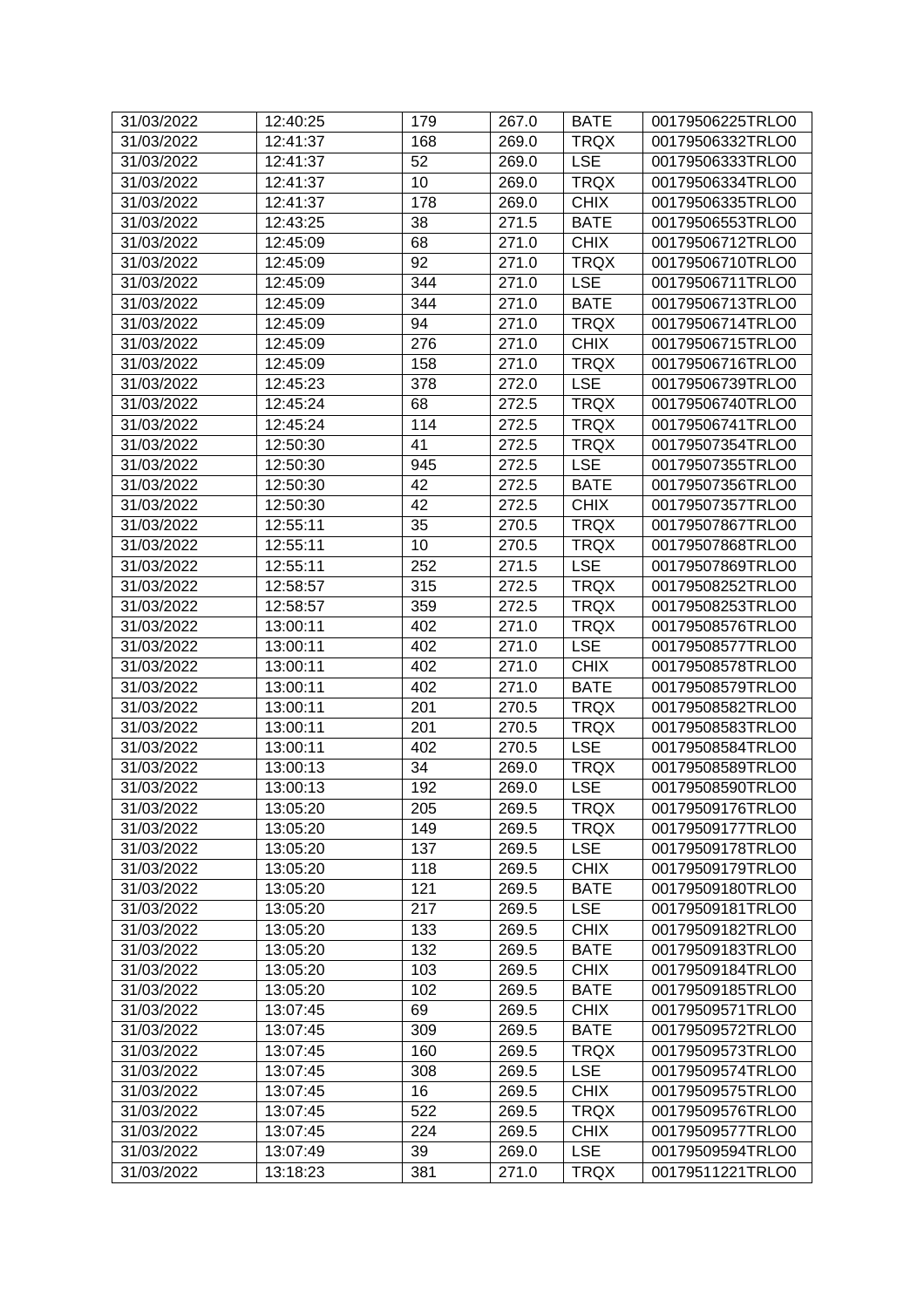| 31/03/2022 | 12:40:25 | 179 | 267.0 | <b>BATE</b> | 00179506225TRLO0 |
|------------|----------|-----|-------|-------------|------------------|
| 31/03/2022 | 12:41:37 | 168 | 269.0 | <b>TRQX</b> | 00179506332TRLO0 |
| 31/03/2022 | 12:41:37 | 52  | 269.0 | <b>LSE</b>  | 00179506333TRLO0 |
| 31/03/2022 | 12:41:37 | 10  | 269.0 | <b>TRQX</b> | 00179506334TRLO0 |
| 31/03/2022 | 12:41:37 | 178 | 269.0 | <b>CHIX</b> | 00179506335TRLO0 |
| 31/03/2022 | 12:43:25 | 38  | 271.5 | <b>BATE</b> | 00179506553TRLO0 |
| 31/03/2022 | 12:45:09 | 68  | 271.0 | <b>CHIX</b> | 00179506712TRLO0 |
| 31/03/2022 | 12:45:09 | 92  | 271.0 | <b>TRQX</b> | 00179506710TRLO0 |
| 31/03/2022 | 12:45:09 | 344 | 271.0 | <b>LSE</b>  | 00179506711TRLO0 |
| 31/03/2022 | 12:45:09 | 344 | 271.0 | <b>BATE</b> | 00179506713TRLO0 |
| 31/03/2022 | 12:45:09 | 94  | 271.0 | <b>TRQX</b> | 00179506714TRLO0 |
| 31/03/2022 | 12:45:09 | 276 | 271.0 | <b>CHIX</b> | 00179506715TRLO0 |
| 31/03/2022 | 12:45:09 | 158 | 271.0 | <b>TRQX</b> | 00179506716TRLO0 |
| 31/03/2022 | 12:45:23 | 378 | 272.0 | <b>LSE</b>  | 00179506739TRLO0 |
| 31/03/2022 | 12:45:24 | 68  | 272.5 | <b>TRQX</b> | 00179506740TRLO0 |
| 31/03/2022 | 12:45:24 | 114 | 272.5 | <b>TRQX</b> | 00179506741TRLO0 |
| 31/03/2022 | 12:50:30 | 41  | 272.5 | <b>TRQX</b> | 00179507354TRLO0 |
| 31/03/2022 | 12:50:30 | 945 | 272.5 | <b>LSE</b>  | 00179507355TRLO0 |
| 31/03/2022 | 12:50:30 | 42  | 272.5 | <b>BATE</b> | 00179507356TRLO0 |
| 31/03/2022 | 12:50:30 | 42  | 272.5 | <b>CHIX</b> | 00179507357TRLO0 |
| 31/03/2022 | 12:55:11 | 35  | 270.5 | <b>TRQX</b> | 00179507867TRLO0 |
| 31/03/2022 | 12:55:11 | 10  | 270.5 | <b>TRQX</b> | 00179507868TRLO0 |
| 31/03/2022 | 12:55:11 | 252 | 271.5 | <b>LSE</b>  | 00179507869TRLO0 |
| 31/03/2022 | 12:58:57 | 315 | 272.5 | <b>TRQX</b> | 00179508252TRLO0 |
| 31/03/2022 | 12:58:57 | 359 | 272.5 | <b>TRQX</b> | 00179508253TRLO0 |
| 31/03/2022 | 13:00:11 | 402 | 271.0 | <b>TRQX</b> | 00179508576TRLO0 |
| 31/03/2022 | 13:00:11 | 402 | 271.0 | <b>LSE</b>  | 00179508577TRLO0 |
| 31/03/2022 | 13:00:11 | 402 | 271.0 | <b>CHIX</b> | 00179508578TRLO0 |
| 31/03/2022 | 13:00:11 | 402 | 271.0 | <b>BATE</b> | 00179508579TRLO0 |
| 31/03/2022 | 13:00:11 | 201 | 270.5 | <b>TRQX</b> | 00179508582TRLO0 |
| 31/03/2022 | 13:00:11 | 201 | 270.5 | <b>TRQX</b> | 00179508583TRLO0 |
| 31/03/2022 | 13:00:11 | 402 | 270.5 | <b>LSE</b>  | 00179508584TRLO0 |
| 31/03/2022 | 13:00:13 | 34  | 269.0 | <b>TRQX</b> | 00179508589TRLO0 |
| 31/03/2022 | 13:00:13 | 192 | 269.0 | <b>LSE</b>  | 00179508590TRLO0 |
| 31/03/2022 | 13:05:20 | 205 | 269.5 | <b>TRQX</b> | 00179509176TRLO0 |
| 31/03/2022 | 13:05:20 | 149 | 269.5 | <b>TRQX</b> | 00179509177TRLO0 |
| 31/03/2022 | 13:05:20 | 137 | 269.5 | <b>LSE</b>  | 00179509178TRLO0 |
| 31/03/2022 | 13:05:20 | 118 | 269.5 | <b>CHIX</b> | 00179509179TRLO0 |
| 31/03/2022 | 13:05:20 | 121 | 269.5 | <b>BATE</b> | 00179509180TRLO0 |
| 31/03/2022 | 13:05:20 | 217 | 269.5 | <b>LSE</b>  | 00179509181TRLO0 |
| 31/03/2022 | 13:05:20 | 133 | 269.5 | <b>CHIX</b> | 00179509182TRLO0 |
| 31/03/2022 | 13:05:20 | 132 | 269.5 | <b>BATE</b> | 00179509183TRLO0 |
| 31/03/2022 | 13:05:20 | 103 | 269.5 | <b>CHIX</b> | 00179509184TRLO0 |
| 31/03/2022 | 13:05:20 | 102 | 269.5 | <b>BATE</b> | 00179509185TRLO0 |
| 31/03/2022 | 13:07:45 | 69  | 269.5 | <b>CHIX</b> | 00179509571TRLO0 |
| 31/03/2022 | 13:07:45 | 309 | 269.5 | <b>BATE</b> | 00179509572TRLO0 |
| 31/03/2022 | 13:07:45 | 160 | 269.5 | <b>TRQX</b> | 00179509573TRLO0 |
| 31/03/2022 | 13:07:45 | 308 | 269.5 | <b>LSE</b>  | 00179509574TRLO0 |
| 31/03/2022 | 13:07:45 | 16  | 269.5 | <b>CHIX</b> | 00179509575TRLO0 |
| 31/03/2022 | 13:07:45 | 522 | 269.5 | <b>TRQX</b> | 00179509576TRLO0 |
| 31/03/2022 | 13:07:45 | 224 | 269.5 | <b>CHIX</b> | 00179509577TRLO0 |
| 31/03/2022 | 13:07:49 | 39  | 269.0 | <b>LSE</b>  | 00179509594TRLO0 |
| 31/03/2022 | 13:18:23 | 381 | 271.0 | <b>TRQX</b> | 00179511221TRLO0 |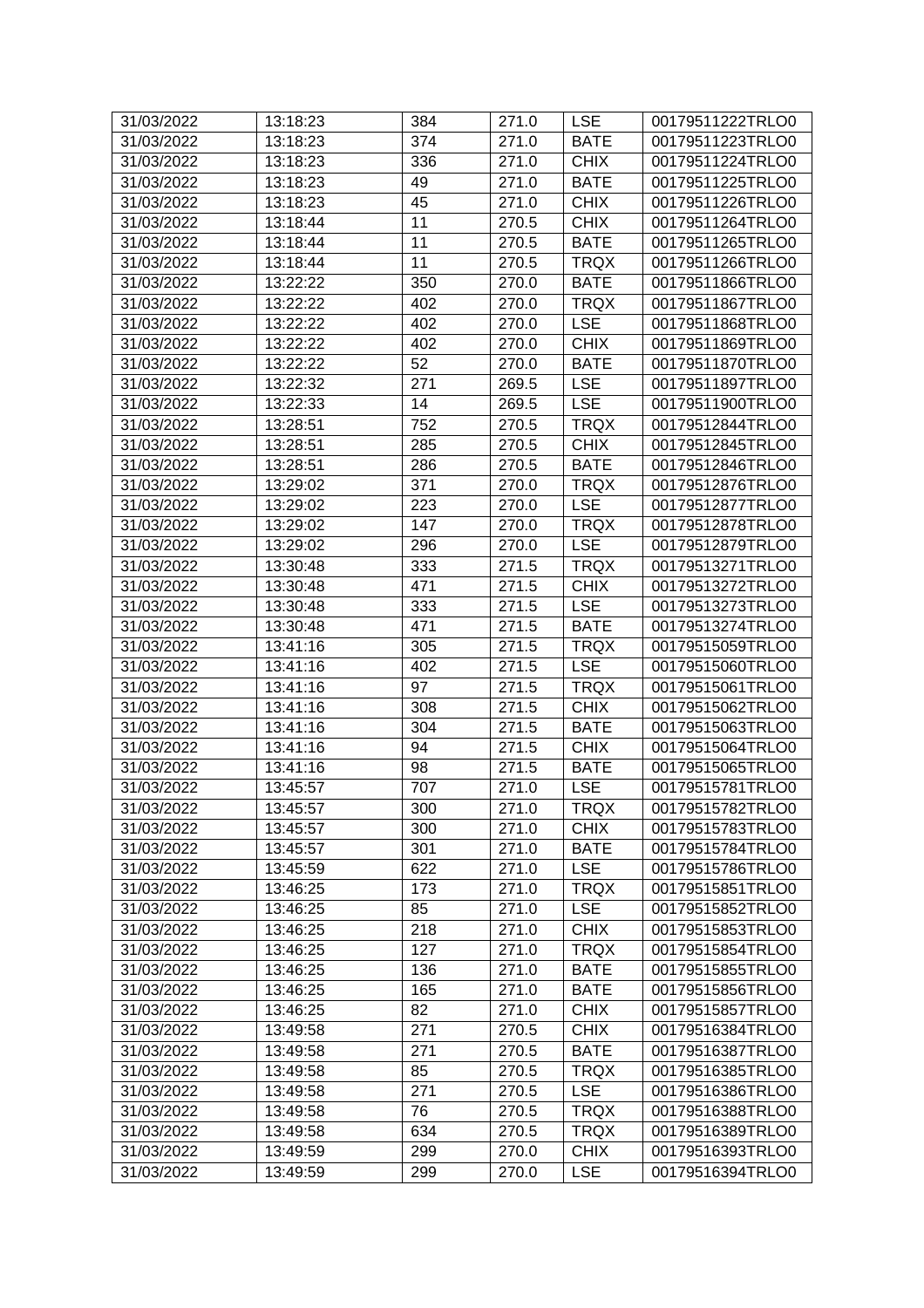| 31/03/2022 | 13:18:23 | 384 | 271.0 | <b>LSE</b>  | 00179511222TRLO0 |
|------------|----------|-----|-------|-------------|------------------|
| 31/03/2022 | 13:18:23 | 374 | 271.0 | <b>BATE</b> | 00179511223TRLO0 |
| 31/03/2022 | 13:18:23 | 336 | 271.0 | <b>CHIX</b> | 00179511224TRLO0 |
| 31/03/2022 | 13:18:23 | 49  | 271.0 | <b>BATE</b> | 00179511225TRLO0 |
| 31/03/2022 | 13:18:23 | 45  | 271.0 | <b>CHIX</b> | 00179511226TRLO0 |
| 31/03/2022 | 13:18:44 | 11  | 270.5 | <b>CHIX</b> | 00179511264TRLO0 |
| 31/03/2022 | 13:18:44 | 11  | 270.5 | <b>BATE</b> | 00179511265TRLO0 |
| 31/03/2022 | 13:18:44 | 11  | 270.5 | <b>TRQX</b> | 00179511266TRLO0 |
| 31/03/2022 | 13:22:22 | 350 | 270.0 | <b>BATE</b> | 00179511866TRLO0 |
| 31/03/2022 | 13:22:22 | 402 | 270.0 | <b>TRQX</b> | 00179511867TRLO0 |
| 31/03/2022 | 13:22:22 | 402 | 270.0 | <b>LSE</b>  | 00179511868TRLO0 |
| 31/03/2022 | 13:22:22 | 402 | 270.0 | <b>CHIX</b> | 00179511869TRLO0 |
| 31/03/2022 | 13:22:22 | 52  | 270.0 | <b>BATE</b> | 00179511870TRLO0 |
| 31/03/2022 | 13:22:32 | 271 | 269.5 | <b>LSE</b>  | 00179511897TRLO0 |
| 31/03/2022 | 13:22:33 | 14  | 269.5 | <b>LSE</b>  | 00179511900TRLO0 |
| 31/03/2022 | 13:28:51 | 752 | 270.5 | <b>TRQX</b> | 00179512844TRLO0 |
| 31/03/2022 | 13:28:51 | 285 | 270.5 | <b>CHIX</b> | 00179512845TRLO0 |
| 31/03/2022 | 13:28:51 | 286 | 270.5 | <b>BATE</b> | 00179512846TRLO0 |
| 31/03/2022 | 13:29:02 | 371 | 270.0 | <b>TRQX</b> | 00179512876TRLO0 |
| 31/03/2022 | 13:29:02 | 223 | 270.0 | <b>LSE</b>  | 00179512877TRLO0 |
| 31/03/2022 | 13:29:02 | 147 | 270.0 | <b>TRQX</b> | 00179512878TRLO0 |
| 31/03/2022 | 13:29:02 | 296 | 270.0 | <b>LSE</b>  | 00179512879TRLO0 |
| 31/03/2022 | 13:30:48 | 333 | 271.5 | <b>TRQX</b> | 00179513271TRLO0 |
| 31/03/2022 | 13:30:48 | 471 | 271.5 | <b>CHIX</b> | 00179513272TRLO0 |
| 31/03/2022 | 13:30:48 | 333 | 271.5 | <b>LSE</b>  | 00179513273TRLO0 |
| 31/03/2022 | 13:30:48 | 471 | 271.5 | <b>BATE</b> | 00179513274TRLO0 |
| 31/03/2022 | 13:41:16 | 305 | 271.5 | <b>TRQX</b> | 00179515059TRLO0 |
| 31/03/2022 | 13:41:16 | 402 | 271.5 | <b>LSE</b>  | 00179515060TRLO0 |
| 31/03/2022 | 13:41:16 | 97  | 271.5 | <b>TRQX</b> | 00179515061TRLO0 |
| 31/03/2022 | 13:41:16 | 308 | 271.5 | <b>CHIX</b> | 00179515062TRLO0 |
| 31/03/2022 | 13:41:16 | 304 | 271.5 | <b>BATE</b> | 00179515063TRLO0 |
| 31/03/2022 | 13:41:16 | 94  | 271.5 | <b>CHIX</b> | 00179515064TRLO0 |
| 31/03/2022 | 13:41:16 | 98  | 271.5 | <b>BATE</b> | 00179515065TRLO0 |
| 31/03/2022 | 13:45:57 | 707 | 271.0 | <b>LSE</b>  | 00179515781TRLO0 |
| 31/03/2022 | 13:45:57 | 300 | 271.0 | <b>TRQX</b> | 00179515782TRLO0 |
| 31/03/2022 | 13:45:57 | 300 | 271.0 | <b>CHIX</b> | 00179515783TRLO0 |
| 31/03/2022 | 13:45:57 | 301 | 271.0 | <b>BATE</b> | 00179515784TRLO0 |
| 31/03/2022 | 13:45:59 | 622 | 271.0 | <b>LSE</b>  | 00179515786TRLO0 |
| 31/03/2022 | 13:46:25 | 173 | 271.0 | <b>TRQX</b> | 00179515851TRLO0 |
| 31/03/2022 | 13:46:25 | 85  | 271.0 | <b>LSE</b>  | 00179515852TRLO0 |
| 31/03/2022 | 13:46:25 | 218 | 271.0 | <b>CHIX</b> | 00179515853TRLO0 |
| 31/03/2022 | 13:46:25 | 127 | 271.0 | <b>TRQX</b> | 00179515854TRLO0 |
| 31/03/2022 | 13:46:25 | 136 | 271.0 | <b>BATE</b> | 00179515855TRLO0 |
| 31/03/2022 | 13:46:25 | 165 | 271.0 | <b>BATE</b> | 00179515856TRLO0 |
| 31/03/2022 | 13:46:25 | 82  | 271.0 | <b>CHIX</b> | 00179515857TRLO0 |
| 31/03/2022 | 13:49:58 | 271 | 270.5 | <b>CHIX</b> | 00179516384TRLO0 |
| 31/03/2022 | 13:49:58 | 271 | 270.5 | <b>BATE</b> | 00179516387TRLO0 |
| 31/03/2022 | 13:49:58 | 85  | 270.5 | <b>TRQX</b> | 00179516385TRLO0 |
| 31/03/2022 | 13:49:58 | 271 | 270.5 | <b>LSE</b>  | 00179516386TRLO0 |
| 31/03/2022 | 13:49:58 | 76  | 270.5 | <b>TRQX</b> | 00179516388TRLO0 |
| 31/03/2022 | 13:49:58 | 634 | 270.5 | <b>TRQX</b> | 00179516389TRLO0 |
| 31/03/2022 | 13:49:59 | 299 | 270.0 | <b>CHIX</b> | 00179516393TRLO0 |
| 31/03/2022 | 13:49:59 | 299 | 270.0 | <b>LSE</b>  | 00179516394TRLO0 |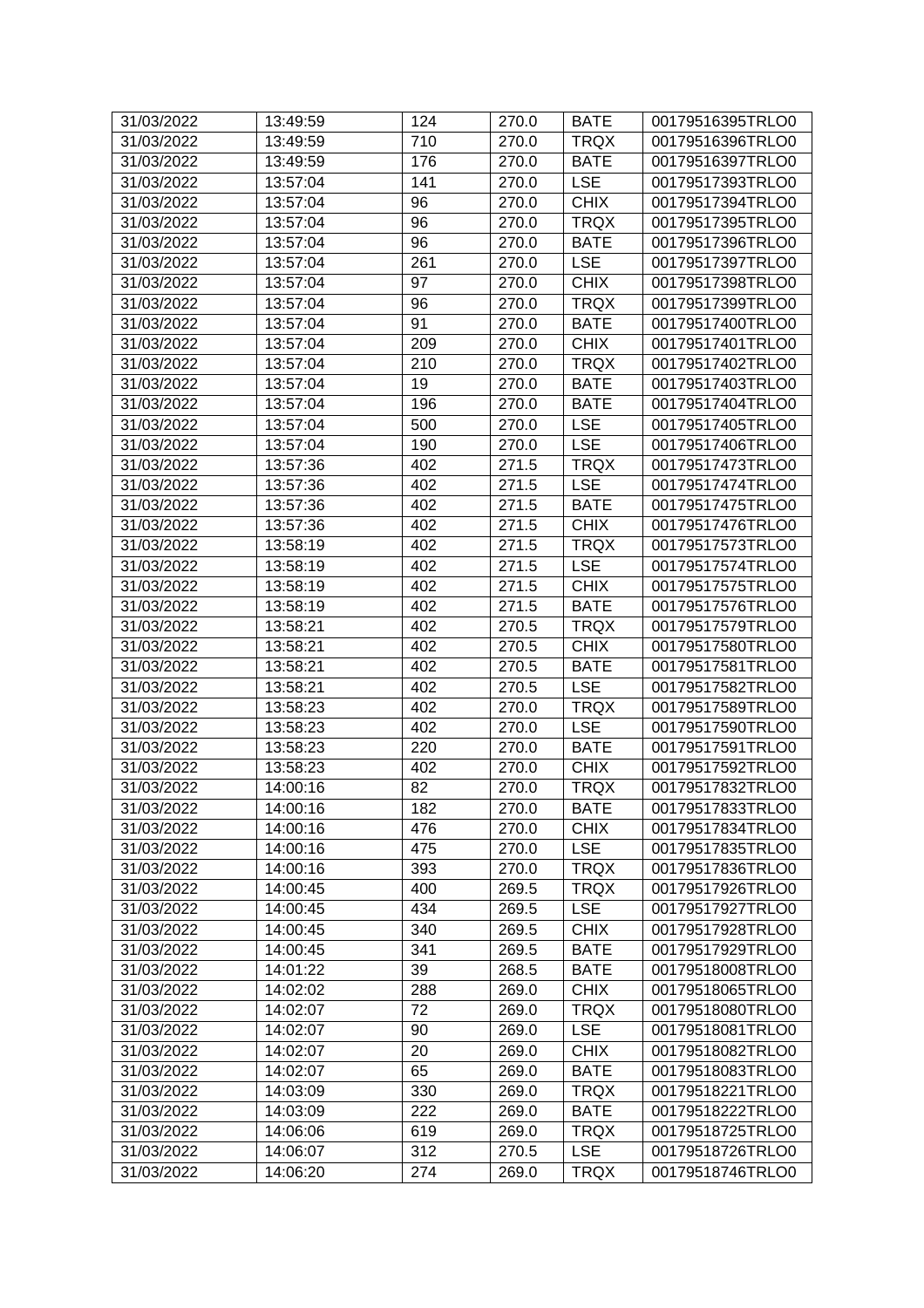| 31/03/2022 | 13:49:59 | 124 | 270.0 | <b>BATE</b> | 00179516395TRLO0 |
|------------|----------|-----|-------|-------------|------------------|
| 31/03/2022 | 13:49:59 | 710 | 270.0 | <b>TRQX</b> | 00179516396TRLO0 |
| 31/03/2022 | 13:49:59 | 176 | 270.0 | <b>BATE</b> | 00179516397TRLO0 |
| 31/03/2022 | 13:57:04 | 141 | 270.0 | <b>LSE</b>  | 00179517393TRLO0 |
| 31/03/2022 | 13:57:04 | 96  | 270.0 | <b>CHIX</b> | 00179517394TRLO0 |
| 31/03/2022 | 13:57:04 | 96  | 270.0 | <b>TRQX</b> | 00179517395TRLO0 |
| 31/03/2022 | 13:57:04 | 96  | 270.0 | <b>BATE</b> | 00179517396TRLO0 |
| 31/03/2022 | 13:57:04 | 261 | 270.0 | <b>LSE</b>  | 00179517397TRLO0 |
| 31/03/2022 | 13:57:04 | 97  | 270.0 | <b>CHIX</b> | 00179517398TRLO0 |
| 31/03/2022 | 13:57:04 | 96  | 270.0 | <b>TRQX</b> | 00179517399TRLO0 |
| 31/03/2022 | 13:57:04 | 91  | 270.0 | <b>BATE</b> | 00179517400TRLO0 |
| 31/03/2022 | 13:57:04 | 209 | 270.0 | <b>CHIX</b> | 00179517401TRLO0 |
| 31/03/2022 | 13:57:04 | 210 | 270.0 | <b>TRQX</b> | 00179517402TRLO0 |
| 31/03/2022 | 13:57:04 | 19  | 270.0 | <b>BATE</b> | 00179517403TRLO0 |
| 31/03/2022 | 13:57:04 | 196 | 270.0 | <b>BATE</b> | 00179517404TRLO0 |
| 31/03/2022 | 13:57:04 | 500 | 270.0 | <b>LSE</b>  | 00179517405TRLO0 |
| 31/03/2022 | 13:57:04 | 190 | 270.0 | <b>LSE</b>  | 00179517406TRLO0 |
| 31/03/2022 | 13:57:36 | 402 | 271.5 | <b>TRQX</b> | 00179517473TRLO0 |
| 31/03/2022 | 13:57:36 | 402 | 271.5 | <b>LSE</b>  | 00179517474TRLO0 |
| 31/03/2022 | 13:57:36 | 402 | 271.5 | <b>BATE</b> | 00179517475TRLO0 |
| 31/03/2022 | 13:57:36 | 402 | 271.5 | <b>CHIX</b> | 00179517476TRLO0 |
| 31/03/2022 | 13:58:19 | 402 | 271.5 | <b>TRQX</b> | 00179517573TRLO0 |
| 31/03/2022 | 13:58:19 | 402 | 271.5 | <b>LSE</b>  | 00179517574TRLO0 |
| 31/03/2022 | 13:58:19 | 402 | 271.5 | <b>CHIX</b> | 00179517575TRLO0 |
| 31/03/2022 | 13:58:19 | 402 | 271.5 | <b>BATE</b> | 00179517576TRLO0 |
| 31/03/2022 | 13:58:21 | 402 | 270.5 | <b>TRQX</b> | 00179517579TRLO0 |
| 31/03/2022 | 13:58:21 | 402 | 270.5 | <b>CHIX</b> | 00179517580TRLO0 |
| 31/03/2022 | 13:58:21 | 402 | 270.5 | <b>BATE</b> | 00179517581TRLO0 |
| 31/03/2022 | 13:58:21 | 402 | 270.5 | <b>LSE</b>  | 00179517582TRLO0 |
| 31/03/2022 | 13:58:23 | 402 | 270.0 | <b>TRQX</b> | 00179517589TRLO0 |
| 31/03/2022 | 13:58:23 | 402 | 270.0 | <b>LSE</b>  | 00179517590TRLO0 |
| 31/03/2022 | 13:58:23 | 220 | 270.0 | <b>BATE</b> | 00179517591TRLO0 |
| 31/03/2022 | 13:58:23 | 402 | 270.0 | <b>CHIX</b> | 00179517592TRLO0 |
| 31/03/2022 | 14:00:16 | 82  | 270.0 | <b>TRQX</b> | 00179517832TRLO0 |
| 31/03/2022 | 14:00:16 | 182 | 270.0 | <b>BATE</b> | 00179517833TRLO0 |
| 31/03/2022 | 14:00:16 | 476 | 270.0 | <b>CHIX</b> | 00179517834TRLO0 |
| 31/03/2022 | 14:00:16 | 475 | 270.0 | <b>LSE</b>  | 00179517835TRLO0 |
| 31/03/2022 | 14:00:16 | 393 | 270.0 | <b>TRQX</b> | 00179517836TRLO0 |
| 31/03/2022 | 14:00:45 | 400 | 269.5 | <b>TRQX</b> | 00179517926TRLO0 |
| 31/03/2022 | 14:00:45 | 434 | 269.5 | <b>LSE</b>  | 00179517927TRLO0 |
| 31/03/2022 | 14:00:45 | 340 | 269.5 | <b>CHIX</b> | 00179517928TRLO0 |
| 31/03/2022 | 14:00:45 | 341 | 269.5 | <b>BATE</b> | 00179517929TRLO0 |
| 31/03/2022 | 14:01:22 | 39  | 268.5 | <b>BATE</b> | 00179518008TRLO0 |
| 31/03/2022 | 14:02:02 | 288 | 269.0 | <b>CHIX</b> | 00179518065TRLO0 |
| 31/03/2022 | 14:02:07 | 72  | 269.0 | <b>TRQX</b> | 00179518080TRLO0 |
| 31/03/2022 | 14:02:07 | 90  | 269.0 | <b>LSE</b>  | 00179518081TRLO0 |
| 31/03/2022 | 14:02:07 | 20  | 269.0 | <b>CHIX</b> | 00179518082TRLO0 |
| 31/03/2022 | 14:02:07 | 65  | 269.0 | <b>BATE</b> | 00179518083TRLO0 |
| 31/03/2022 | 14:03:09 | 330 | 269.0 | <b>TRQX</b> | 00179518221TRLO0 |
| 31/03/2022 | 14:03:09 | 222 | 269.0 | <b>BATE</b> | 00179518222TRLO0 |
| 31/03/2022 | 14:06:06 | 619 | 269.0 | <b>TRQX</b> | 00179518725TRLO0 |
| 31/03/2022 | 14:06:07 | 312 | 270.5 | <b>LSE</b>  | 00179518726TRLO0 |
| 31/03/2022 | 14:06:20 | 274 | 269.0 | <b>TRQX</b> | 00179518746TRLO0 |